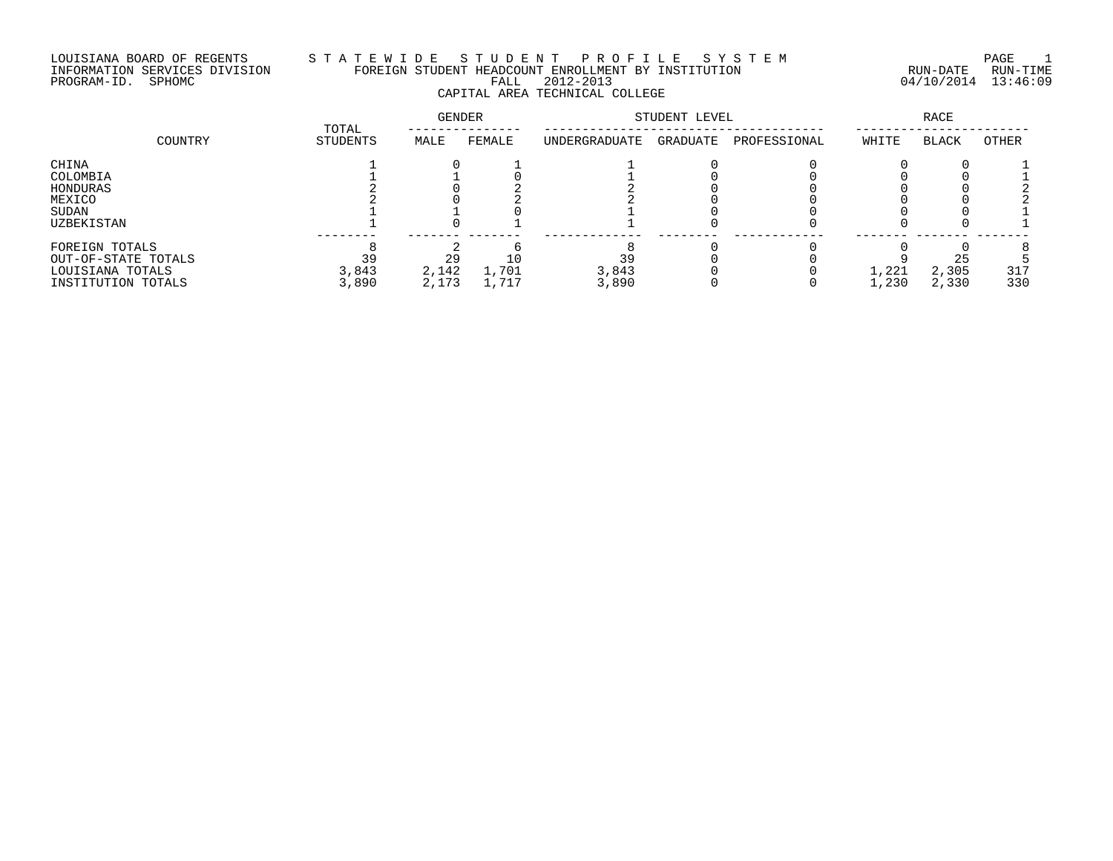# LOUISIANA BOARD OF REGENTS S T A T E W I D E S T U D E N T P R O F I L E S Y S T E M PAGE 1 INFORMATION SERVICES DIVISION FOREIGN STUDENT HEADCOUNT ENROLLMENT BY INSTITUTION RUN-DATE RUN-TIME PROGRAM-ID. SPHOMC FALL 2012-2013 04/10/2014 13:46:09 CAPITAL AREA TECHNICAL COLLEGE

|                     |                   | GENDER |        | STUDENT LEVEL |          | RACE         |       |              |       |
|---------------------|-------------------|--------|--------|---------------|----------|--------------|-------|--------------|-------|
| COUNTRY             | TOTAL<br>STUDENTS | MALE   | FEMALE | UNDERGRADUATE | GRADUATE | PROFESSIONAL | WHITE | <b>BLACK</b> | OTHER |
| CHINA               |                   |        |        |               |          |              |       |              |       |
| COLOMBIA            |                   |        |        |               |          |              |       |              |       |
| HONDURAS            |                   |        |        |               |          |              |       |              |       |
| MEXICO              |                   |        |        |               |          |              |       |              |       |
| SUDAN               |                   |        |        |               |          |              |       |              |       |
| UZBEKISTAN          |                   |        |        |               |          |              |       |              |       |
| FOREIGN TOTALS      |                   |        |        |               |          |              |       |              |       |
| OUT-OF-STATE TOTALS | 39                | 29     |        | 39            |          |              |       | 25           |       |
| LOUISIANA TOTALS    | 3,843             | 2,142  | 1,701  | 3,843         |          |              | 1,221 | 2,305        | 317   |
| INSTITUTION TOTALS  | 3,890             | 2,173  | 1,717  | 3,890         |          |              | 1,230 | 2,330        | 330   |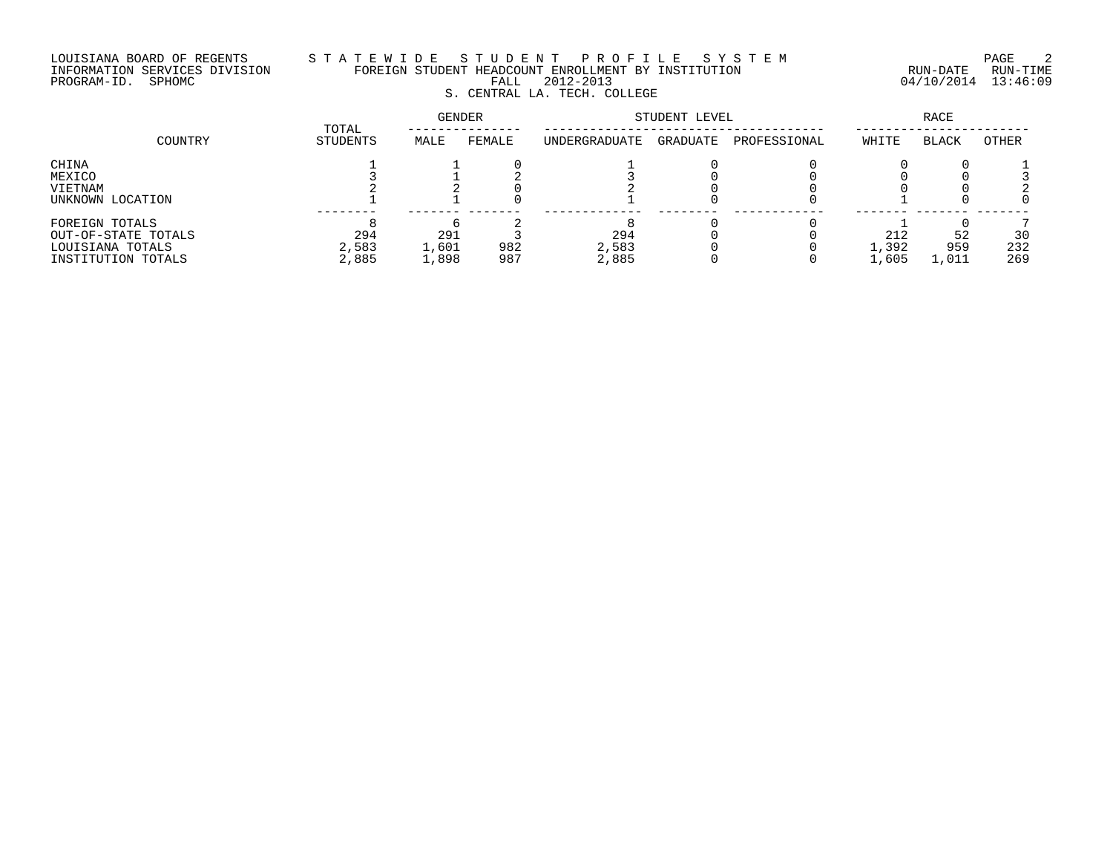# LOUISIANA BOARD OF REGENTS S T A T E W I D E S T U D E N T P R O F I L E S Y S T E M PAGE 2 INFORMATION SERVICES DIVISION FOREIGN STUDENT HEADCOUNT ENROLLMENT BY INSTITUTION RUN-DATE RUN-TIME PROGRAM-ID. SPHOMC FALL 2012-2013 04/10/2014 13:46:09 S. CENTRAL LA. TECH. COLLEGE

| COUNTRY                                                                         | TOTAL                 | <b>GENDER</b>         |            | STUDENT LEVEL         | RACE     |              |                       |                    |                  |
|---------------------------------------------------------------------------------|-----------------------|-----------------------|------------|-----------------------|----------|--------------|-----------------------|--------------------|------------------|
|                                                                                 | STUDENTS              | MALE                  | FEMALE     | UNDERGRADUATE         | GRADUATE | PROFESSIONAL | WHITE                 | <b>BLACK</b>       | OTHER            |
| CHINA<br>MEXICO<br>VIETNAM<br>UNKNOWN LOCATION                                  |                       |                       |            |                       |          |              |                       |                    |                  |
| FOREIGN TOTALS<br>OUT-OF-STATE TOTALS<br>LOUISIANA TOTALS<br>INSTITUTION TOTALS | 294<br>2,583<br>2,885 | 291<br>1,601<br>1,898 | 982<br>987 | 294<br>2,583<br>2,885 |          |              | 212<br>1,392<br>1,605 | 52<br>959<br>1,011 | 30<br>232<br>269 |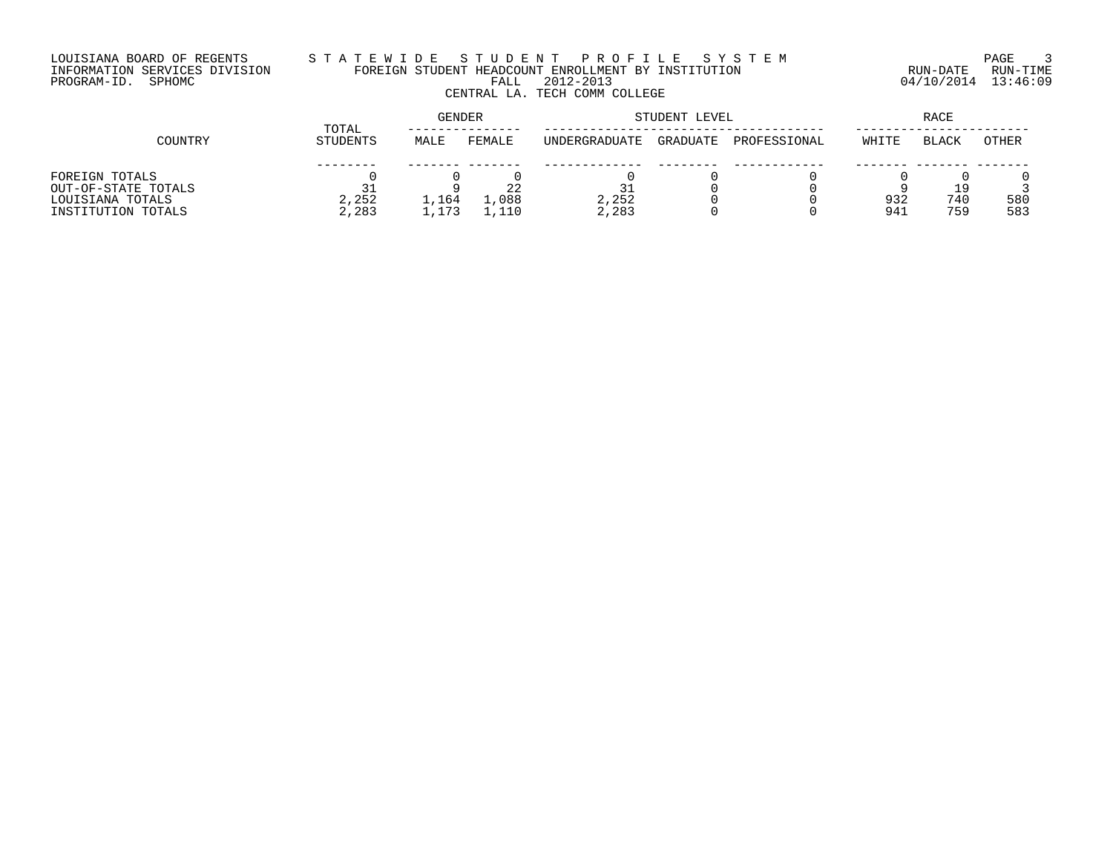# LOUISIANA BOARD OF REGENTS S T A T E W I D E S T U D E N T P R O F I L E S Y S T E M PAGE 3 INFORMATION SERVICES DIVISION FOREIGN STUDENT HEADCOUNT ENROLLMENT BY INSTITUTION RUN-DATE RUN-TIME PROGRAM-ID. SPHOMC FALL 2012-2013 04/10/2014 13:46:09 CENTRAL LA. TECH COMM COLLEGE

|                     | TOTAL           | GENDER |        |                      | STUDENT LEVEL | RACE         |       |              |              |
|---------------------|-----------------|--------|--------|----------------------|---------------|--------------|-------|--------------|--------------|
| COUNTRY             | <b>STUDENTS</b> | MALE   | FEMALE | <b>UNDERGRADUATE</b> | GRADUATE      | PROFESSIONAL | WHITE | <b>BLACK</b> | <b>OTHER</b> |
|                     |                 |        |        |                      |               |              |       |              |              |
| FOREIGN TOTALS      |                 |        |        |                      |               |              |       |              |              |
| OUT-OF-STATE TOTALS |                 |        | 22     |                      |               |              |       | 19           |              |
| LOUISIANA TOTALS    | 2,252           | 1,164  | ⊥,088  | 2,252                |               |              | 932   | 740          | 580          |
| INSTITUTION TOTALS  | 2,283           | 1,173  | 110    | 2,283                |               |              | 94.7  | 759          | 583          |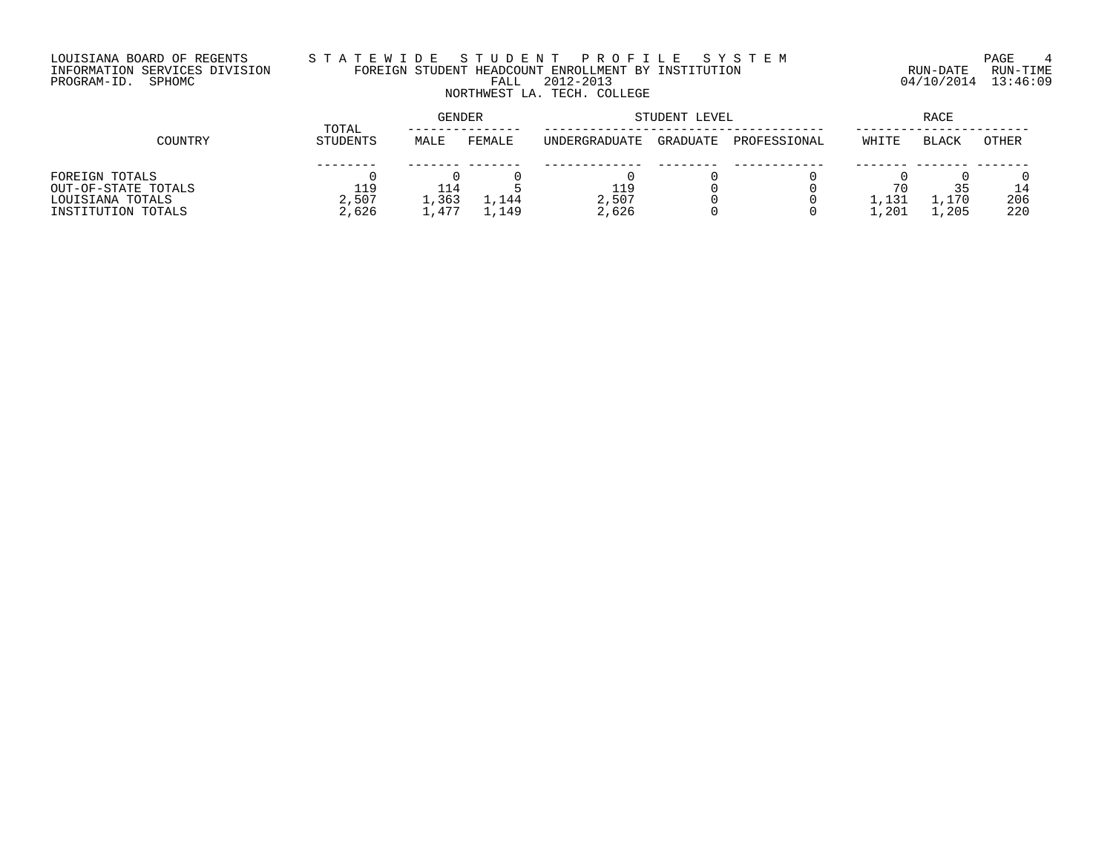# LOUISIANA BOARD OF REGENTS S T A T E W I D E S T U D E N T P R O F I L E S Y S T E M PAGE 4 INFORMATION SERVICES DIVISION FOREIGN STUDENT HEADCOUNT ENROLLMENT BY INSTITUTION RUN-DATE RUN-TIME PROGRAM-ID. SPHOMC FALL 2012-2013 04/10/2014 13:46:09 NORTHWEST LA. TECH. COLLEGE

|                     | TOTAL    | <b>GENDER</b> |        |               | STUDENT LEVEL | RACE         |       |              |       |
|---------------------|----------|---------------|--------|---------------|---------------|--------------|-------|--------------|-------|
| COUNTRY             | STUDENTS | MALE          | FEMALE | UNDERGRADUATE | GRADUATE      | PROFESSIONAL | WHITE | <b>BLACK</b> | OTHER |
|                     |          |               |        |               |               |              |       |              |       |
| FOREIGN TOTALS      |          |               |        |               |               |              |       |              |       |
| OUT-OF-STATE TOTALS | 119      | 114           |        | 119           |               |              |       | 35           | 14    |
| LOUISIANA TOTALS    | 2,507    | 1,363         | 1,144  | 2,507         |               |              | 1.131 | 1,170        | 206   |
| INSTITUTION TOTALS  | 2,626    | .,477         | ,149   | 2,626         |               |              | .201  | ,205         | 220   |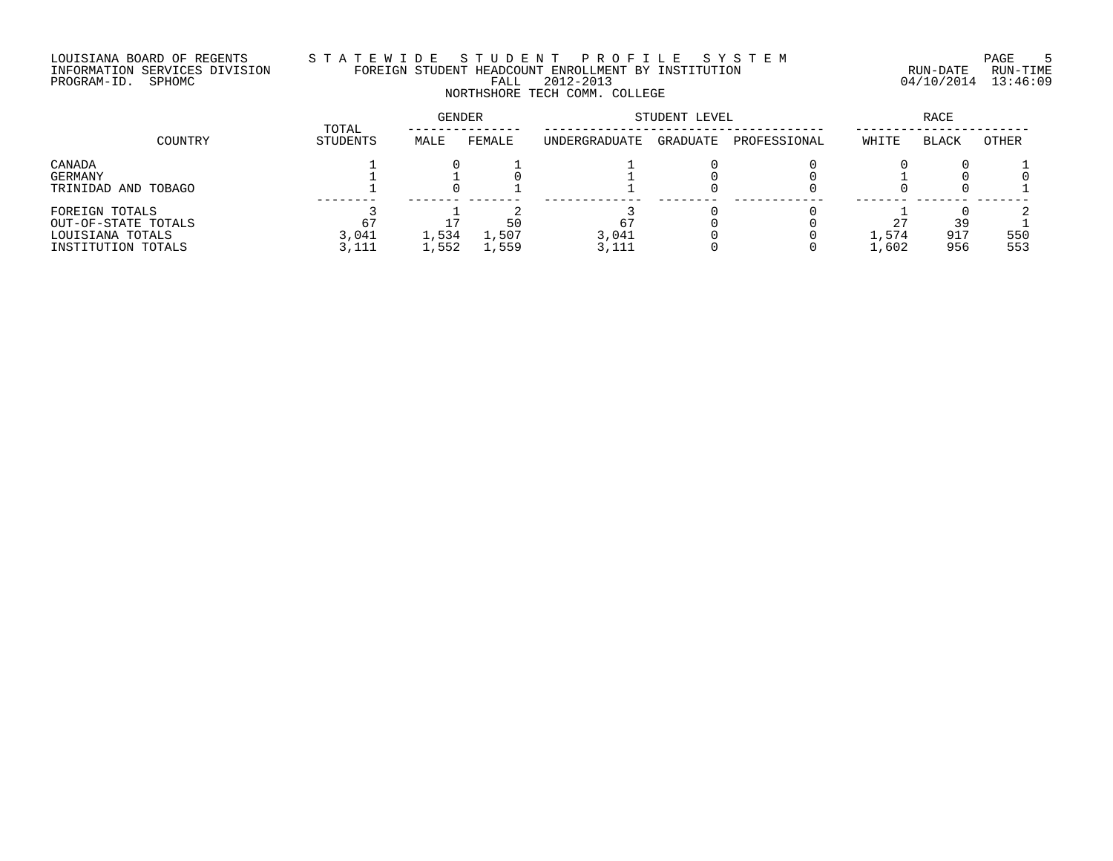# LOUISIANA BOARD OF REGENTS S T A T E W I D E S T U D E N T P R O F I L E S Y S T E M PAGE 5 INFORMATION SERVICES DIVISION FOREIGN STUDENT HEADCOUNT ENROLLMENT BY INSTITUTION RUN-DATE RUN-TIME PROGRAM-ID. SPHOMC FALL 2012-2013 04/10/2014 13:46:09 NORTHSHORE TECH COMM. COLLEGE

| COUNTRY                                                                         | TOTAL                | <b>GENDER</b>  |                | STUDENT LEVEL  | RACE     |              |                |                  |            |
|---------------------------------------------------------------------------------|----------------------|----------------|----------------|----------------|----------|--------------|----------------|------------------|------------|
|                                                                                 | STUDENTS             | MALE           | FEMALE         | UNDERGRADUATE  | GRADUATE | PROFESSIONAL | WHITE          | <b>BLACK</b>     | OTHER      |
| CANADA<br>GERMANY<br>TRINIDAD AND TOBAGO                                        |                      |                |                |                |          |              |                |                  |            |
| FOREIGN TOTALS<br>OUT-OF-STATE TOTALS<br>LOUISIANA TOTALS<br>INSTITUTION TOTALS | 67<br>3,041<br>3,111 | 1,534<br>1,552 | 1,507<br>1,559 | 3,041<br>3,111 |          |              | 1,574<br>1,602 | 39<br>917<br>956 | 550<br>553 |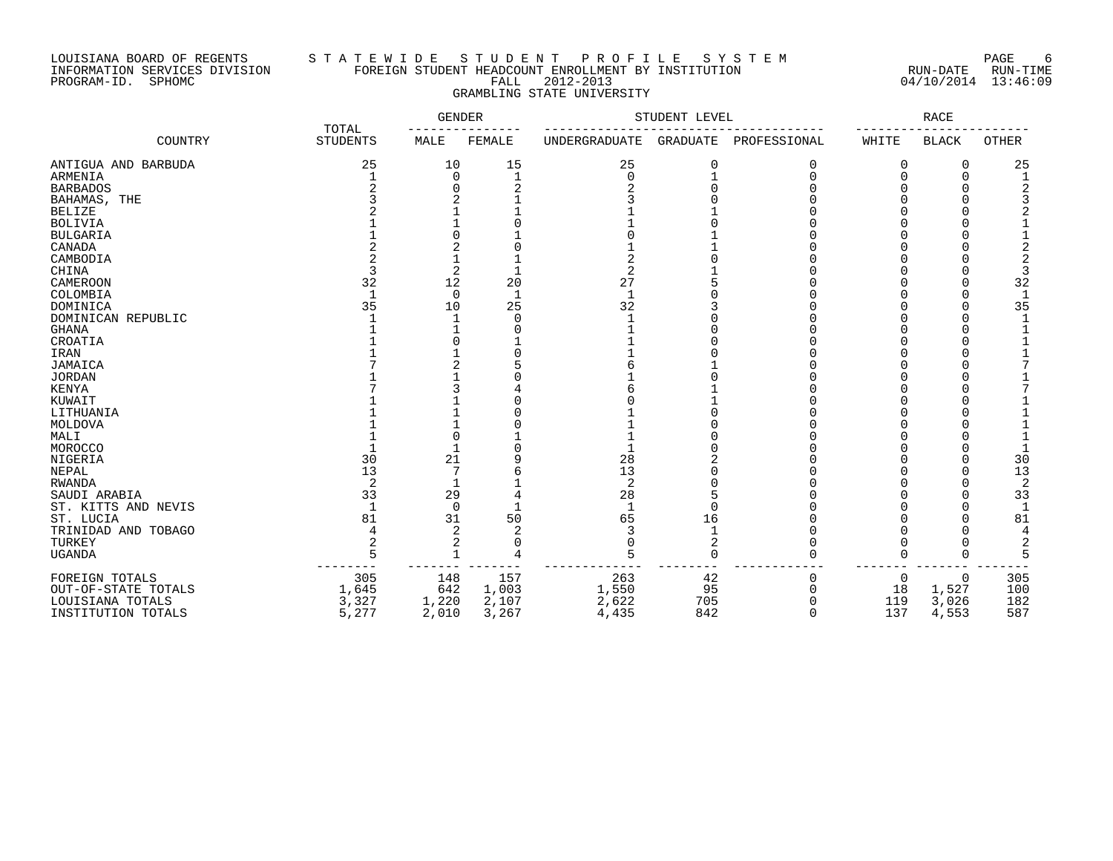### LOUISIANA BOARD OF REGENTS S T A T E W I D E S T U D E N T P R O F I L E S Y S T E M PAGE 6 INFORMATION SERVICES DIVISION FOREIGN STUDENT HEADCOUNT ENROLLMENT BY INSTITUTION RUN-DATE RUN-TIME PROGRAM-ID. SPHOMC FALL 2012-2013 04/10/2014 13:46:09 GRAMBLING STATE UNIVERSITY

|                                  |                          | <b>GENDER</b>  |              |                | STUDENT LEVEL   |              |       | <b>RACE</b>  |              |
|----------------------------------|--------------------------|----------------|--------------|----------------|-----------------|--------------|-------|--------------|--------------|
| COUNTRY                          | TOTAL<br><b>STUDENTS</b> | MALE           | FEMALE       | UNDERGRADUATE  | <b>GRADUATE</b> | PROFESSIONAL | WHITE | <b>BLACK</b> | <b>OTHER</b> |
| ANTIGUA AND BARBUDA              | 25                       | 10             | 15           | 25             | 0               |              | U     |              | 25           |
| ARMENIA                          |                          | $\Omega$       | $\mathbf 1$  | ∩              |                 |              |       |              |              |
| <b>BARBADOS</b>                  |                          | O              |              |                |                 |              |       |              |              |
| BAHAMAS, THE                     |                          |                |              |                |                 |              |       |              |              |
| <b>BELIZE</b>                    |                          |                |              |                |                 |              |       |              |              |
| <b>BOLIVIA</b>                   |                          |                |              |                |                 |              |       |              |              |
| <b>BULGARIA</b>                  |                          |                |              |                |                 |              |       |              |              |
| CANADA                           |                          |                |              |                |                 |              |       |              |              |
| CAMBODIA                         |                          |                |              |                |                 |              |       |              |              |
| CHINA                            |                          | $\overline{a}$ |              |                |                 |              |       |              |              |
| <b>CAMEROON</b>                  | 32                       | 12             | 20           | 27             |                 |              |       |              | 32           |
| COLOMBIA                         | $\mathbf{1}$             | 0              | $\mathbf{1}$ | $\mathbf{1}$   |                 |              |       |              | $\mathbf{1}$ |
| DOMINICA                         | 35                       | 10             | 25           | 32             |                 |              |       |              | 35           |
| DOMINICAN REPUBLIC               |                          |                | $\Omega$     |                |                 |              |       |              |              |
| <b>GHANA</b>                     |                          |                | 0            |                |                 |              |       |              |              |
| CROATIA                          |                          |                |              |                |                 |              |       |              |              |
| IRAN                             |                          |                |              |                |                 |              |       |              |              |
| JAMAICA                          |                          |                |              |                |                 |              |       |              |              |
| <b>JORDAN</b>                    |                          |                |              |                |                 |              |       |              |              |
| <b>KENYA</b>                     |                          |                |              |                |                 |              |       |              |              |
| KUWAIT                           |                          |                |              |                |                 |              |       |              |              |
| LITHUANIA                        |                          |                |              |                |                 |              |       |              |              |
| MOLDOVA                          |                          |                |              |                |                 |              |       |              |              |
| MALI                             |                          | O              |              |                |                 |              |       |              |              |
| <b>MOROCCO</b>                   |                          |                |              |                |                 |              |       |              |              |
| NIGERIA                          | 30                       | 21             |              | 28             |                 |              |       |              | 30           |
| NEPAL                            | 13                       | 7              |              | 13             |                 |              |       |              | 13           |
| <b>RWANDA</b>                    |                          |                |              | $\overline{2}$ |                 |              |       |              | 2            |
| SAUDI ARABIA                     | 33                       | 29             |              | 28             |                 |              |       |              | 33           |
|                                  |                          |                |              | $\mathbf{1}$   |                 |              |       |              |              |
| ST. KITTS AND NEVIS<br>ST. LUCIA | 81                       | $\Omega$<br>31 | 50           | 65             | O               |              |       |              | 81           |
| TRINIDAD AND TOBAGO              |                          | 2              | 2            |                | 16              |              |       |              |              |
|                                  |                          |                |              |                |                 |              |       |              |              |
| TURKEY                           |                          | 2              |              |                |                 |              |       |              | 2            |
| <b>UGANDA</b>                    | 5                        |                |              |                | ſ               |              |       |              | 5            |
| FOREIGN TOTALS                   | 305                      | 148            | 157          | 263            | 42              |              | 0     |              | 305          |
| OUT-OF-STATE TOTALS              | 1,645                    | 642            | 1,003        | 1,550          | 95              |              | 18    | 1,527        | 100          |
| LOUISIANA TOTALS                 | 3,327                    | 1,220          | 2,107        | 2,622          | 705             |              | 119   | 3,026        | 182          |
| INSTITUTION TOTALS               | 5,277                    | 2,010          | 3,267        | 4,435          | 842             | $\Omega$     | 137   | 4,553        | 587          |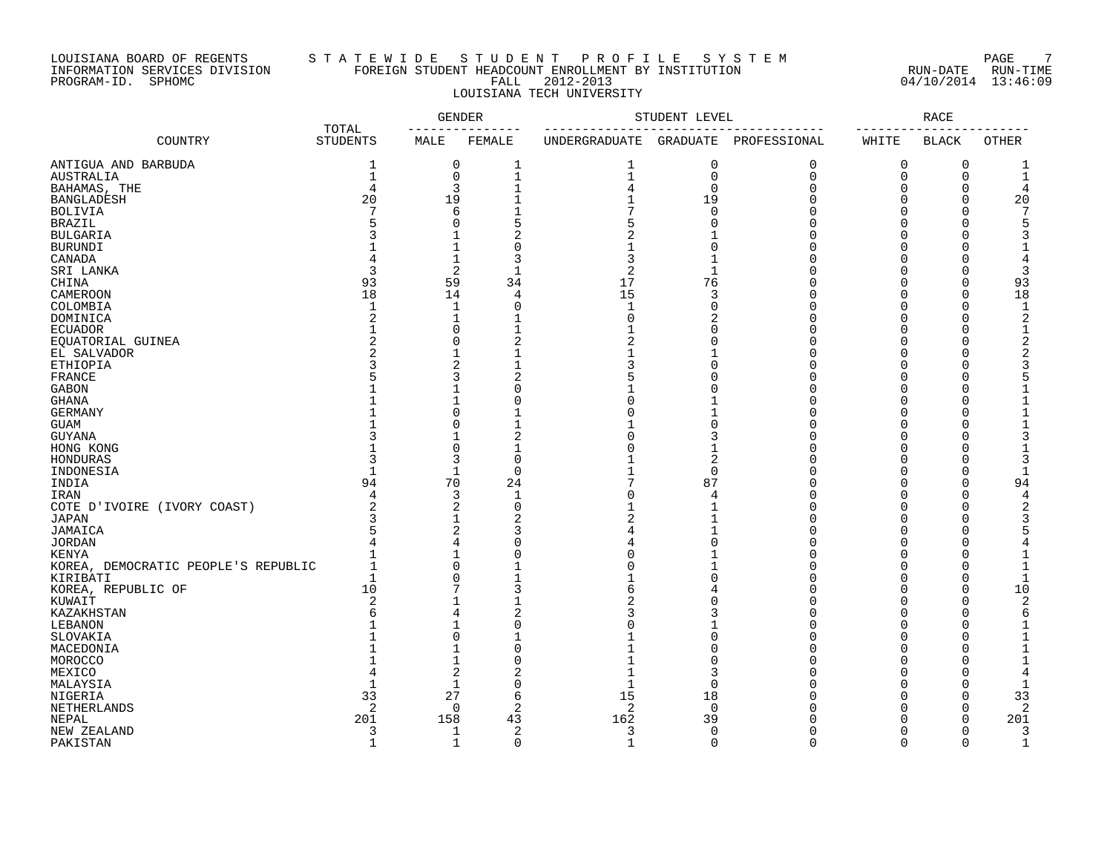## LOUISIANA BOARD OF REGENTS S T A T E W I D E S T U D E N T P R O F I L E S Y S T E M PAGE 7 INFORMATION SERVICES DIVISION FOREIGN STUDENT HEADCOUNT ENROLLMENT BY INSTITUTION RUN-DATE RUN-TIME PROGRAM-ID. SPHOMC FALL 2012-2013 04/10/2014 13:46:09 LOUISIANA TECH UNIVERSITY

|                                     |                          | <b>GENDER</b>  |                | STUDENT LEVEL |                 | <b>RACE</b>  |          |              |                |
|-------------------------------------|--------------------------|----------------|----------------|---------------|-----------------|--------------|----------|--------------|----------------|
| COUNTRY                             | TOTAL<br><b>STUDENTS</b> | MALE           | FEMALE         | UNDERGRADUATE | <b>GRADUATE</b> | PROFESSIONAL | WHITE    | <b>BLACK</b> | <b>OTHER</b>   |
| ANTIGUA AND BARBUDA                 | 1                        | 0              | $\mathbf 1$    | 1             | 0               | 0            | 0        | 0            | 1              |
| AUSTRALIA                           | $\mathbf{1}$             | $\mathbf 0$    | $\mathbf{1}$   | $\mathbf 1$   | $\mathsf 0$     | $\mathbf 0$  | 0        | $\mathbf 0$  | $\mathbf 1$    |
| BAHAMAS, THE                        | $\overline{4}$           | 3              | $\mathbf{1}$   |               | $\mathbf 0$     | $\Omega$     | $\Omega$ | $\Omega$     | 4              |
| <b>BANGLADESH</b>                   | 20                       | 19             |                |               | 19              | $\cap$       | $\Omega$ | $\Omega$     | 20             |
| <b>BOLIVIA</b>                      | 7                        | 6              |                |               | $\mathbf 0$     | $\sqrt{ }$   | $\Omega$ | $\Omega$     |                |
| <b>BRAZIL</b>                       |                          | $\mathbf 0$    | 5              |               | $\Omega$        | C            | $\Omega$ | 0            |                |
| <b>BULGARIA</b>                     |                          | 1              |                |               |                 |              | $\Omega$ | U            |                |
| <b>BURUNDI</b>                      |                          | $\mathbf{1}$   | $\Omega$       |               | $\Omega$        | C            | $\Omega$ | U            |                |
| CANADA                              |                          | $1\,$          | 3              | 3             | $\mathbf{1}$    | C            | $\Omega$ | 0            |                |
| SRI LANKA                           | 3                        | $\overline{2}$ | $\mathbf{1}$   | 2             | $\mathbf 1$     | C            | $\Omega$ | $\Omega$     | 3              |
| CHINA                               | 93                       | 59             | 34             | 17            | 76              | $\Omega$     | $\Omega$ | $\Omega$     | 93             |
| <b>CAMEROON</b>                     | 18                       | 14             | $\overline{4}$ | 15            | $\overline{3}$  | ∩            | $\Omega$ | $\Omega$     | 18             |
| COLOMBIA                            | $\mathbf{1}$             | $\mathbf{1}$   | $\mathbf 0$    | $\mathbf{1}$  | $\mathbf 0$     | $\Omega$     | $\Omega$ | $\Omega$     | $\mathbf{1}$   |
| DOMINICA                            | 2                        | 1              |                | $\Omega$      | 2               | $\Omega$     | $\Omega$ | $\Omega$     | 2              |
| <b>ECUADOR</b>                      |                          | $\mathbf 0$    |                |               | $\Omega$        | $\Omega$     | $\Omega$ | $\Omega$     | 1              |
| EQUATORIAL GUINEA                   | $\mathcal{D}$            | $\mathbf 0$    | $\overline{2}$ | 2             | $\Omega$        | $\Omega$     | $\Omega$ | $\Omega$     |                |
| EL SALVADOR                         |                          | $\mathbf{1}$   |                |               |                 | $\cap$       | $\Omega$ | $\Omega$     | $\overline{2}$ |
| ETHIOPIA                            | 3                        | 2              |                |               | $\Omega$        | C            | $\Omega$ | $\Omega$     |                |
| FRANCE                              |                          | 3              | $\overline{2}$ |               | $\Omega$        | $\Omega$     | $\Omega$ | 0            |                |
| <b>GABON</b>                        |                          | $\mathbf{1}$   | $\sqrt{ }$     |               | $\bigcap$       |              | $\Omega$ | $\cap$       |                |
| <b>GHANA</b>                        |                          | 1              | $\Omega$       |               |                 | ∩            | $\Omega$ | 0            |                |
| <b>GERMANY</b>                      |                          | $\Omega$       |                |               |                 | C            | $\Omega$ | O            |                |
| <b>GUAM</b>                         |                          | $\mathbf 0$    |                |               | $\Omega$        | C            | $\Omega$ | $\Omega$     |                |
| GUYANA                              |                          | $\mathbf{1}$   | $\overline{2}$ |               | 3               | C            | $\Omega$ | U            |                |
| HONG KONG                           |                          | $\Omega$       |                |               |                 |              | $\Omega$ | $\cap$       |                |
| HONDURAS                            | 3                        | 3              | $\overline{0}$ |               | $\overline{c}$  | C            | $\Omega$ | $\Omega$     |                |
| INDONESIA                           | $\mathbf 1$              | 1              | $\overline{0}$ |               | $\mathbf 0$     | C            | $\Omega$ | $\Omega$     |                |
| INDIA                               | 94                       | 70             | 24             |               | 87              |              | $\Omega$ | $\Omega$     | 94             |
| IRAN                                | $\overline{4}$           | 3              | $\mathbf 1$    |               | $\overline{4}$  | $\cap$       | $\Omega$ | $\Omega$     | $\Delta$       |
| COTE D'IVOIRE (IVORY COAST)         |                          | $\overline{2}$ | $\mathbf 0$    |               |                 | C            | $\Omega$ | $\Omega$     |                |
| <b>JAPAN</b>                        |                          | 1              | 2              |               |                 | C            | $\Omega$ | U            |                |
| JAMAICA                             |                          | $\overline{2}$ |                |               |                 | C            | $\Omega$ | U            |                |
| <b>JORDAN</b>                       |                          | 4              |                |               |                 |              | $\Omega$ | $\cap$       |                |
| KENYA                               |                          | $\mathbf{1}$   | C              |               |                 | C            | $\Omega$ | O            |                |
| KOREA, DEMOCRATIC PEOPLE'S REPUBLIC |                          | $\Omega$       |                |               |                 |              | $\Omega$ | $\Omega$     |                |
| KIRIBATI                            | $\mathbf{1}$             | $\mathbf 0$    | $\mathbf{1}$   |               | $\Omega$        | C            | $\Omega$ | $\Omega$     | $\mathbf 1$    |
| KOREA, REPUBLIC OF                  | 10                       | 7              | 3              |               |                 | $\sqrt{ }$   | $\Omega$ | $\Omega$     | 10             |
| KUWAIT                              | 2                        | $\mathbf{1}$   |                |               | $\Omega$        | ſ            | $\Omega$ | $\Omega$     | $\overline{a}$ |
| KAZAKHSTAN                          | 6                        | 4              | $\overline{2}$ |               | 3               | C            | $\Omega$ | $\Omega$     | 6              |
| LEBANON                             |                          | $\mathbf{1}$   | $\Omega$       |               |                 | O            | $\Omega$ | $\Omega$     |                |
| SLOVAKIA                            |                          | $\overline{0}$ |                |               | $\Omega$        | C            | $\Omega$ | 0            |                |
| MACEDONIA                           |                          | $\mathbf 1$    | $\Omega$       |               | $\Omega$        | $\cap$       | $\Omega$ | 0            |                |
| MOROCCO                             |                          | $\mathbf{1}$   | $\Omega$       |               | $\Omega$        | C            | $\Omega$ | O            |                |
| MEXICO                              | 4                        | 2              | 2              |               | 3               | C            | $\Omega$ | 0            |                |
| MALAYSIA                            | $\mathbf{1}$             | 1              | $\Omega$       | $\mathbf{1}$  | $\Omega$        | O            | $\Omega$ | $\Omega$     | -1             |
| NIGERIA                             | 33                       | 27             | 6              | 15            | 18              | C            | $\Omega$ | $\Omega$     | 33             |
| NETHERLANDS                         | 2                        | 0              | 2              | 2             | 0               | C            | $\Omega$ | $\Omega$     | 2              |
| NEPAL                               | 201                      | 158            | 43             | 162           | 39              |              | ∩        | 0            | 201            |
| NEW ZEALAND                         | 3                        | $\mathbf 1$    | 2              | 3             | $\mathbf 0$     | $\Omega$     | $\Omega$ | $\Omega$     | 3              |
| PAKISTAN                            | $\mathbf{1}$             | $\mathbf{1}$   | $\Omega$       | $\mathbf{1}$  | $\Omega$        | $\Omega$     | $\Omega$ | $\Omega$     | $\mathbf{1}$   |
|                                     |                          |                |                |               |                 |              |          |              |                |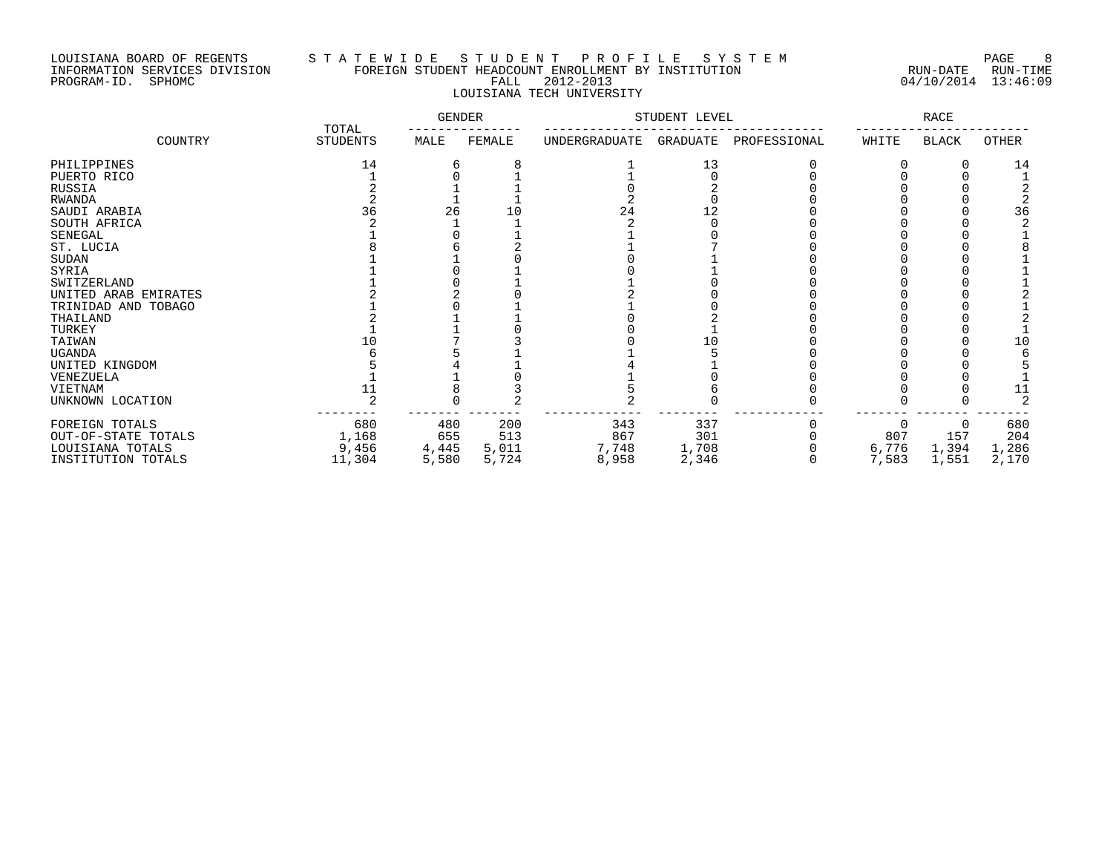## LOUISIANA BOARD OF REGENTS S T A T E W I D E S T U D E N T P R O F I L E S Y S T E M PAGE 8 INFORMATION SERVICES DIVISION FOREIGN STUDENT HEADCOUNT ENROLLMENT BY INSTITUTION RUN-DATE RUN-TIME PROGRAM-ID. SPHOMC FALL 2012-2013 04/10/2014 13:46:09 LOUISIANA TECH UNIVERSITY

|                      |                          | GENDER |        | STUDENT LEVEL |          | RACE         |       |              |       |
|----------------------|--------------------------|--------|--------|---------------|----------|--------------|-------|--------------|-------|
| COUNTRY              | TOTAL<br><b>STUDENTS</b> | MALE   | FEMALE | UNDERGRADUATE | GRADUATE | PROFESSIONAL | WHITE | <b>BLACK</b> | OTHER |
| PHILIPPINES          | 14                       |        |        |               | 13       |              |       |              | 14    |
| PUERTO RICO          |                          |        |        |               |          |              |       |              |       |
| RUSSIA               |                          |        |        |               |          |              |       |              |       |
| RWANDA               |                          |        |        |               |          |              |       |              |       |
| SAUDI ARABIA         | 36                       | 26     | L O    | 24            | 12       |              |       |              | 36    |
| SOUTH AFRICA         |                          |        |        |               |          |              |       |              |       |
| SENEGAL              |                          |        |        |               |          |              |       |              |       |
| ST. LUCIA            |                          |        |        |               |          |              |       |              |       |
| <b>SUDAN</b>         |                          |        |        |               |          |              |       |              |       |
| SYRIA                |                          |        |        |               |          |              |       |              |       |
| SWITZERLAND          |                          |        |        |               |          |              |       |              |       |
| UNITED ARAB EMIRATES |                          |        |        |               |          |              |       |              |       |
| TRINIDAD AND TOBAGO  |                          |        |        |               |          |              |       |              |       |
| THAILAND             |                          |        |        |               |          |              |       |              |       |
| TURKEY               |                          |        |        |               |          |              |       |              |       |
| TAIWAN               |                          |        |        |               |          |              |       |              | 10    |
| <b>UGANDA</b>        |                          |        |        |               |          |              |       |              |       |
| UNITED KINGDOM       |                          |        |        |               |          |              |       |              |       |
| VENEZUELA            |                          |        |        |               |          |              |       |              |       |
| VIETNAM              |                          |        |        |               |          |              |       |              | 11    |
| UNKNOWN LOCATION     |                          |        |        |               |          |              |       |              |       |
| FOREIGN TOTALS       | 680                      | 480    | 200    | 343           | 337      |              |       |              | 680   |
| OUT-OF-STATE TOTALS  | 1,168                    | 655    | 513    | 867           | 301      |              | 807   | 157          | 204   |
| LOUISIANA TOTALS     | 9,456                    | 4,445  | 5,011  | 7,748         | 1,708    |              | 6,776 | 1,394        | 1,286 |
| INSTITUTION TOTALS   | 11,304                   | 5,580  | 5,724  | 8,958         | 2,346    |              | 7,583 | 1,551        | 2,170 |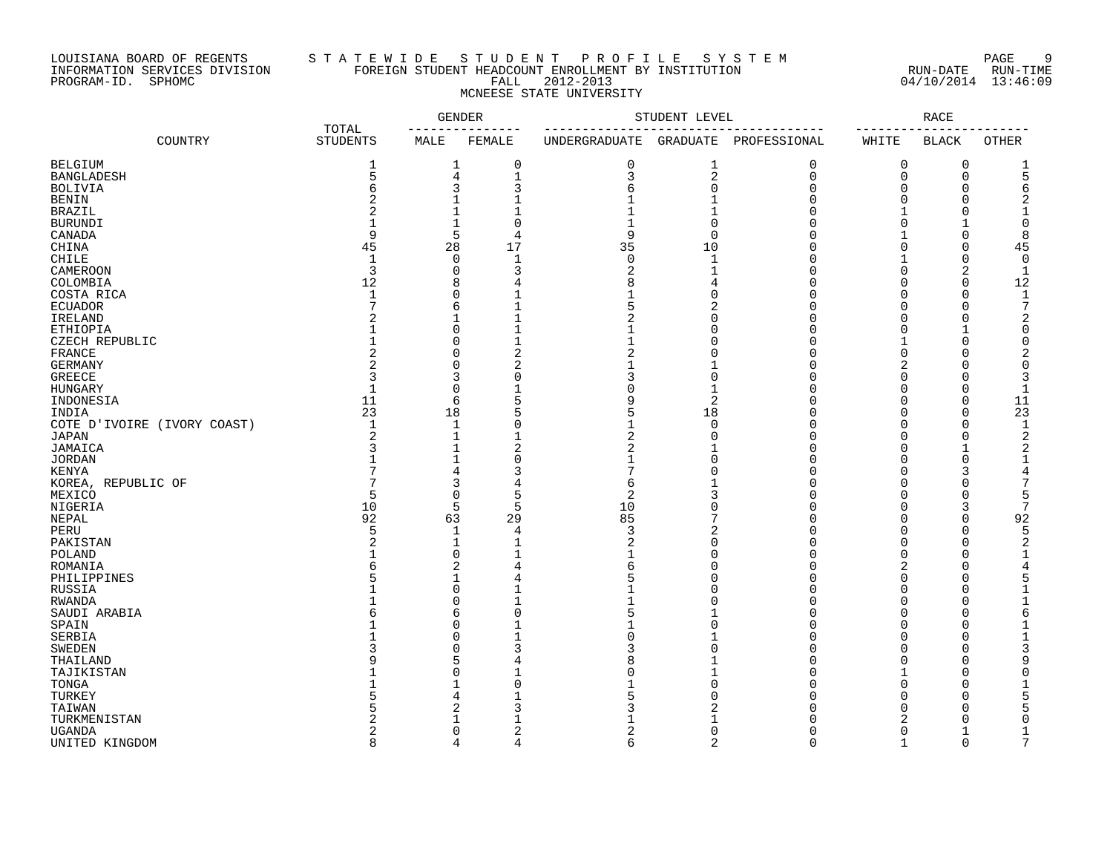## LOUISIANA BOARD OF REGENTS S T A T E W I D E S T U D E N T P R O F I L E S Y S T E M PAGE 9 INFORMATION SERVICES DIVISION FOREIGN STUDENT HEADCOUNT ENROLLMENT BY INSTITUTION RUN-DATE RUN-TIME PROGRAM-ID. SPHOMC FALL 2012-2013 04/10/2014 13:46:09 MCNEESE STATE UNIVERSITY

|                                      |                          | <b>GENDER</b>  |                |               | STUDENT LEVEL           |              |                | RACE          |                |
|--------------------------------------|--------------------------|----------------|----------------|---------------|-------------------------|--------------|----------------|---------------|----------------|
| COUNTRY                              | TOTAL<br><b>STUDENTS</b> | MALE           | FEMALE         | UNDERGRADUATE | GRADUATE                | PROFESSIONAL | WHITE          | <b>BLACK</b>  | <b>OTHER</b>   |
| <b>BELGIUM</b>                       | 1                        | 1              | $\overline{0}$ | 0             | $\mathbf 1$             | 0            | 0              | 0             | 1              |
| <b>BANGLADESH</b>                    | 5                        | $\overline{4}$ | $\mathbf{1}$   | 3             | $\overline{\mathbf{c}}$ | $\mathbf 0$  | 0              | $\mathbf 0$   | 5              |
| <b>BOLIVIA</b>                       | 6                        | 3              | 3              |               | $\mathbf 0$             | $\Omega$     | 0              | $\Omega$      | 6              |
| <b>BENIN</b>                         | 2                        | $\mathbf{1}$   |                |               | $\mathbf{1}$            | $\Omega$     | $\Omega$       | $\Omega$      | $\overline{c}$ |
| <b>BRAZIL</b>                        | $\mathcal{D}$            | $\mathbf{1}$   |                |               | $\mathbf{1}$            | C            | $\mathbf{1}$   | $\Omega$      | $\mathbf{1}$   |
| <b>BURUNDI</b>                       |                          | $\mathbf{1}$   | $\Omega$       |               | 0                       | O            | 0              | -1            | <sup>0</sup>   |
| CANADA                               | 9                        | 5              | 4              | 9             | $\mathbf 0$             | ∩            |                | $\Omega$      | 8              |
| CHINA                                | 45                       | 28             | 17             | 35            | 10                      | $\Omega$     | $\Omega$       | $\Omega$      | 45             |
| <b>CHILE</b>                         | $\mathbf{1}$             | $\Omega$       | $\mathbf{1}$   | $\Omega$      | $\mathbf{1}$            | O            | $\mathbf{1}$   | $\Omega$      | $\Omega$       |
| <b>CAMEROON</b>                      | $\overline{3}$           | $\mathbf 0$    | 3              |               | $\mathbf{1}$            | C            | 0              | 2             | -1             |
| COLOMBIA                             | 12                       | 8              |                |               | 4                       | O            | $\Omega$       | $\Omega$      | 12             |
| COSTA RICA                           |                          | $\mathbf 0$    |                |               | $\Omega$                | ∩            | $\Omega$       | $\Omega$      | -1             |
| <b>ECUADOR</b>                       |                          | 6              |                | 5             | 2                       | C            | $\Omega$       | $\Omega$      |                |
| IRELAND                              |                          | $\mathbf{1}$   |                |               | $\Omega$                | ∩            | $\Omega$       | $\Omega$      |                |
| ETHIOPIA                             |                          | $\mathbf 0$    |                |               | $\Omega$                |              | $\Omega$       |               |                |
| CZECH REPUBLIC                       |                          | $\mathbf 0$    |                |               | $\Omega$                | C            | 1              | 0             | $\Omega$       |
| FRANCE                               |                          | $\Omega$       | 2              |               | ∩                       | C            | $\Omega$       | $\Omega$      | $\overline{c}$ |
| <b>GERMANY</b>                       | $\mathcal{D}$            | $\Omega$       | 2              |               | 1                       | C            | $\overline{c}$ | $\cap$        | $\Omega$       |
| <b>GREECE</b>                        | 3                        | 3              | $\Omega$       |               | $\mathbf 0$             | C            | $\Omega$       | 0             | 3              |
| <b>HUNGARY</b>                       | $\mathbf 1$              | $\mathbf 0$    |                |               | 1                       |              | $\Omega$       | $\Omega$      | $\mathbf{1}$   |
| INDONESIA                            | 11                       | 6              | 5              |               | 2                       | C            | ∩              | $\Omega$      | 11             |
| INDIA                                | 23                       | 18             | F              |               | 18                      | C            | ∩              | $\Omega$      | 23             |
|                                      | $\mathbf{1}$             | $\mathbf 1$    | C              |               | $\Omega$                | r            | $\Omega$       | $\Omega$      | $\mathbf{1}$   |
| COTE D'IVOIRE (IVORY COAST)<br>JAPAN | 2                        | 1              |                | 2             | $\Omega$                | O            | $\Omega$       | $\Omega$      | 2              |
|                                      |                          | $\mathbf{1}$   | 2              | 2             |                         | C            | $\Omega$       | -1            | 2              |
| JAMAICA                              |                          | $\mathbf{1}$   | $\Omega$       |               | $\Omega$                | C            | $\Omega$       | $\Omega$      |                |
| <b>JORDAN</b>                        |                          | 4              |                |               | $\Omega$                | C            | $\Omega$       | 3             | $\overline{4}$ |
| <b>KENYA</b>                         |                          | 3              |                |               |                         |              | $\Omega$       | O             |                |
| KOREA, REPUBLIC OF                   | 5                        |                | 5              | 6             | 3                       | C            | $\Omega$       | 0             |                |
| MEXICO                               |                          | $\mathbf 0$    | 5              | 2             |                         | C            |                |               |                |
| NIGERIA                              | 10                       | 5              |                | 10            | $\Omega$<br>7           | C            | ∩<br>$\Omega$  | 3<br>$\Omega$ |                |
| NEPAL                                | 92<br>$\overline{2}$     | 63             | 29             | 85            |                         | $\cap$       | $\Omega$       |               | 92             |
| PERU                                 |                          | 1              | 4              | 3             | $\overline{c}$          |              |                | $\Omega$      |                |
| PAKISTAN                             |                          | 1              |                | 2             | $\Omega$                | C            | $\Omega$       | $\Omega$      |                |
| POLAND                               |                          | $\mathbf 0$    | 1              |               | $\Omega$                | $\Omega$     | $\Omega$       | 0             |                |
| ROMANIA                              | б                        | 2              | 4              |               | $\Omega$                | $\Omega$     | 2              | $\Omega$      |                |
| PHILIPPINES                          |                          | $\mathbf{1}$   | 4              |               | $\Omega$                | O            | $\Omega$       | $\Omega$      |                |
| RUSSIA                               |                          | $\mathbf 0$    |                |               | $\Omega$                | $\Omega$     | $\Omega$       | $\Omega$      |                |
| RWANDA                               |                          | $\mathbf 0$    |                |               | $\Omega$                | O            | $\Omega$       | 0             |                |
| SAUDI ARABIA                         | б                        | 6              | $\sqrt{ }$     | 5             | 1                       | $\Omega$     | $\Omega$       | $\Omega$      |                |
| SPAIN                                |                          | $\Omega$       |                |               | $\Omega$                | $\Omega$     | $\Omega$       | $\Omega$      |                |
| SERBIA                               |                          | $\mathbf 0$    |                |               |                         | C            | $\Omega$       | $\Omega$      |                |
| <b>SWEDEN</b>                        |                          | $\mathbf 0$    | З              |               | $\Omega$                | $\Omega$     | $\Omega$       | 0             |                |
| THAILAND                             |                          | 5              |                |               |                         | $\Omega$     | $\Omega$       | $\Omega$      | q              |
| TAJIKISTAN                           |                          | $\Omega$       |                |               | 1                       | O            | $\mathbf{1}$   | $\Omega$      |                |
| TONGA                                |                          | 1              | $\Omega$       |               | $\Omega$                | O            | $\Omega$       | $\Omega$      |                |
| TURKEY                               |                          | 4              |                |               | $\Omega$                | C            | $\Omega$       | $\Omega$      |                |
| TAIWAN                               |                          | 2              |                |               |                         | C            | $\Omega$       | U             |                |
| TURKMENISTAN                         |                          | 1              |                |               |                         |              | 2              | U             |                |
| UGANDA                               | 2                        | 0              | $\overline{2}$ | 2             | $\Omega$                | O            | $\mathbf 0$    | -1            | $\mathbf{1}$   |
| UNITED KINGDOM                       | $\mathsf{R}$             | 4              | $\Delta$       | 6             | $\overline{2}$          | $\Omega$     | $\mathbf{1}$   | $\Omega$      | 7              |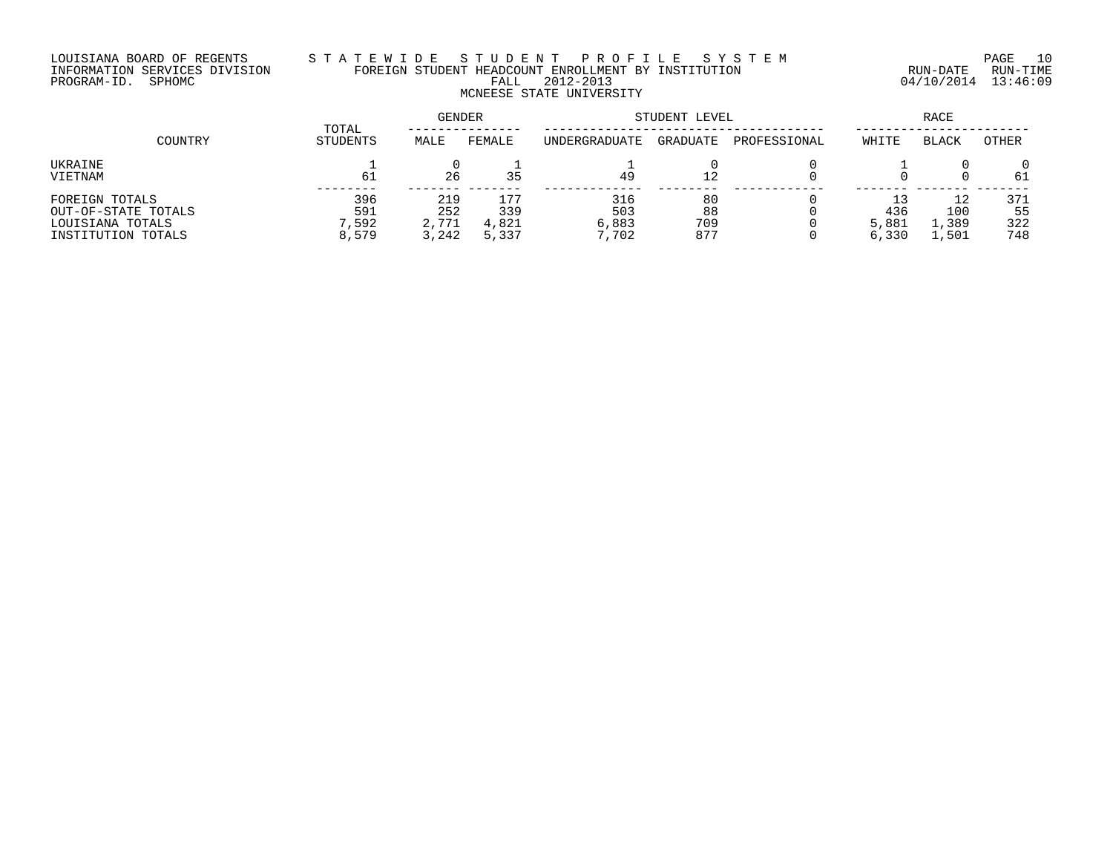# LOUISIANA BOARD OF REGENTS S T A T E W I D E S T U D E N T P R O F I L E S Y S T E M PAGE 10 INFORMATION SERVICES DIVISION FOREIGN STUDENT HEADCOUNT ENROLLMENT BY INSTITUTION RUN-DATE RUN-TIME PROGRAM-ID. SPHOMC FALL 2012-2013 04/10/2014 13:46:09 MCNEESE STATE UNIVERSITY

| COUNTRY                                                                         |                             | <b>GENDER</b>                |                              | STUDENT LEVEL               | <b>RACE</b>            |              |                       |                       |                         |
|---------------------------------------------------------------------------------|-----------------------------|------------------------------|------------------------------|-----------------------------|------------------------|--------------|-----------------------|-----------------------|-------------------------|
|                                                                                 | TOTAL<br>STUDENTS           | MALE                         | FEMALE                       | UNDERGRADUATE               | <b>GRADUATE</b>        | PROFESSIONAL | WHITE                 | <b>BLACK</b>          | <b>OTHER</b>            |
| UKRAINE<br>VIETNAM                                                              | 61                          | 26                           | マド                           | 49                          | 12                     |              |                       |                       | 61                      |
| FOREIGN TOTALS<br>OUT-OF-STATE TOTALS<br>LOUISIANA TOTALS<br>INSTITUTION TOTALS | 396<br>591<br>,592<br>8,579 | 219<br>252<br>2,771<br>3,242 | 175<br>339<br>4,821<br>5,337 | 316<br>503<br>6,883<br>,702 | 80<br>88<br>709<br>877 |              | 436<br>5,881<br>6,330 | 100<br>1,389<br>1,501 | 371<br>55<br>322<br>748 |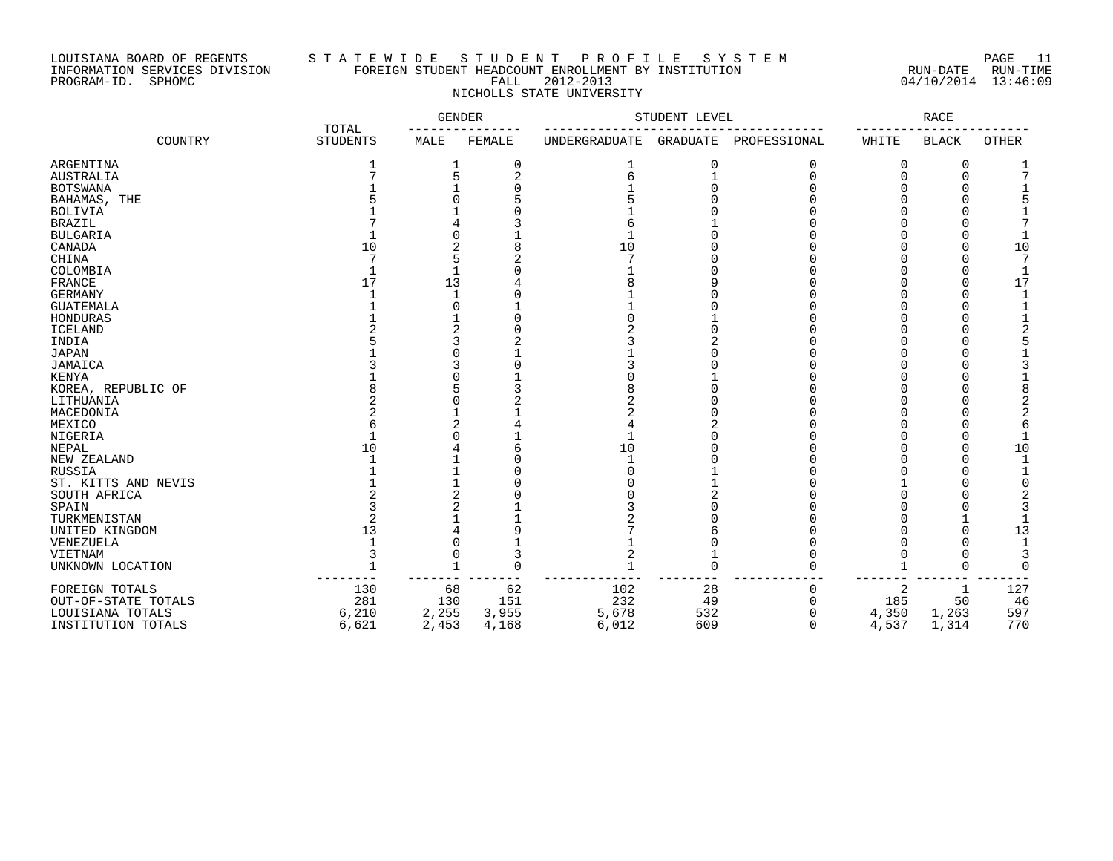## LOUISIANA BOARD OF REGENTS S T A T E W I D E S T U D E N T P R O F I L E S Y S T E M PAGE 11 INFORMATION SERVICES DIVISION FOREIGN STUDENT HEADCOUNT ENROLLMENT BY INSTITUTION RUN-DATE RUN-TIME PROGRAM-ID. SPHOMC FALL 2012-2013 04/10/2014 13:46:09 NICHOLLS STATE UNIVERSITY

|                     |                          | <b>GENDER</b> |        | STUDENT LEVEL |                 | RACE         |       |              |       |
|---------------------|--------------------------|---------------|--------|---------------|-----------------|--------------|-------|--------------|-------|
| COUNTRY             | TOTAL<br><b>STUDENTS</b> | MALE          | FEMALE | UNDERGRADUATE | <b>GRADUATE</b> | PROFESSIONAL | WHITE | <b>BLACK</b> | OTHER |
| ARGENTINA           |                          |               | O      |               | C               |              | O     |              |       |
| AUSTRALIA           |                          | 5             | 2      |               |                 |              |       |              |       |
| <b>BOTSWANA</b>     |                          |               |        |               |                 |              |       |              |       |
| BAHAMAS, THE        |                          |               |        |               |                 |              |       |              |       |
| <b>BOLIVIA</b>      |                          |               |        |               |                 |              |       |              |       |
| <b>BRAZIL</b>       |                          |               |        |               |                 |              |       |              |       |
| <b>BULGARIA</b>     |                          |               |        |               |                 |              |       |              |       |
| CANADA              | 10                       |               |        | 10            |                 |              |       |              | 10    |
| CHINA               |                          |               |        |               |                 |              |       |              |       |
| COLOMBIA            |                          |               |        |               |                 |              |       |              |       |
| FRANCE              | 17                       | 13            |        |               |                 |              |       |              | 17    |
| <b>GERMANY</b>      |                          |               |        |               |                 |              |       |              |       |
| <b>GUATEMALA</b>    |                          |               |        |               |                 |              |       |              |       |
| HONDURAS            |                          |               |        |               |                 |              |       |              |       |
| ICELAND             |                          |               |        |               |                 |              |       |              |       |
|                     |                          |               |        |               |                 |              |       |              |       |
| INDIA               |                          |               |        |               |                 |              |       |              |       |
| <b>JAPAN</b>        |                          |               |        |               |                 |              |       |              |       |
| JAMAICA             |                          |               |        |               |                 |              |       |              |       |
| <b>KENYA</b>        |                          |               |        |               |                 |              |       |              |       |
| KOREA, REPUBLIC OF  |                          |               |        |               |                 |              |       |              |       |
| LITHUANIA           |                          |               |        |               |                 |              |       |              |       |
| MACEDONIA           |                          |               |        |               |                 |              |       |              |       |
| MEXICO              |                          |               |        |               |                 |              |       |              | 6     |
| NIGERIA             |                          |               |        |               |                 |              |       |              | 1     |
| <b>NEPAL</b>        | 10                       |               |        | 10            |                 |              |       |              | 10    |
| NEW ZEALAND         |                          |               |        |               |                 |              |       |              |       |
| RUSSIA              |                          |               |        |               |                 |              |       |              |       |
| ST. KITTS AND NEVIS |                          |               |        |               |                 |              |       |              | U     |
| SOUTH AFRICA        |                          |               |        |               |                 |              |       |              |       |
| SPAIN               |                          |               |        |               |                 |              |       |              | 3     |
| TURKMENISTAN        |                          |               |        |               |                 |              |       |              |       |
| UNITED KINGDOM      | 13                       |               |        |               |                 |              |       |              | 13    |
| VENEZUELA           |                          | O             |        |               |                 |              |       |              |       |
| VIETNAM             |                          | O             |        |               |                 |              |       |              |       |
| UNKNOWN LOCATION    |                          |               |        |               |                 | U            |       |              | 0     |
| FOREIGN TOTALS      | 130                      | 68            | 62     | 102           | 28              | 0            | 2     |              | 127   |
| OUT-OF-STATE TOTALS | 281                      | 130           | 151    | 232           | 49              | $\Omega$     | 185   | 50           | 46    |
| LOUISIANA TOTALS    | 6,210                    | 2,255         | 3,955  | 5,678         | 532             | U            | 4,350 | 1,263        | 597   |
| INSTITUTION TOTALS  | 6,621                    | 2,453         | 4,168  | 6,012         | 609             | $\Omega$     | 4,537 | 1,314        | 770   |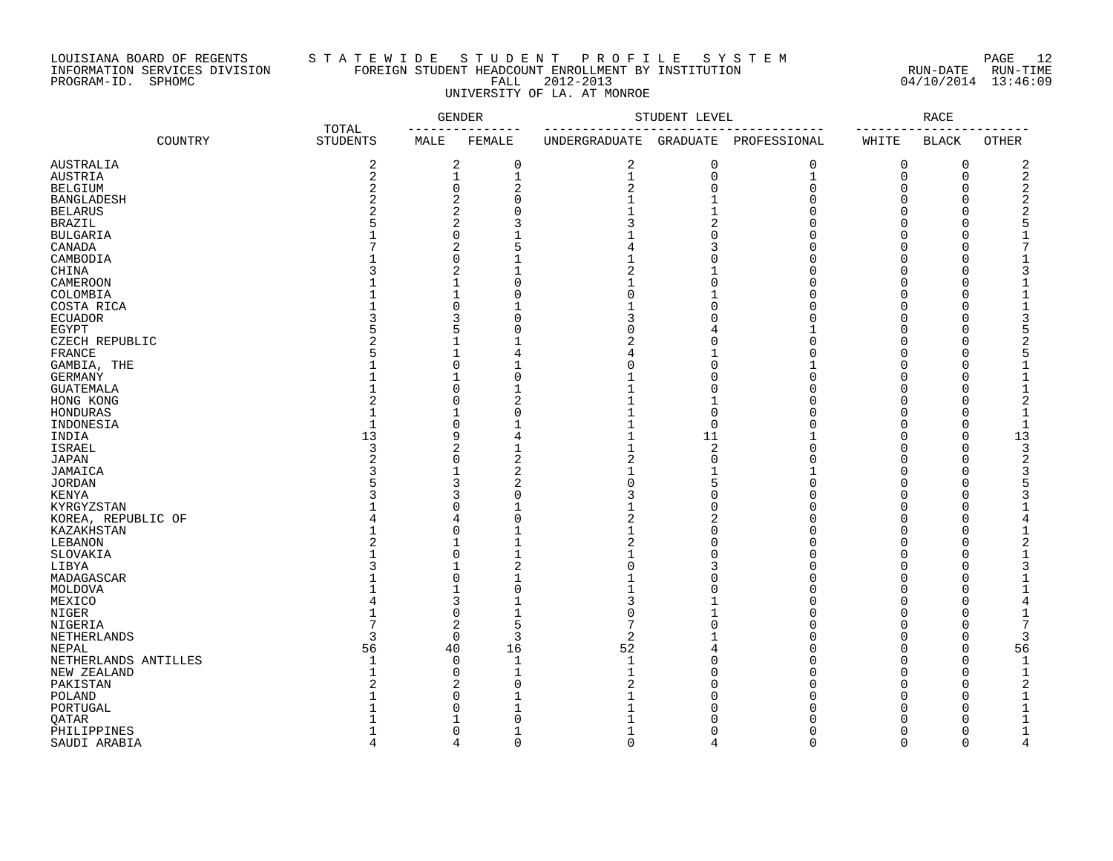### LOUISIANA BOARD OF REGENTS S T A T E W I D E S T U D E N T P R O F I L E S Y S T E M PAGE 12 INFORMATION SERVICES DIVISION FOREIGN STUDENT HEADCOUNT ENROLLMENT BY INSTITUTION RUN-DATE RUN-TIME PROGRAM-ID. SPHOMC FALL 2012-2013 04/10/2014 13:46:09 UNIVERSITY OF LA. AT MONROE

|                      |                          | <b>GENDER</b>           |                | STUDENT LEVEL  |                 | <b>RACE</b>  |          |              |                |
|----------------------|--------------------------|-------------------------|----------------|----------------|-----------------|--------------|----------|--------------|----------------|
| COUNTRY              | TOTAL<br><b>STUDENTS</b> | MALE                    | FEMALE         | UNDERGRADUATE  | <b>GRADUATE</b> | PROFESSIONAL | WHITE    | <b>BLACK</b> | <b>OTHER</b>   |
| <b>AUSTRALIA</b>     | 2                        | 2                       | 0              | 2              | 0               | 0            | 0        | 0            | 2              |
| AUSTRIA              | $\overline{c}$           | $\mathbf 1$             | $\mathbf{1}$   | 1              | $\mathsf 0$     | $\mathbf 1$  | 0        | $\mathbf 0$  | 2              |
| <b>BELGIUM</b>       | $\overline{c}$           | $\overline{0}$          | $\overline{2}$ | $\overline{2}$ | $\mathbf 0$     | $\Omega$     | $\Omega$ | $\Omega$     | 2              |
| <b>BANGLADESH</b>    |                          | $\overline{2}$          | $\Omega$       |                | $\mathbf{1}$    | $\cap$       | $\Omega$ | $\Omega$     | $\overline{c}$ |
| <b>BELARUS</b>       | 2                        | $\overline{\mathbf{c}}$ | $\sqrt{ }$     |                | $\mathbf{1}$    | $\sqrt{ }$   | $\Omega$ | $\Omega$     |                |
| <b>BRAZIL</b>        |                          | $\overline{2}$          |                |                | $\overline{2}$  | C            | $\Omega$ | 0            |                |
| <b>BULGARIA</b>      |                          | $\mathbf 0$             |                |                | $\Omega$        |              | $\Omega$ | U            |                |
| CANADA               |                          | $\overline{2}$          | 5              |                | 3               | C            | $\Omega$ | O            |                |
| CAMBODIA             |                          | $\mathbf 0$             |                |                | $\Omega$        | $\sqrt{ }$   | $\Omega$ | 0            |                |
| CHINA                |                          | 2                       |                | 2              |                 | C            | $\Omega$ | $\Omega$     |                |
| CAMEROON             |                          | $\mathbf{1}$            | $\Omega$       |                | $\mathbf 0$     | $\Omega$     | $\Omega$ | U            |                |
| COLOMBIA             |                          | $\mathbf{1}$            | $\Omega$       |                |                 | ∩            | $\Omega$ | 0            |                |
| COSTA RICA           |                          | $\mathbf 0$             |                |                | $\mathbf 0$     | C            | $\Omega$ | $\Omega$     |                |
| <b>ECUADOR</b>       |                          | 3                       | $\Omega$       | 3              | $\Omega$        | $\Omega$     | $\Omega$ | $\Omega$     |                |
| EGYPT                |                          | 5                       | C              |                |                 |              | $\Omega$ | $\Omega$     |                |
| CZECH REPUBLIC       |                          | 1                       |                |                | $\Omega$        | $\Omega$     | $\Omega$ | $\Omega$     |                |
| FRANCE               |                          | $\mathbf{1}$            |                |                |                 | $\Omega$     | $\Omega$ | $\Omega$     |                |
| GAMBIA, THE          |                          | $\Omega$                |                |                | $\Omega$        |              | $\Omega$ | $\Omega$     |                |
| <b>GERMANY</b>       |                          | 1                       | $\Omega$       |                | $\Omega$        | $\Omega$     | $\Omega$ | 0            |                |
| <b>GUATEMALA</b>     |                          | $\mathbf 0$             |                |                | $\Omega$        | $\sqrt{ }$   | $\Omega$ | $\Omega$     |                |
| HONG KONG            |                          | $\Omega$                | 2              |                | $\mathbf 1$     | ∩            | $\Omega$ | $\Omega$     |                |
| HONDURAS             |                          | $\mathbf{1}$            | $\Omega$       |                | $\mathbf 0$     | C            | $\Omega$ | $\Omega$     |                |
|                      | 1                        | $\mathbf 0$             |                |                | $\mathbf 0$     | C            | $\Omega$ | $\Omega$     | 1              |
| INDONESIA            | 13                       | 9                       | 4              |                | 11              |              | $\Omega$ | $\Omega$     | 13             |
| INDIA                | 3                        | $\overline{2}$          |                |                |                 | $\cap$       | $\Omega$ | $\Omega$     | 3              |
| <b>ISRAEL</b>        |                          |                         |                |                | $\overline{2}$  | $\Omega$     | $\Omega$ |              |                |
| <b>JAPAN</b>         |                          | 0                       | $\overline{a}$ |                | $\Omega$        |              |          | $\Omega$     | $\overline{c}$ |
| JAMAICA              |                          | $\mathbf{1}$            | 2              |                |                 |              | $\Omega$ | $\Omega$     |                |
| <b>JORDAN</b>        |                          | 3                       | 2              |                | 5               | C<br>$\cap$  | $\Omega$ | O            |                |
| KENYA                |                          | 3                       | C              |                | $\Omega$        |              | $\Omega$ | U            |                |
| KYRGYZSTAN           |                          | $\Omega$                |                |                | $\Omega$        | C            | $\Omega$ | U            |                |
| KOREA, REPUBLIC OF   |                          | 4                       | C              |                | 2               | C            | ∩        | U            |                |
| KAZAKHSTAN           |                          | 0                       |                |                | $\Omega$        | C            | $\Omega$ | 0            |                |
| LEBANON              |                          | 1                       |                |                | $\cap$          |              | $\Omega$ | $\cap$       |                |
| SLOVAKIA             |                          | $\mathbf 0$             |                |                | $\Omega$        | C            | $\Omega$ | O            |                |
| LIBYA                |                          | 1                       | $\overline{2}$ |                | 3               | C            | $\Omega$ | $\Omega$     |                |
| MADAGASCAR           |                          | $\mathbf 0$             | $\mathbf{1}$   |                | $\Omega$        | C            | $\Omega$ | $\Omega$     |                |
| MOLDOVA              |                          | $\mathbf{1}$            | $\Omega$       |                | $\Omega$        | $\sqrt{ }$   | $\Omega$ | $\Omega$     |                |
| MEXICO               |                          | 3                       |                |                |                 | $\sqrt{ }$   | $\Omega$ | $\Omega$     |                |
| NIGER                |                          | $\mathbf 0$             | $\mathbf{1}$   |                |                 | C            | $\Omega$ | $\Omega$     |                |
| NIGERIA              | 7                        | 2                       | 5              |                | $\Omega$        | O            | $\Omega$ | $\Omega$     |                |
| NETHERLANDS          | 3                        | $\mathbf 0$             | 3              | 2              |                 | C            | $\Omega$ | $\Omega$     | 3              |
| NEPAL                | 56                       | 40                      | 16             | 52             | 4               | $\Omega$     | $\Omega$ | 0            | 56             |
| NETHERLANDS ANTILLES |                          | 0                       | $\mathbf{1}$   | 1              | $\Omega$        | $\Omega$     | $\Omega$ | $\Omega$     |                |
| NEW ZEALAND          |                          | $\mathbf 0$             | $\mathbf{1}$   |                | $\Omega$        | O            | $\Omega$ | $\Omega$     | $\mathbf{1}$   |
| PAKISTAN             |                          | $\overline{2}$          | $\Omega$       |                | $\Omega$        | O            | $\Omega$ | $\Omega$     |                |
| POLAND               |                          | $\mathbf 0$             |                |                | $\cap$          | C            | $\Omega$ | $\Omega$     |                |
| PORTUGAL             |                          | $\mathbf 0$             |                |                | C               | C            | $\Omega$ | 0            |                |
| QATAR                |                          | 1                       | $\Omega$       |                |                 |              | ∩        | U            |                |
| PHILIPPINES          |                          | $\mathbf 0$             | 1              |                | $\Omega$        | $\Omega$     | $\Omega$ | $\Omega$     | $\mathbf 1$    |
| SAUDI ARABIA         | $\Delta$                 | 4                       | $\Omega$       | $\Omega$       | $\overline{4}$  | $\Omega$     | $\Omega$ | $\Omega$     | 4              |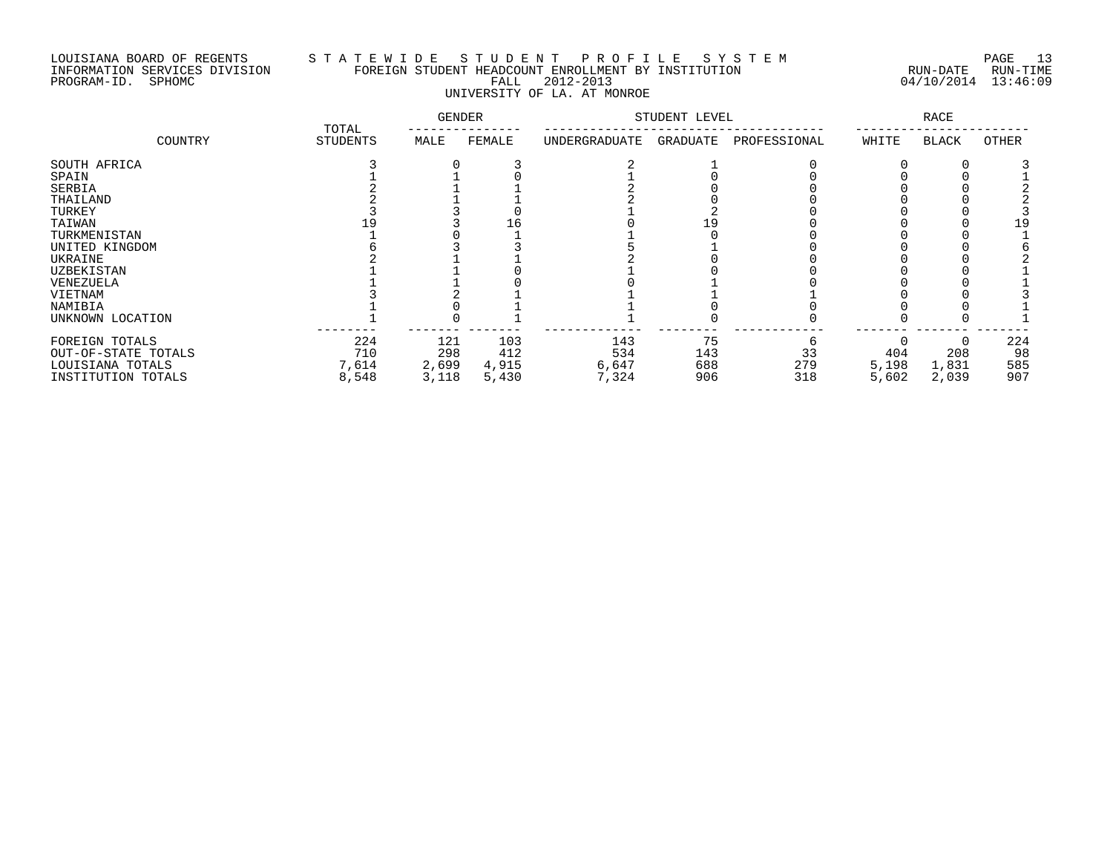## LOUISIANA BOARD OF REGENTS S T A T E W I D E S T U D E N T P R O F I L E S Y S T E M PAGE 13 INFORMATION SERVICES DIVISION FOREIGN STUDENT HEADCOUNT ENROLLMENT BY INSTITUTION RUN-DATE RUN-TIME PROGRAM-ID. SPHOMC FALL 2012-2013 04/10/2014 13:46:09 UNIVERSITY OF LA. AT MONROE

|                     |                          |       | GENDER | STUDENT LEVEL |          |              | <b>RACE</b> |              |              |
|---------------------|--------------------------|-------|--------|---------------|----------|--------------|-------------|--------------|--------------|
| COUNTRY             | TOTAL<br><b>STUDENTS</b> | MALE  | FEMALE | UNDERGRADUATE | GRADUATE | PROFESSIONAL | WHITE       | <b>BLACK</b> | <b>OTHER</b> |
| SOUTH AFRICA        |                          |       |        |               |          |              |             |              |              |
| SPAIN               |                          |       |        |               |          |              |             |              |              |
| SERBIA              |                          |       |        |               |          |              |             |              |              |
| THAILAND            |                          |       |        |               |          |              |             |              |              |
| TURKEY              |                          |       |        |               |          |              |             |              |              |
| TAIWAN              |                          |       |        |               | 19       |              |             |              |              |
| TURKMENISTAN        |                          |       |        |               |          |              |             |              |              |
| UNITED KINGDOM      |                          |       |        |               |          |              |             |              |              |
| UKRAINE             |                          |       |        |               |          |              |             |              |              |
| UZBEKISTAN          |                          |       |        |               |          |              |             |              |              |
| VENEZUELA           |                          |       |        |               |          |              |             |              |              |
| VIETNAM             |                          |       |        |               |          |              |             |              |              |
| NAMIBIA             |                          |       |        |               |          |              |             |              |              |
| UNKNOWN LOCATION    |                          |       |        |               |          |              |             |              |              |
|                     |                          |       |        |               |          |              |             |              |              |
| FOREIGN TOTALS      | 224                      | 121   | 103    | 143           | 75       | h            |             | $\Omega$     | 224          |
| OUT-OF-STATE TOTALS | 710                      | 298   | 412    | 534           | 143      | 33           | 404         | 208          | 98           |
| LOUISIANA TOTALS    | 7,614                    | 2,699 | 4,915  | 6,647         | 688      | 279          | 5,198       | 1,831        | 585          |
|                     |                          |       |        |               |          |              |             |              |              |
| INSTITUTION TOTALS  | 8,548                    | 3,118 | 5,430  | 7,324         | 906      | 318          | 5,602       | 2,039        | 907          |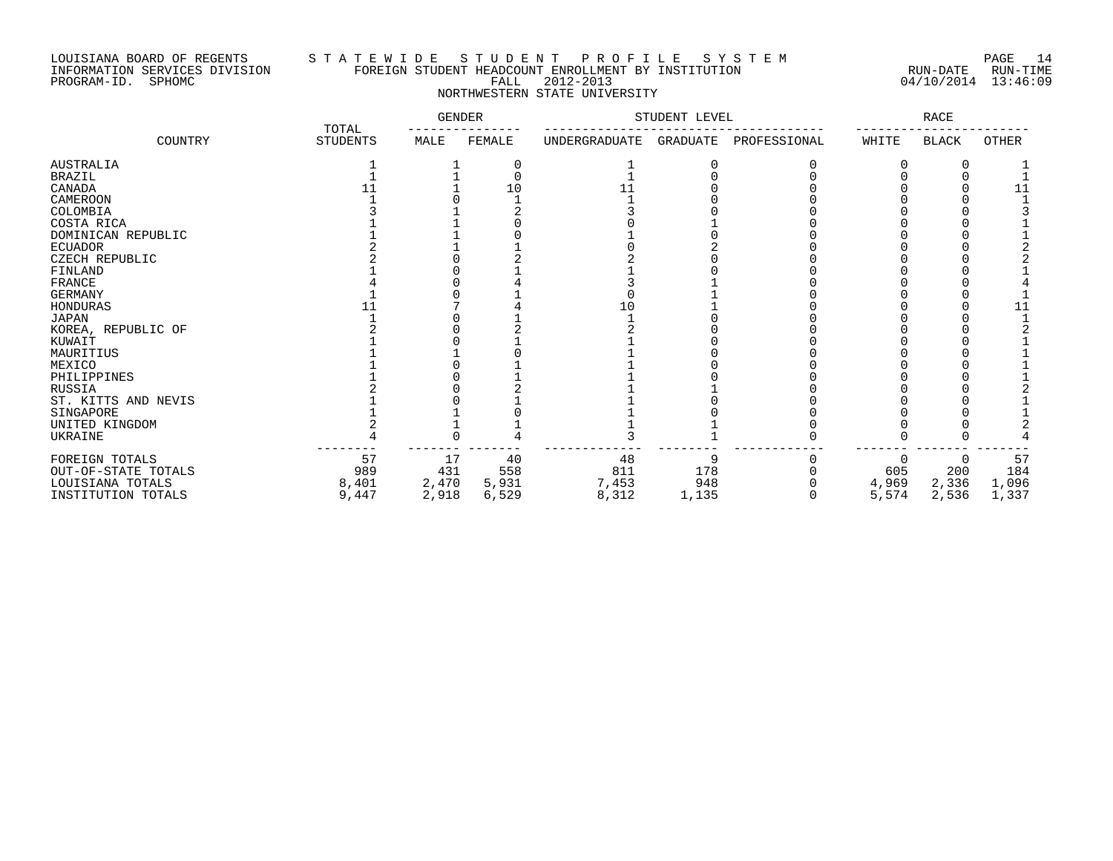### LOUISIANA BOARD OF REGENTS S T A T E W I D E S T U D E N T P R O F I L E S Y S T E M PAGE 14 INFORMATION SERVICES DIVISION FOREIGN STUDENT HEADCOUNT ENROLLMENT BY INSTITUTION RUN-DATE RUN-TIME PROGRAM-ID. SPHOMC FALL 2012-2013 04/10/2014 13:46:09 NORTHWESTERN STATE UNIVERSITY

|                     |                          | <b>GENDER</b> |        | STUDENT LEVEL |          | RACE         |       |              |       |
|---------------------|--------------------------|---------------|--------|---------------|----------|--------------|-------|--------------|-------|
| COUNTRY             | TOTAL<br><b>STUDENTS</b> | MALE          | FEMALE | UNDERGRADUATE | GRADUATE | PROFESSIONAL | WHITE | <b>BLACK</b> | OTHER |
| <b>AUSTRALIA</b>    |                          |               |        |               |          |              |       |              |       |
| <b>BRAZIL</b>       |                          |               |        |               |          |              |       |              |       |
| CANADA              |                          |               | 10     |               |          |              |       |              |       |
| CAMEROON            |                          |               |        |               |          |              |       |              |       |
| COLOMBIA            |                          |               |        |               |          |              |       |              |       |
| COSTA RICA          |                          |               |        |               |          |              |       |              |       |
| DOMINICAN REPUBLIC  |                          |               |        |               |          |              |       |              |       |
| <b>ECUADOR</b>      |                          |               |        |               |          |              |       |              |       |
| CZECH REPUBLIC      |                          |               |        |               |          |              |       |              |       |
| FINLAND             |                          |               |        |               |          |              |       |              |       |
| FRANCE              |                          |               |        |               |          |              |       |              |       |
| <b>GERMANY</b>      |                          |               |        |               |          |              |       |              |       |
| HONDURAS            |                          |               |        | 10            |          |              |       |              | 11    |
| <b>JAPAN</b>        |                          |               |        |               |          |              |       |              |       |
| KOREA, REPUBLIC OF  |                          |               |        |               |          |              |       |              |       |
| KUWAIT              |                          |               |        |               |          |              |       |              |       |
| MAURITIUS           |                          |               |        |               |          |              |       |              |       |
| MEXICO              |                          |               |        |               |          |              |       |              |       |
| PHILIPPINES         |                          |               |        |               |          |              |       |              |       |
| RUSSIA              |                          |               |        |               |          |              |       |              |       |
| ST. KITTS AND NEVIS |                          |               |        |               |          |              |       |              |       |
| SINGAPORE           |                          |               |        |               |          |              |       |              |       |
| UNITED KINGDOM      |                          |               |        |               |          |              |       |              |       |
| UKRAINE             |                          |               |        |               |          |              |       |              |       |
| FOREIGN TOTALS      | 57                       | 17            | 40     | 48            | -9       |              | 0     |              | 57    |
| OUT-OF-STATE TOTALS | 989                      | 431           | 558    | 811           | 178      |              | 605   | 200          | 184   |
| LOUISIANA TOTALS    | 8,401                    | 2,470         | 5,931  | 7,453         | 948      |              | 4,969 | 2,336        | 1,096 |
| INSTITUTION TOTALS  | 9,447                    | 2,918         | 6,529  | 8,312         | 1,135    |              | 5,574 | 2,536        | 1,337 |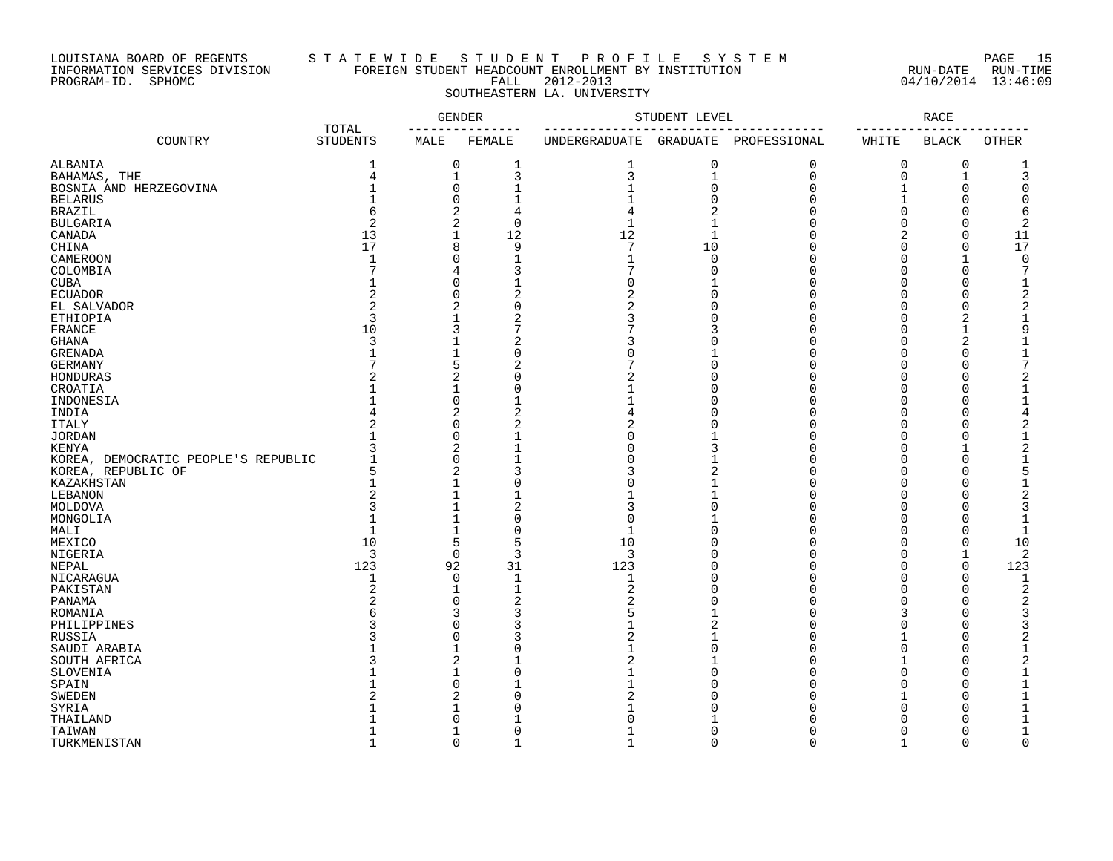### LOUISIANA BOARD OF REGENTS S T A T E W I D E S T U D E N T P R O F I L E S Y S T E M PAGE 15 INFORMATION SERVICES DIVISION FOREIGN STUDENT HEADCOUNT ENROLLMENT BY INSTITUTION RUN-DATE RUN-TIME PROGRAM-ID. SPHOMC FALL 2012-2013 04/10/2014 13:46:09 SOUTHEASTERN LA. UNIVERSITY

|                                     |                          | GENDER       |                | STUDENT LEVEL  |                | <b>RACE</b>           |              |              |          |
|-------------------------------------|--------------------------|--------------|----------------|----------------|----------------|-----------------------|--------------|--------------|----------|
| COUNTRY                             | TOTAL<br><b>STUDENTS</b> | MALE         | FEMALE         | UNDERGRADUATE  |                | GRADUATE PROFESSIONAL | WHITE        | BLACK        | OTHER    |
| ALBANIA                             | 1                        | 0            | 1              | 1              | $\mathbf 0$    | $\mathbf 0$           | 0            | 0            | -1       |
| BAHAMAS, THE                        | 4                        | 1            | 3              | 3              | $\mathbf 1$    | 0                     | 0            | $\mathbf 1$  | 3        |
| BOSNIA AND HERZEGOVINA              |                          | 0            | 1              |                | $\mathbf 0$    | $\mathbf 0$           | 1            | $\Omega$     | $\Omega$ |
| <b>BELARUS</b>                      |                          | $\Omega$     | 1              | 1              | $\Omega$       | $\Omega$              | $\mathbf{1}$ | $\Omega$     | $\Omega$ |
| <b>BRAZIL</b>                       | 6                        | 2            | 4              | 4              | $\overline{c}$ | $\cap$                | $\Omega$     | $\cap$       | 6        |
| <b>BULGARIA</b>                     | 2                        | 2            | $\mathbf 0$    | $\mathbf 1$    | -1             | $\Omega$              | 0            | O            | 2        |
| CANADA                              | 13                       | $\mathbf{1}$ | 12             | 12             | 1              | $\cap$                | 2            | $\Omega$     | 11       |
| CHINA                               | 17                       | 8            | 9              | 7              | 10             | $\Omega$              | $\Omega$     | $\Omega$     | 17       |
| <b>CAMEROON</b>                     | $\mathbf{1}$             | 0            | $\mathbf{1}$   | $\mathbf{1}$   | $\Omega$       | $\Omega$              | $\Omega$     | $\mathbf{1}$ | $\Omega$ |
| COLOMBIA                            |                          | 4            | 3              |                | U              | $\Omega$              | $\Omega$     | $\Omega$     | 7        |
| CUBA                                |                          | 0            | 1              |                |                | $\cap$                | $\Omega$     | $\Omega$     |          |
| <b>ECUADOR</b>                      |                          | 0            | $\overline{2}$ |                |                | ∩                     | $\Omega$     | $\Omega$     |          |
| EL SALVADOR                         | 2                        | 2            | $\Omega$       |                |                | $\cap$                | $\Omega$     | $\Omega$     |          |
| <b>ETHIOPIA</b>                     | 3                        | 1            | 2              |                |                | $\Omega$              | $\Omega$     | 2            |          |
| FRANCE                              | 10                       | 3            | 7              |                |                | O                     | $\Omega$     | 1            | 9        |
| <b>GHANA</b>                        | 3                        | 1            | 2              |                |                | $\Omega$              | $\Omega$     | 2            |          |
| <b>GRENADA</b>                      |                          | $\mathbf{1}$ | $\Omega$       |                |                | $\cap$                | $\Omega$     | $\Omega$     |          |
| <b>GERMANY</b>                      |                          | 5            | $\overline{2}$ |                | $\Omega$       | $\cap$                | $\Omega$     | $\Omega$     |          |
| HONDURAS                            |                          | 2            | $\Omega$       |                | U              | $\Omega$              | $\Omega$     | $\Omega$     |          |
| CROATIA                             |                          | 1            | $\Omega$       |                |                |                       | $\Omega$     | O            |          |
| INDONESIA                           |                          | 0            |                |                |                | $\cap$                | $\Omega$     | $\Omega$     |          |
| INDIA                               |                          | 2            | 2              |                |                | $\cap$                | $\Omega$     | ∩            |          |
| <b>ITALY</b>                        |                          | $\Omega$     | $\overline{2}$ |                |                | $\cap$                | $\Omega$     | O            |          |
| <b>JORDAN</b>                       |                          | 0            |                |                |                | $\Omega$              | $\Omega$     | $\Omega$     |          |
| KENYA                               |                          | 2            |                |                |                | U                     | $\Omega$     |              |          |
| KOREA, DEMOCRATIC PEOPLE'S REPUBLIC |                          | 0            |                |                |                | $\cap$                | $\Omega$     | $\Omega$     |          |
| KOREA, REPUBLIC OF                  | 5                        | 2            | 3              |                | 2              | $\Omega$              | $\Omega$     | ∩            |          |
| KAZAKHSTAN                          |                          | 1            | $\Omega$       |                |                | $\Omega$              | $\Omega$     | $\Omega$     |          |
| LEBANON                             | 2                        |              |                |                |                | $\Omega$              | $\Omega$     | O            |          |
| MOLDOVA                             | 3                        |              | 2              |                |                | $\cap$                | $\Omega$     | O            |          |
| MONGOLIA                            |                          |              | $\Omega$       | U              |                | $\cap$                | $\Omega$     | ∩            |          |
| MALI                                | $\mathbf{1}$             | 1            | $\Omega$       | $\mathbf{1}$   | ∩              | $\cap$                | $\Omega$     | 0            | -1       |
| MEXICO                              | 10                       | 5            | 5              | 10             |                |                       | $\Omega$     | $\Omega$     | 10       |
| NIGERIA                             | 3                        | 0            | 3              | 3              |                | $\Omega$              | $\Omega$     | 1            | 2        |
| NEPAL                               | 123                      | 92           | 31             | 123            |                | $\cap$                | $\Omega$     | $\Omega$     | 123      |
| NICARAGUA                           | $\mathbf{1}$             | $\mathbf 0$  | $\mathbf{1}$   | $\mathbf{1}$   | U              | $\Omega$              | 0            | $\Omega$     | 1        |
| PAKISTAN                            | $\overline{2}$           | 1            | $\mathbf{1}$   | $\overline{2}$ | $\Omega$       | $\Omega$              | $\Omega$     | $\Omega$     | 2        |
| PANAMA                              | 2                        | 0            | 2              |                |                | $\Omega$              | $\Omega$     | $\Omega$     |          |
| ROMANIA                             | 6                        | 3            | 3              | 5              |                | $\cap$                | 3            | $\Omega$     |          |
| PHILIPPINES                         |                          | 0            | 3              |                | 2              | $\cap$                | $\Omega$     | U            |          |
| RUSSIA                              |                          | 0            | 3              |                |                | $\Omega$              | 1            | $\Omega$     |          |
| SAUDI ARABIA                        |                          |              |                |                |                | $\Omega$              | $\Omega$     | 0            |          |
| SOUTH AFRICA                        |                          | 2            |                |                |                | $\cap$                |              | O            |          |
| SLOVENIA                            |                          | 1            | $\cap$         |                |                | ∩                     | $\Omega$     | $\Omega$     |          |
| SPAIN                               |                          | 0            |                |                |                | $\cap$                | $\Omega$     | ∩            |          |
| <b>SWEDEN</b>                       |                          | 2            |                |                |                |                       |              | $\Omega$     |          |
| SYRIA                               |                          |              |                |                |                |                       | $\Omega$     | U            |          |
| THAILAND                            |                          | U            |                |                |                |                       | ∩            | U            |          |
| TAIWAN                              |                          | 1            | $\Omega$       |                | U              | <sup>0</sup>          | $\Omega$     | $\Omega$     | 1        |
| TURKMENISTAN                        | $\mathbf{1}$             | $\Omega$     | $\mathbf{1}$   | $\mathbf{1}$   | $\Omega$       | $\cap$                | $\mathbf{1}$ | $\Omega$     | $\Omega$ |
|                                     |                          |              |                |                |                |                       |              |              |          |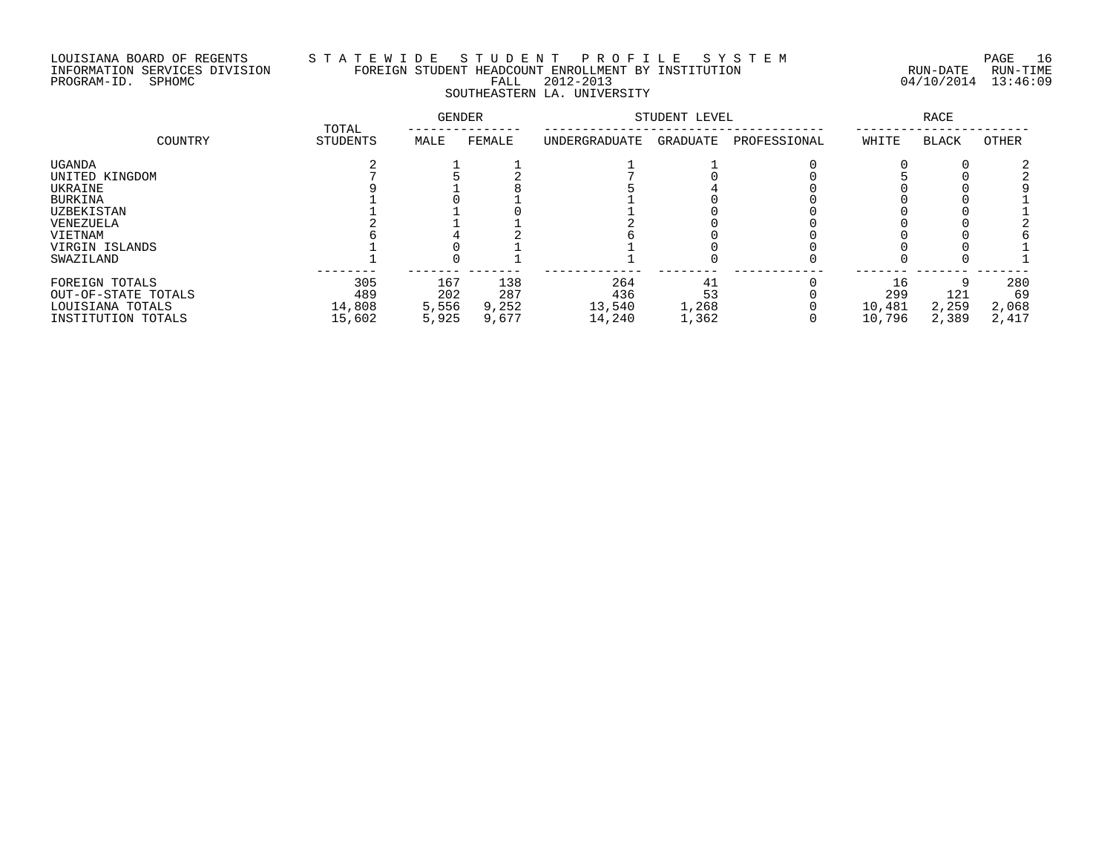# LOUISIANA BOARD OF REGENTS S T A T E W I D E S T U D E N T P R O F I L E S Y S T E M PAGE 16 INFORMATION SERVICES DIVISION FOREIGN STUDENT HEADCOUNT ENROLLMENT BY INSTITUTION RUN-DATE RUN-TIME PROGRAM-ID. SPHOMC FALL 2012-2013 04/10/2014 13:46:09 SOUTHEASTERN LA. UNIVERSITY

| COUNTRY             | TOTAL    | GENDER |        | STUDENT LEVEL |          | RACE         |        |              |       |
|---------------------|----------|--------|--------|---------------|----------|--------------|--------|--------------|-------|
|                     | STUDENTS | MALE   | FEMALE | UNDERGRADUATE | GRADUATE | PROFESSIONAL | WHITE  | <b>BLACK</b> | OTHER |
| UGANDA              |          |        |        |               |          |              |        |              |       |
| UNITED KINGDOM      |          |        |        |               |          |              |        |              |       |
| UKRAINE             |          |        |        |               |          |              |        |              |       |
| BURKINA             |          |        |        |               |          |              |        |              |       |
| UZBEKISTAN          |          |        |        |               |          |              |        |              |       |
| VENEZUELA           |          |        |        |               |          |              |        |              |       |
| VIETNAM             |          |        |        |               |          |              |        |              |       |
| VIRGIN ISLANDS      |          |        |        |               |          |              |        |              |       |
| SWAZILAND           |          |        |        |               |          |              |        |              |       |
| FOREIGN TOTALS      | 305      | 167    | 138    | 264           | 41       |              | 16     |              | 280   |
| OUT-OF-STATE TOTALS | 489      | 202    | 287    | 436           | 53       |              | 299    | 121          | 69    |
| LOUISIANA TOTALS    | 14,808   | 5,556  | 9,252  | 13,540        | 1,268    |              | 10,481 | 2,259        | 2,068 |
| INSTITUTION TOTALS  | 15,602   | 5,925  | 9,677  | 14,240        | 1,362    |              | 10,796 | 2,389        | 2,417 |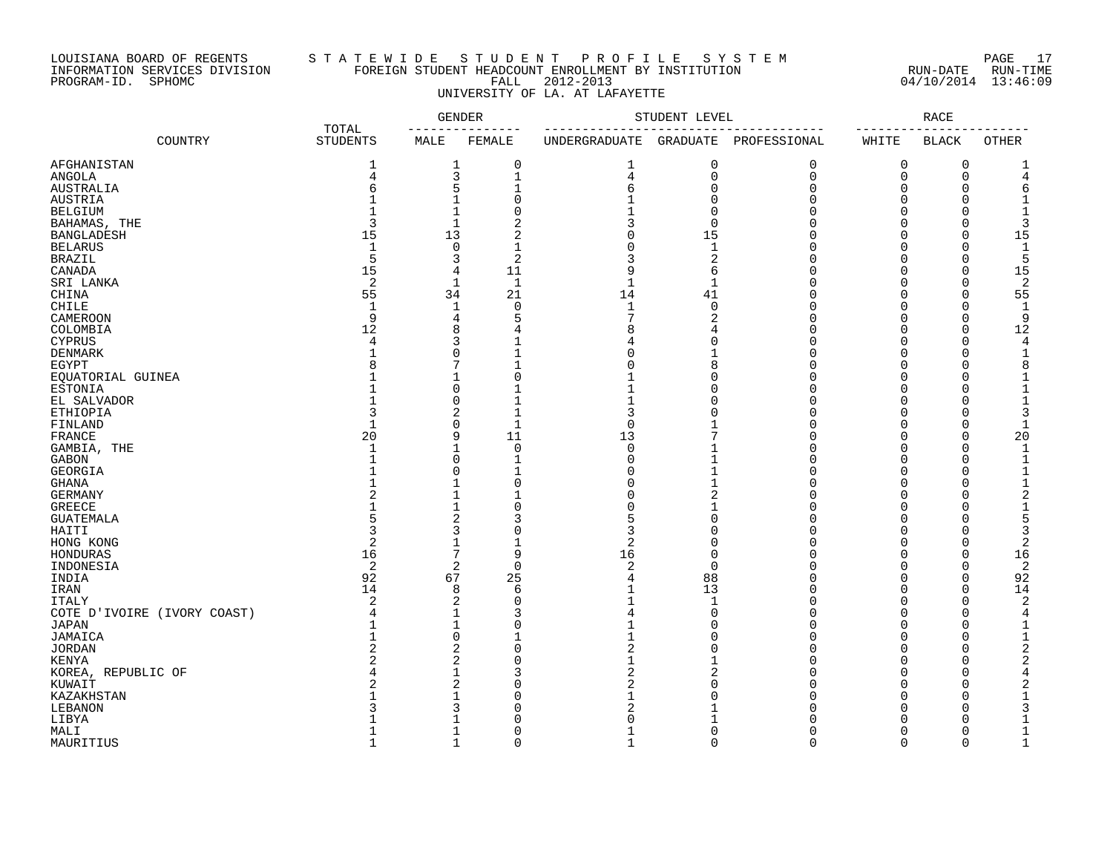### LOUISIANA BOARD OF REGENTS S T A T E W I D E S T U D E N T P R O F I L E S Y S T E M PAGE 17 INFORMATION SERVICES DIVISION FOREIGN STUDENT HEADCOUNT ENROLLMENT BY INSTITUTION RUN-DATE RUN-TIME PROGRAM-ID. SPHOMC FALL 2012-2013 04/10/2014 13:46:09 UNIVERSITY OF LA. AT LAFAYETTE

|                                             |                          |                | <b>GENDER</b>  |               | STUDENT LEVEL  |                       |          | <b>RACE</b>          |                |
|---------------------------------------------|--------------------------|----------------|----------------|---------------|----------------|-----------------------|----------|----------------------|----------------|
| COUNTRY                                     | TOTAL<br><b>STUDENTS</b> | MALE           | FEMALE         | UNDERGRADUATE |                | GRADUATE PROFESSIONAL | WHITE    | <b>BLACK</b>         | <b>OTHER</b>   |
| AFGHANISTAN                                 | 1                        | 1              | 0              | 1             | 0              | 0                     | 0        | 0                    | $\mathbf{1}$   |
| ANGOLA                                      | $\overline{4}$           | 3              | 1              | 4             | 0              | $\mathbf 0$           | 0        | $\mathbf 0$          | 4              |
| <b>AUSTRALIA</b>                            | 6                        | 5              | $\mathbf{1}$   | 6             | $\mathbf 0$    | $\Omega$              | 0        | $\Omega$             | 6              |
| <b>AUSTRIA</b>                              |                          | $\mathbf{1}$   | $\mathbf 0$    |               | $\Omega$       | $\cap$                | $\Omega$ | $\Omega$             | $\mathbf{1}$   |
| <b>BELGIUM</b>                              | 1                        | $\mathbf{1}$   | $\Omega$       | $\mathbf{1}$  | $\Omega$       | $\Omega$              | $\Omega$ | $\Omega$             | $\overline{1}$ |
| BAHAMAS, THE                                | 3                        | $\mathbf{1}$   | 2              |               | $\Omega$       | O                     | 0        | $\Omega$             | 3              |
| <b>BANGLADESH</b>                           | 15                       | 13             | 2              |               | 15             |                       | 0        | $\Omega$             | 15             |
| <b>BELARUS</b>                              | $\mathbf{1}$             | $\mathbf 0$    | $\mathbf{1}$   |               | $\mathbf 1$    | ∩                     | 0        | $\Omega$             | $\mathbf{1}$   |
| <b>BRAZIL</b>                               | 5                        | 3              | $\overline{2}$ |               | $\overline{c}$ | $\Omega$              | $\Omega$ | $\Omega$             | 5              |
| CANADA                                      | 15                       | 4              | 11             | 9             | 6              |                       | 0        | $\Omega$             | 15             |
| SRI LANKA                                   | 2                        | 1              | 1              | $\mathbf{1}$  | $\mathbf{1}$   |                       | $\Omega$ | $\Omega$             | 2              |
| CHINA                                       | 55                       | 34             | 21             | 14            | 41             |                       | $\Omega$ | $\Omega$             | 55             |
| <b>CHILE</b>                                | $\mathbf{1}$             | 1              | $\overline{0}$ | $\mathbf{1}$  | $\Omega$       | $\cap$                | $\Omega$ | $\Omega$             | $\mathbf{1}$   |
| <b>CAMEROON</b>                             | 9                        | 4              | 5              | 7             | $\overline{c}$ | $\Omega$              | $\Omega$ | $\Omega$             | 9              |
| COLOMBIA                                    | 12                       | 8              | 4              | 8             |                | $\Omega$              | 0        | $\Omega$             | 12             |
| <b>CYPRUS</b>                               | $\overline{4}$           | 3              | $\mathbf 1$    | 4             | O              | $\Omega$              | 0        | $\Omega$             | 4              |
| DENMARK                                     | $\mathbf{1}$             | $\Omega$       | $\mathbf{1}$   | U             | -1             | $\cap$                | $\Omega$ | $\Omega$             | $\mathbf{1}$   |
| EGYPT                                       | 8                        | 7              | $\overline{1}$ |               | $\mathsf{R}$   | $\Omega$              | $\Omega$ | $\Omega$             | 8              |
| EQUATORIAL GUINEA                           |                          | 1              | $\mathbf 0$    |               | $\Omega$       | $\Omega$              | 0        | $\Omega$             | 1              |
| <b>ESTONIA</b>                              |                          | 0              |                |               | U              | $\Omega$              | 0        | $\Omega$             | 1              |
| EL SALVADOR                                 |                          | 0              | $\mathbf{1}$   | -1            | $\cap$         | ∩                     | 0        | $\Omega$             | -1             |
| <b>ETHIOPIA</b>                             | 3                        | 2              | $\mathbf{1}$   | 3             | $\Omega$       | $\Omega$              | $\Omega$ | $\Omega$             | 3              |
| FINLAND                                     | $\mathbf{1}$             | 0              | $\mathbf{1}$   | $\Omega$      |                | $\Omega$              | 0        | $\Omega$             | $\mathbf{1}$   |
| FRANCE                                      | 20                       | 9              | 11             | 13            | 7              | $\Omega$              | 0        | 0                    | 20             |
| GAMBIA, THE                                 |                          | 1              | $\mathbf 0$    | $\Omega$      |                | O                     | 0        | $\Omega$             | $\mathbf{1}$   |
| GABON                                       | $\mathbf{1}$             | 0              | $\mathbf{1}$   | ∩             |                | $\Omega$              | $\Omega$ | $\Omega$             | $\mathbf{1}$   |
| <b>GEORGIA</b>                              |                          | $\Omega$       | $\mathbf{1}$   | U             | $\mathbf{1}$   | $\Omega$              | $\Omega$ | $\Omega$             | $\mathbf{1}$   |
| <b>GHANA</b>                                |                          | $\mathbf{1}$   | $\mathbf 0$    | O             |                | $\Omega$              | 0        | $\Omega$             | $\mathbf{1}$   |
| <b>GERMANY</b>                              | 2                        | $\mathbf{1}$   | $\mathbf 1$    | O             | 2              | O                     | 0        | $\Omega$             | 2              |
| <b>GREECE</b>                               |                          | $\mathbf{1}$   | $\mathbf 0$    | U             |                |                       | $\Omega$ | $\Omega$             | $\mathbf{1}$   |
| <b>GUATEMALA</b>                            | 5                        | 2              | 3              | 5             | U              | $\Omega$              | $\Omega$ | O                    | 5              |
| HAITI                                       | 3                        | 3              | $\mathbf 0$    | 3             | $\cap$         | ∩                     | 0        | $\Omega$             | 3              |
| HONG KONG                                   | 2                        | 1              | $\mathbf{1}$   | 2             | U              |                       | $\Omega$ | $\Omega$             | 2              |
| HONDURAS                                    | 16                       | 7              | 9              | 16            | $\Omega$       |                       | 0        | $\Omega$             | 16             |
| INDONESIA                                   | $\overline{2}$           | 2              | $\Omega$       | 2             | $\Omega$       | ∩                     | $\Omega$ | $\Omega$             | $\overline{2}$ |
| INDIA                                       | 92                       | 67             | 25             | 4             | 88             | O                     | $\Omega$ | $\Omega$             | 92             |
| IRAN                                        | 14                       | 8              | 6              | $\mathbf{1}$  | 13             | $\Omega$              | 0        | $\Omega$             | 14             |
|                                             | 2                        | 2              | $\mathbf 0$    | 1             | $\mathbf{1}$   | O                     | $\Omega$ | $\Omega$             | 2              |
| <b>ITALY</b>                                | 4                        | 1              | 3              | 4             | $\Omega$       | $\Omega$              | $\Omega$ | $\Omega$             | 4              |
| COTE D'IVOIRE (IVORY COAST)<br><b>JAPAN</b> | $\mathbf{1}$             | $\mathbf{1}$   | $\Omega$       | $\mathbf{1}$  | $\Omega$       | $\Omega$              | $\Omega$ | $\Omega$             | $\mathbf{1}$   |
|                                             |                          | 0              |                | $\mathbf{1}$  | $\cap$         | $\Omega$              | 0        | $\Omega$             | $\mathbf{1}$   |
| JAMAICA                                     | 2                        | 2              | $\mathbf 0$    |               | $\Omega$       | $\Omega$              | 0        | $\Omega$             | 2              |
| <b>JORDAN</b>                               |                          |                |                | 2<br>1        |                | ∩                     |          |                      |                |
| KENYA                                       | 4                        | 2              | $\Omega$       |               |                | $\Omega$              | 0        | $\Omega$<br>$\Omega$ | $\overline{2}$ |
| KOREA, REPUBLIC OF                          |                          | 1              | 3              | 2             | 2              |                       | $\Omega$ |                      | 4              |
| KUWAIT                                      |                          | $\overline{2}$ | $\Omega$       | 2             | $\cap$         | $\Omega$              | $\Omega$ | $\Omega$             | $\overline{2}$ |
| KAZAKHSTAN                                  |                          | $\mathbf{1}$   | 0              | $\mathbf{1}$  | $\Omega$       | $\Omega$              | 0        | $\Omega$             | $\mathbf{1}$   |
| LEBANON                                     |                          | 3              | 0              | 2             |                | ∩                     | 0        | $\Omega$             | 3              |
| LIBYA                                       |                          | 1              | $\Omega$       |               |                |                       | O        | $\Omega$             | -1             |
| MALI                                        |                          | 1              | $\mathbf 0$    | 1             | $\Omega$       | $\Omega$              | 0        | $\Omega$             | $\mathbf{1}$   |
| MAURITIUS                                   | $\mathbf{1}$             | $\mathbf{1}$   | $\Omega$       | $\mathbf{1}$  | $\Omega$       | $\cap$                | $\Omega$ | $\Omega$             | $\mathbf{1}$   |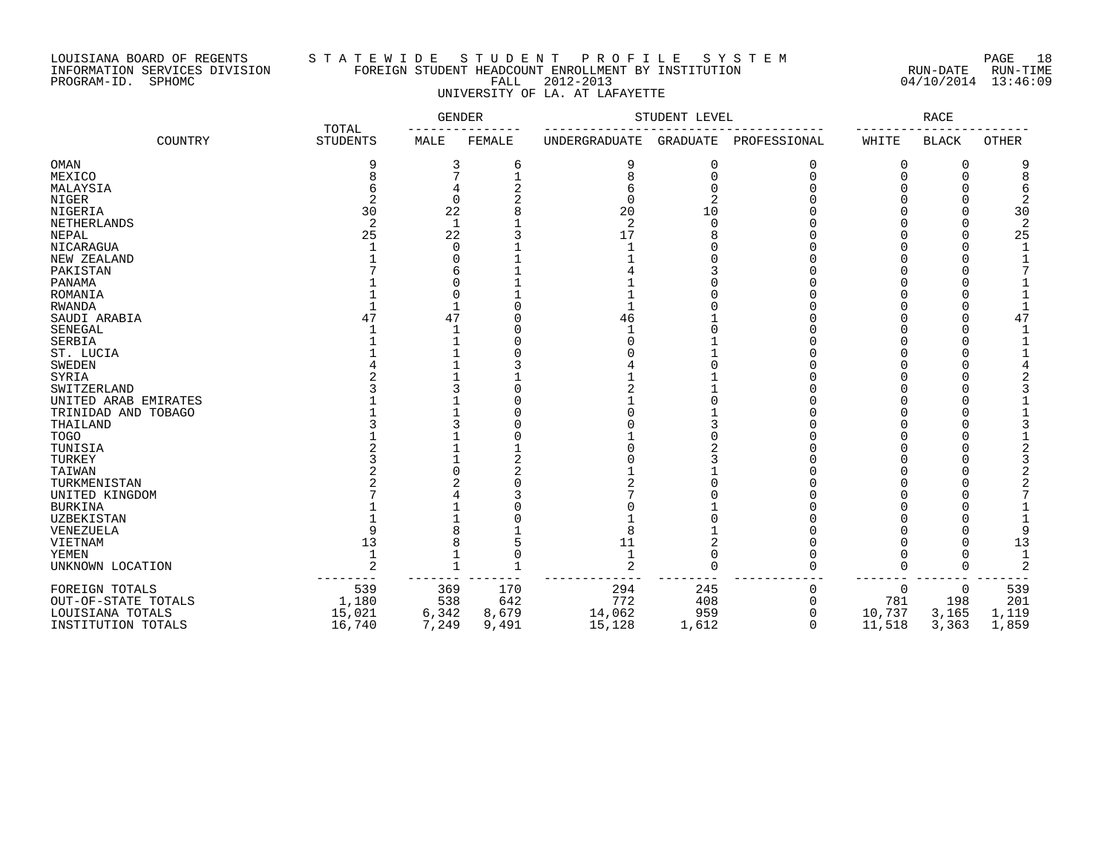## LOUISIANA BOARD OF REGENTS S T A T E W I D E S T U D E N T P R O F I L E S Y S T E M PAGE 18 INFORMATION SERVICES DIVISION FOREIGN STUDENT HEADCOUNT ENROLLMENT BY INSTITUTION RUN-DATE RUN-TIME PROGRAM-ID. SPHOMC FALL 2012-2013 04/10/2014 13:46:09 UNIVERSITY OF LA. AT LAFAYETTE

|                      |                          | GENDER |        |                | STUDENT LEVEL |              |          | RACE         |              |
|----------------------|--------------------------|--------|--------|----------------|---------------|--------------|----------|--------------|--------------|
| COUNTRY              | TOTAL<br><b>STUDENTS</b> | MALE   | FEMALE | UNDERGRADUATE  | GRADUATE      | PROFESSIONAL | WHITE    | <b>BLACK</b> | <b>OTHER</b> |
| OMAN                 | 9                        | 3      | 6      | 9              | 0             | 0            | 0        | $\Omega$     |              |
| MEXICO               | 8                        | 7      |        | 8              | $\Omega$      | O            | 0        | $\Omega$     |              |
| MALAYSIA             |                          |        |        |                |               |              |          |              |              |
| <b>NIGER</b>         |                          | U      |        | ∩              | 2             |              |          |              |              |
| NIGERIA              | 30                       | 22     |        | 20             | 10            |              |          |              | 30           |
| <b>NETHERLANDS</b>   | 2                        | 1      |        | $\overline{2}$ | $\sqrt{ }$    |              |          |              |              |
| NEPAL                | 25                       | 22     |        | 17             |               |              |          |              | 25           |
| NICARAGUA            |                          | ∩      |        |                |               |              |          |              |              |
| NEW ZEALAND          |                          |        |        |                |               |              |          |              |              |
| PAKISTAN             |                          |        |        |                |               |              |          |              |              |
| PANAMA               |                          |        |        |                |               |              |          |              |              |
| ROMANIA              |                          |        |        |                |               |              |          |              |              |
| <b>RWANDA</b>        |                          |        |        |                |               |              |          |              |              |
| SAUDI ARABIA         | 47                       | 47     |        | 46             |               |              |          |              | 47           |
| SENEGAL              |                          |        |        |                |               |              |          |              |              |
| SERBIA               |                          |        |        |                |               |              |          |              |              |
| ST. LUCIA            |                          |        |        |                |               |              |          |              |              |
| <b>SWEDEN</b>        |                          |        |        |                |               |              |          |              |              |
| SYRIA                |                          |        |        |                |               |              |          |              |              |
| SWITZERLAND          |                          |        |        |                |               |              |          |              |              |
| UNITED ARAB EMIRATES |                          |        |        |                |               |              |          |              |              |
| TRINIDAD AND TOBAGO  |                          |        |        |                |               |              |          |              |              |
| THAILAND             |                          |        |        |                |               |              |          |              |              |
| <b>TOGO</b>          |                          |        |        |                |               |              |          |              |              |
| TUNISIA              |                          |        |        |                |               |              |          |              |              |
| TURKEY               |                          |        |        |                |               |              |          |              |              |
| TAIWAN               |                          |        |        |                |               |              |          |              |              |
| TURKMENISTAN         |                          |        |        |                |               |              |          |              |              |
| UNITED KINGDOM       |                          |        |        |                |               |              |          |              |              |
| <b>BURKINA</b>       |                          |        |        |                |               |              |          |              |              |
| UZBEKISTAN           |                          |        |        |                |               |              |          |              |              |
| VENEZUELA            | q                        |        |        | 8              |               |              |          |              | 9            |
| VIETNAM              | 13                       | 8      | 5      | 11             |               |              |          |              | 13           |
| YEMEN                |                          |        |        |                | $\Omega$      |              |          |              |              |
| UNKNOWN LOCATION     |                          |        |        | 2              | $\Omega$      | O            | $\Omega$ | <sup>0</sup> | 2            |
| FOREIGN TOTALS       | 539                      | 369    | 170    | 294            | 245           | 0            | 0        | 0            | 539          |
| OUT-OF-STATE TOTALS  | 1,180                    | 538    | 642    | 772            | 408           | 0            | 781      | 198          | 201          |
| LOUISIANA TOTALS     | 15,021                   | 6,342  | 8,679  | 14,062         | 959           | 0            | 10,737   | 3,165        | 1,119        |
| INSTITUTION TOTALS   | 16,740                   | 7,249  | 9,491  | 15,128         | 1,612         | $\Omega$     | 11,518   | 3,363        | 1,859        |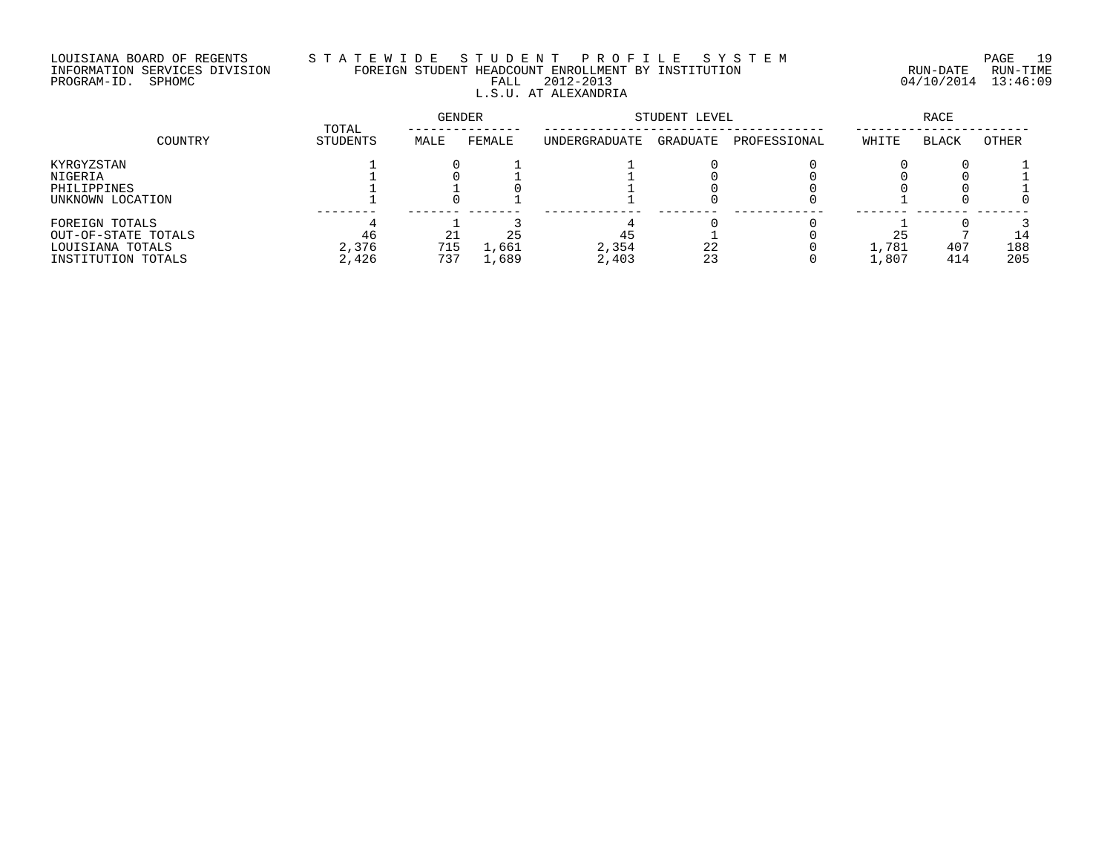# LOUISIANA BOARD OF REGENTS S T A T E W I D E S T U D E N T P R O F I L E S Y S T E M PAGE 19 INFORMATION SERVICES DIVISION FOREIGN STUDENT HEADCOUNT ENROLLMENT BY INSTITUTION RUN-DATE RUN-TIME PROGRAM-ID. SPHOMC FALL 2012-2013 04/10/2014 13:46:09 L.S.U. AT ALEXANDRIA

| COUNTRY             | TOTAL    | <b>GENDER</b> |        | STUDENT LEVEL |          | RACE         |            |              |       |
|---------------------|----------|---------------|--------|---------------|----------|--------------|------------|--------------|-------|
|                     | STUDENTS | MALE          | FEMALE | UNDERGRADUATE | GRADUATE | PROFESSIONAL | WHITE      | <b>BLACK</b> | OTHER |
| KYRGYZSTAN          |          |               |        |               |          |              |            |              |       |
| NIGERIA             |          |               |        |               |          |              |            |              |       |
| PHILIPPINES         |          |               |        |               |          |              |            |              |       |
| UNKNOWN LOCATION    |          |               |        |               |          |              |            |              |       |
| FOREIGN TOTALS      |          |               |        |               |          |              |            |              |       |
| OUT-OF-STATE TOTALS | 46       |               |        | 45            |          |              | 25         |              | 14    |
| LOUISIANA TOTALS    | 2,376    | 715           | ⊥,661  | 2,354         | 22       |              | 1,781      | 407          | 188   |
| INSTITUTION TOTALS  | 2,426    | 737           | ⊥,689  | 2,403         | 23       |              | $\pm$ ,807 | 414          | 205   |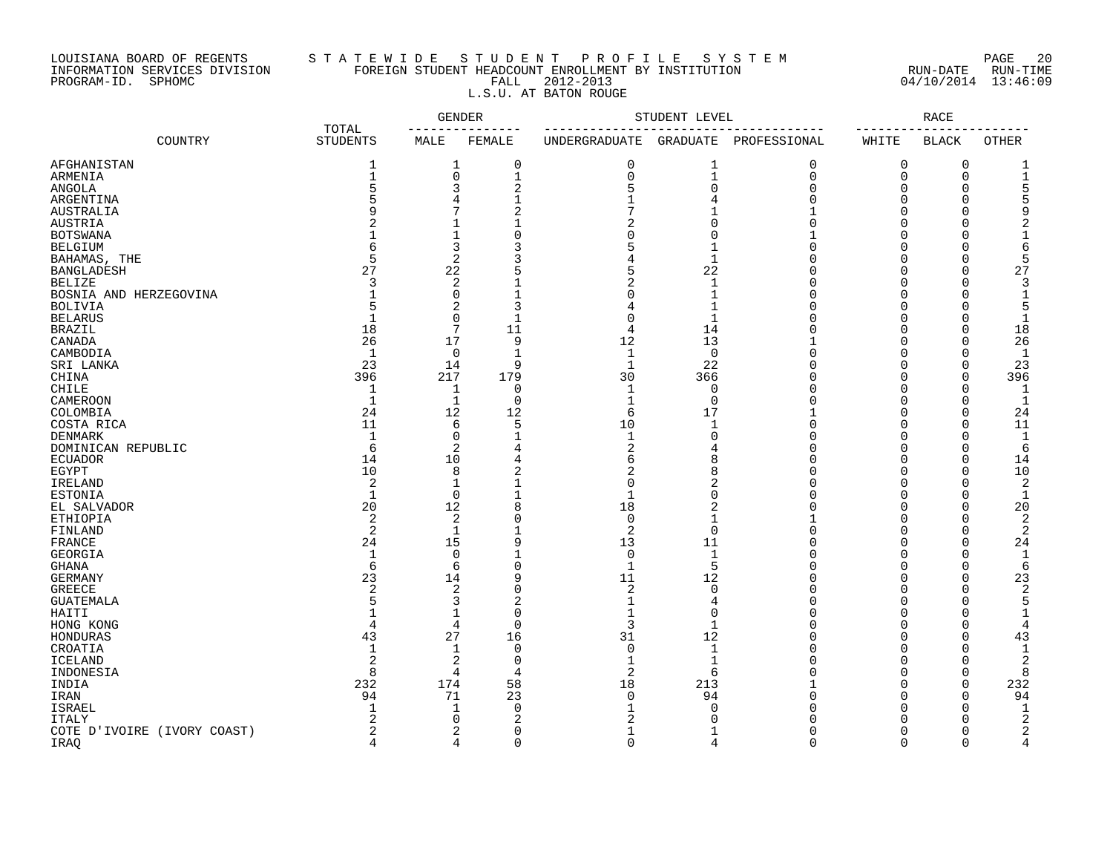# LOUISIANA BOARD OF REGENTS S T A T E W I D E S T U D E N T P R O F I L E S Y S T E M PAGE 20 INFORMATION SERVICES DIVISION FOREIGN STUDENT HEADCOUNT ENROLLMENT BY INSTITUTION RUN-DATE RUN-TIME PROGRAM-ID. SPHOMC FALL 2012-2013 04/10/2014 13:46:09 L.S.U. AT BATON ROUGE

|                             |                          |                   | <b>GENDER</b>  | STUDENT LEVEL                |                 | RACE          |                |              |                |
|-----------------------------|--------------------------|-------------------|----------------|------------------------------|-----------------|---------------|----------------|--------------|----------------|
| COUNTRY                     | TOTAL<br><b>STUDENTS</b> | $- - - -$<br>MALE | FEMALE         | -----------<br>UNDERGRADUATE | <b>GRADUATE</b> | PROFESSIONAL  | -----<br>WHITE | <b>BLACK</b> | <b>OTHER</b>   |
| AFGHANISTAN                 | 1                        | 1                 | 0              | 0                            | 1               | $\Omega$      | 0              | $\mathbf 0$  | 1              |
| ARMENIA                     | $\mathbf{1}$             | 0                 | $\mathbf{1}$   | $\Omega$                     | $\mathbf{1}$    | $\mathbf 0$   | 0              | $\mathbf 0$  | $1\,$          |
| ANGOLA                      | 5                        | 3                 | $\overline{2}$ | 5                            | $\Omega$        | $\Omega$      | $\Omega$       | $\Omega$     | 5              |
| ARGENTINA                   |                          | 4                 | $\mathbf{1}$   | 1                            | 4               | $\Omega$      | 0              | $\Omega$     | 5              |
| AUSTRALIA                   | 9                        | 7                 | $\overline{2}$ | 7                            | $\mathbf{1}$    |               | $\Omega$       | $\cap$       | 9              |
| AUSTRIA                     |                          | 1                 | $\mathbf{1}$   | 2                            | $\Omega$        | $\Omega$      | $\Omega$       | $\cap$       | $\overline{2}$ |
| <b>BOTSWANA</b>             |                          | $\mathbf{1}$      | $\mathbf 0$    | ∩                            | $\Omega$        | $\mathbf{1}$  | $\Omega$       | $\cap$       | $\mathbf 1$    |
| <b>BELGIUM</b>              | 6                        | 3                 | 3              | 5                            | $\mathbf{1}$    | ∩             | $\Omega$       | $\cap$       | 6              |
| BAHAMAS, THE                | 5                        | 2                 | 3              |                              | $\mathbf{1}$    | $\Omega$      | 0              | $\Omega$     | 5              |
| <b>BANGLADESH</b>           | 27                       | 22                |                |                              | 22              | $\Omega$      | $\Omega$       | $\cap$       | 27             |
| <b>BELIZE</b>               | 3                        | 2                 |                |                              | $\mathbf{1}$    | $\Omega$      | $\Omega$       | $\cap$       | 3              |
| BOSNIA AND HERZEGOVINA      |                          | $\Omega$          |                | ∩                            | $\mathbf{1}$    | $\cap$        | $\Omega$       | $\cap$       | $\mathbf{1}$   |
| <b>BOLIVIA</b>              | 5                        | 2                 | 3              |                              | $\mathbf{1}$    | $\Omega$      | $\Omega$       | $\cap$       | 5              |
|                             | $\mathbf 1$              | 0                 | $\mathbf{1}$   | 4<br>$\Omega$                | $\mathbf{1}$    | $\Omega$      | 0              | $\cap$       |                |
| <b>BELARUS</b>              |                          |                   |                |                              |                 | $\Omega$      |                | $\cap$       | $\mathbf 1$    |
| <b>BRAZIL</b>               | 18<br>26                 | 7                 | 11             | 4                            | 14              |               | $\Omega$       | $\cap$       | 18             |
| CANADA                      |                          | 17                | 9              | 12                           | 13              | 1<br>$\Omega$ | $\Omega$       | $\cap$       | 26             |
| CAMBODIA                    | $\mathbf{1}$             | $\Omega$          | $\mathbf{1}$   | 1                            | $\Omega$        |               | $\Omega$       |              | $\mathbf{1}$   |
| SRI LANKA                   | 23                       | 14                | 9              | $\mathbf{1}$                 | 22              | $\Omega$      | $\Omega$       | $\Omega$     | 23             |
| CHINA                       | 396                      | 217               | 179            | 30                           | 366             | $\Omega$      | $\Omega$       | $\Omega$     | 396            |
| CHILE                       | 1                        | 1                 | 0              | $\mathbf{1}$                 | $\mathbf 0$     | $\Omega$      | 0              | $\Omega$     | 1              |
| <b>CAMEROON</b>             | $\mathbf{1}$             | $\mathbf{1}$      | $\overline{0}$ | $\mathbf{1}$                 | $\mathbf 0$     | $\Omega$      | $\Omega$       | $\Omega$     | $\mathbf{1}$   |
| COLOMBIA                    | 24                       | 12                | 12             | 6                            | 17              | 1             | $\Omega$       | $\Omega$     | 24             |
| COSTA RICA                  | 11                       | 6                 | 5              | 10                           | $\mathbf{1}$    | $\Omega$      | $\Omega$       | $\cap$       | 11             |
| DENMARK                     | $\mathbf{1}$             | 0                 |                | $\mathbf{1}$                 | $\mathbf 0$     | $\Omega$      | 0              | $\Omega$     | $\mathbf 1$    |
| DOMINICAN REPUBLIC          | 6                        | 2                 | 4              | $\overline{2}$               | 4               | ∩             | $\Omega$       | $\cap$       | 6              |
| <b>ECUADOR</b>              | 14                       | 10                | 4              | 6                            | 8               | ∩             | $\Omega$       | $\Omega$     | 14             |
| EGYPT                       | 10                       | 8                 | 2              | 2                            | 8               | $\Omega$      | $\Omega$       | $\cap$       | 10             |
| IRELAND                     | 2                        | $\mathbf 1$       |                | O                            | $\overline{2}$  | $\cap$        | $\Omega$       | $\cap$       | $\overline{2}$ |
| <b>ESTONIA</b>              | $\mathbf 1$              | 0                 | $\mathbf{1}$   | $\mathbf{1}$                 | 0               | $\Omega$      | $\Omega$       | $\Omega$     | $\mathbf{1}$   |
| EL SALVADOR                 | 20                       | 12                | 8              | 18                           | 2               | $\Omega$      | $\Omega$       | $\cap$       | 20             |
| ETHIOPIA                    | 2                        | 2                 | $\mathbf 0$    | $\Omega$                     | $\mathbf{1}$    | 1             | 0              | $\Omega$     | $\overline{2}$ |
| FINLAND                     | 2                        | $\mathbf{1}$      | $\mathbf{1}$   | 2                            | $\mathbf 0$     | $\Omega$      | 0              | $\cap$       | 2              |
| <b>FRANCE</b>               | 24                       | 15                | 9              | 13                           | 11              | $\Omega$      | $\Omega$       | $\cap$       | 24             |
| GEORGIA                     | $\mathbf{1}$             | 0                 |                | $\overline{0}$               | $\mathbf{1}$    | $\cap$        | $\Omega$       | $\cap$       | $\mathbf{1}$   |
| <b>GHANA</b>                | 6                        | 6                 | $\mathbf 0$    | $\mathbf 1$                  | 5               | $\Omega$      | $\Omega$       | $\Omega$     | 6              |
| GERMANY                     | 23                       | 14                | 9              | 11                           | 12              | $\Omega$      | 0              | $\Omega$     | 23             |
| <b>GREECE</b>               | 2                        | 2                 | $\Omega$       | 2                            | $\mathbf 0$     | $\Omega$      | $\Omega$       | $\cap$       | $\overline{2}$ |
| <b>GUATEMALA</b>            | 5                        | 3                 | $\overline{a}$ | 1                            | 4               | $\Omega$      | $\Omega$       | $\cap$       | 5              |
| HAITI                       | $\mathbf{1}$             | $\mathbf{1}$      | $\Omega$       | $\mathbf{1}$                 | $\Omega$        | $\Omega$      | $\Omega$       | $\cap$       | $\mathbf{1}$   |
| HONG KONG                   | $\overline{4}$           | 4                 | $\overline{0}$ | 3                            | $\mathbf{1}$    | $\Omega$      | $\Omega$       | $\Omega$     | $\overline{4}$ |
| HONDURAS                    | 43                       | 27                | 16             | 31                           | 12              | $\Omega$      | 0              | $\cap$       | 43             |
| CROATIA                     | $\mathbf 1$              | 1                 | $\mathbf 0$    | $\Omega$                     | $\mathbf{1}$    | $\Omega$      | 0              | $\cap$       | $\mathbf 1$    |
| ICELAND                     | $\overline{2}$           | 2                 | $\mathbf 0$    | $\mathbf{1}$                 | $\mathbf{1}$    | $\cap$        | $\Omega$       | $\cap$       | $\overline{2}$ |
| INDONESIA                   | 8                        | 4                 | $\overline{4}$ | 2                            | 6               | $\Omega$      | $\Omega$       | $\cap$       | 8              |
| INDIA                       | 232                      | 174               | 58             | 18                           | 213             |               | $\Omega$       | $\mathbf 0$  | 232            |
| IRAN                        | 94                       | 71                | 23             | $\Omega$                     | 94              | $\Omega$      | 0              | $\Omega$     | 94             |
| ISRAEL                      | $\mathbf 1$              | 1                 | $\mathbf 0$    | 1                            | 0               | ∩             | $\Omega$       | $\Omega$     | 1              |
| <b>ITALY</b>                |                          | $\Omega$          | $\overline{2}$ |                              | ∩               | $\cap$        | $\Omega$       | $\cap$       | $\overline{2}$ |
| COTE D'IVOIRE (IVORY COAST) | 2                        | 2                 | $\mathbf 0$    | 1                            | 1               | $\Omega$      | $\Omega$       | $\Omega$     | 2              |
| IRAO                        | $\Delta$                 | 4                 | $\Omega$       | $\Omega$                     | 4               | $\Omega$      | $\Omega$       | $\Omega$     | 4              |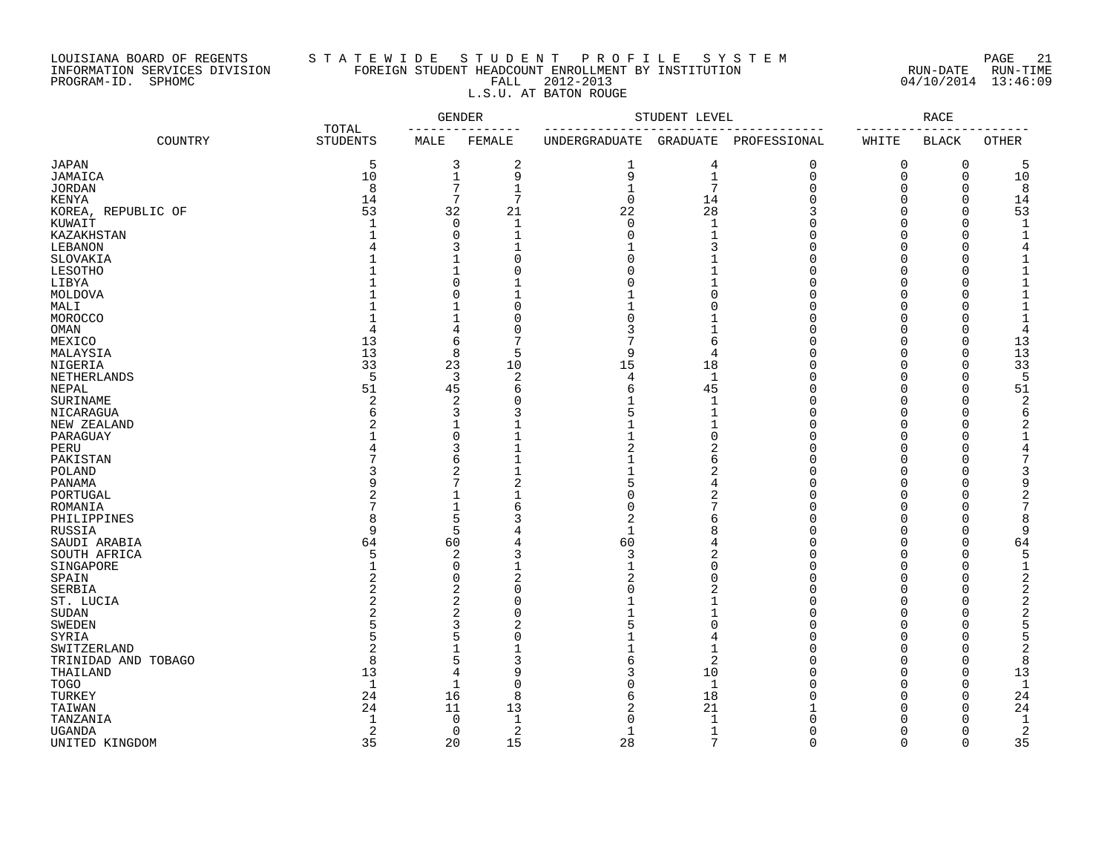# LOUISIANA BOARD OF REGENTS S T A T E W I D E S T U D E N T P R O F I L E S Y S T E M PAGE 21 INFORMATION SERVICES DIVISION FOREIGN STUDENT HEADCOUNT ENROLLMENT BY INSTITUTION RUN-DATE RUN-TIME PROGRAM-ID. SPHOMC FALL 2012-2013 04/10/2014 13:46:09 L.S.U. AT BATON ROUGE

|                     |                          |                | <b>GENDER</b>  |               | STUDENT LEVEL  |              |          | RACE         |                |
|---------------------|--------------------------|----------------|----------------|---------------|----------------|--------------|----------|--------------|----------------|
| COUNTRY             | TOTAL<br><b>STUDENTS</b> | MALE           | FEMALE         | UNDERGRADUATE | GRADUATE       | PROFESSIONAL | WHITE    | <b>BLACK</b> | OTHER          |
| <b>JAPAN</b>        | 5                        | 3              | 2              | 1             | 4              | $\mathbf 0$  | 0        | $\mathbf 0$  | 5              |
| JAMAICA             | 10                       | $1\,$          | 9              | 9             | $1\,$          | $\mathbf 0$  | 0        | $\mathbf 0$  | 10             |
| <b>JORDAN</b>       | 8                        | 7              | $\mathbf{1}$   | $\mathbf{1}$  | 7              | $\mathbf 0$  | 0        | 0            | 8              |
|                     | 14                       | 7              | 7              | $\mathbf 0$   | 14             | $\Omega$     | 0        | 0            | 14             |
| KENYA               |                          |                |                |               |                |              |          |              |                |
| KOREA, REPUBLIC OF  | 53                       | 32             | 21             | 22            | 28             | 3            | 0        | $\Omega$     | 53             |
| KUWAIT              | $\mathbf{1}$             | $\mathbf 0$    | 1              | $\Omega$      | 1              | $\Omega$     | 0        | $\Omega$     | $\mathbf 1$    |
| KAZAKHSTAN          |                          | 0              | $\mathbf{1}$   | $\Omega$      | 1              | $\Omega$     | 0        | $\Omega$     | $\mathbf{1}$   |
| LEBANON             |                          | 3              | 1              | -1            | 3              | $\Omega$     | 0        | $\Omega$     | $\overline{4}$ |
| SLOVAKIA            |                          | 1              | $\Omega$       | O             |                | $\Omega$     | 0        | $\Omega$     | 1              |
| LESOTHO             |                          | 1              |                | O             |                | ∩            | 0        | $\Omega$     | 1              |
| LIBYA               |                          | 0              |                | U             | 1              | ∩            | 0        | $\Omega$     | $\mathbf{1}$   |
| MOLDOVA             |                          | 0              |                |               | $\Omega$       | $\Omega$     | O        | $\Omega$     | $\mathbf 1$    |
| MALI                |                          |                |                |               | $\Omega$       | $\Omega$     | 0        | $\Omega$     | $\mathbf{1}$   |
|                     |                          |                |                | C             |                | ∩            | 0        | ∩            |                |
| MOROCCO             |                          |                |                |               |                |              |          |              | $\mathbf 1$    |
| <b>OMAN</b>         |                          | 4              | $\cap$         | 3             |                | ∩            | O        | $\Omega$     | 4              |
| MEXICO              | 13                       | 6              |                |               | 6              | ∩            | O        | $\Omega$     | 13             |
| MALAYSIA            | 13                       | 8              | 5              | 9             | 4              | $\Omega$     | O        | $\Omega$     | 13             |
| NIGERIA             | 33                       | 23             | 10             | 15            | 18             | $\Omega$     | 0        | $\Omega$     | 33             |
| NETHERLANDS         | 5                        | 3              | 2              | 4             | $\mathbf{1}$   | $\Omega$     | 0        | $\Omega$     | 5              |
| NEPAL               | 51                       | 45             | 6              | 6             | 45             | $\Omega$     | 0        | $\Omega$     | 51             |
| SURINAME            | 2                        | 2              | $\Omega$       | $\mathbf 1$   | $\mathbf{1}$   | $\Omega$     | 0        | $\Omega$     | 2              |
| NICARAGUA           | 6                        | 3              | 3              | 5             | $\mathbf{1}$   | $\Omega$     | 0        | $\Omega$     | 6              |
|                     |                          | 1              |                |               |                | $\Omega$     | 0        | $\Omega$     |                |
| NEW ZEALAND         |                          |                |                |               | $\mathbf{1}$   |              |          |              | 2              |
| PARAGUAY            |                          | 0              |                |               | 0              | ∩            | 0        | $\Omega$     | $\mathbf 1$    |
| PERU                |                          | 3              |                |               | 2              | $\Omega$     | 0        | $\Omega$     | 4              |
| PAKISTAN            |                          | 6              |                |               | 6              | $\Omega$     | 0        | $\Omega$     | 7              |
| POLAND              |                          | 2              |                |               | $\overline{2}$ | $\Omega$     | 0        | $\Omega$     | 3              |
| PANAMA              |                          | 7              | 2              | 5             |                | $\Omega$     | 0        | ∩            | 9              |
| PORTUGAL            |                          | 1              |                | O             | $\overline{2}$ | $\Omega$     | 0        | $\Omega$     | $\overline{a}$ |
| ROMANIA             |                          | $\mathbf{1}$   | 6              | $\Omega$      | 7              | $\Omega$     | 0        | $\Omega$     | $\overline{7}$ |
| PHILIPPINES         |                          | 5              | 3              | 2             | 6              | ∩            | 0        | $\Omega$     | 8              |
|                     | q                        | 5              |                | $\mathbf{1}$  | 8              | $\Omega$     | 0        | $\Omega$     | 9              |
| RUSSIA              |                          |                |                |               |                |              |          |              |                |
| SAUDI ARABIA        | 64                       | 60             |                | 60            | 4              | ∩            | 0        | $\Omega$     | 64             |
| SOUTH AFRICA        | 5                        | $\overline{2}$ | 3              | 3             | $\overline{c}$ | $\Omega$     | O        | $\Omega$     | 5              |
| SINGAPORE           |                          | 0              |                | -1            | $\Omega$       | $\Omega$     | 0        | ∩            | $\mathbf 1$    |
| SPAIN               | 2                        | 0              | 2              |               | $\Omega$       | ∩            | 0        |              | $\overline{a}$ |
| SERBIA              | 2                        | 2              | $\Omega$       | ∩             | 2              | ∩            | O        | $\Omega$     | $\overline{c}$ |
| ST. LUCIA           | 2                        | 2              | $\Omega$       |               |                | $\cap$       | 0        | $\Omega$     | $\overline{c}$ |
| <b>SUDAN</b>        | 2                        | 2              | $\Omega$       |               | 1              | $\Omega$     | 0        | $\Omega$     | $\overline{c}$ |
| <b>SWEDEN</b>       |                          | 3              | $\overline{2}$ | 5             | $\mathbf 0$    | $\Omega$     | 0        | $\Omega$     | 5              |
|                     |                          | 5              | $\Omega$       |               | 4              | $\Omega$     | 0        | $\Omega$     | 5              |
| SYRIA               |                          |                |                |               |                | $\Omega$     |          |              |                |
| SWITZERLAND         | $\overline{c}$           | $\mathbf{1}$   | 1              | $\mathbf{1}$  | $\mathbf{1}$   |              | 0        | $\Omega$     | $\overline{2}$ |
| TRINIDAD AND TOBAGO | 8                        | 5              | 3              | 6             | $\overline{2}$ | $\Omega$     | O        | $\Omega$     | 8              |
| THAILAND            | 13                       | 4              | 9              | 3             | 10             | $\Omega$     | 0        | $\Omega$     | 13             |
| <b>TOGO</b>         | $\mathbf{1}$             | $\mathbf 1$    | $\Omega$       | O             | $\mathbf{1}$   | $\Omega$     | 0        | $\Omega$     | $\mathbf{1}$   |
| TURKEY              | 24                       | 16             | 8              | 6             | 18             | ∩            | 0        | $\Omega$     | 24             |
| TAIWAN              | 24                       | 11             | 13             |               | 21             |              | O        | $\Omega$     | 24             |
| TANZANIA            |                          | 0              | 1              | n             | $\mathbf{1}$   | ∩            | O        | ∩            | 1              |
| <b>UGANDA</b>       | 2                        | $\mathbf 0$    | $\overline{2}$ | -1            | $\mathbf 1$    | $\Omega$     | 0        | $\Omega$     | $\overline{2}$ |
|                     |                          |                |                |               |                |              |          |              |                |
| UNITED KINGDOM      | 35                       | 20             | 15             | 28            | 7              | $\Omega$     | $\Omega$ | $\Omega$     | 35             |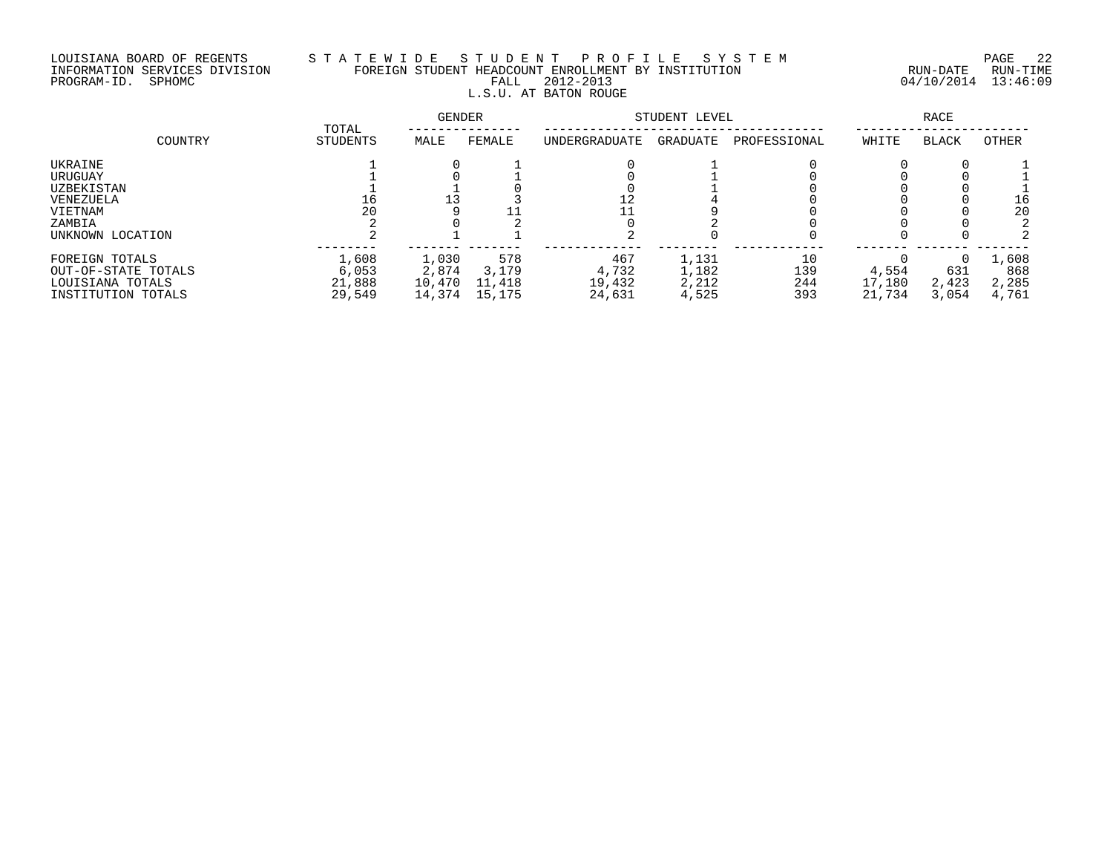# LOUISIANA BOARD OF REGENTS S T A T E W I D E S T U D E N T P R O F I L E S Y S T E M PAGE 22 INFORMATION SERVICES DIVISION FOREIGN STUDENT HEADCOUNT ENROLLMENT BY INSTITUTION RUN-DATE RUN-TIME PROGRAM-ID. SPHOMC FALL 2012-2013 04/10/2014 13:46:09 L.S.U. AT BATON ROUGE

| COUNTRY             | TOTAL    | <b>GENDER</b> |        | STUDENT LEVEL | RACE     |              |        |              |       |
|---------------------|----------|---------------|--------|---------------|----------|--------------|--------|--------------|-------|
|                     | STUDENTS | MALE          | FEMALE | UNDERGRADUATE | GRADUATE | PROFESSIONAL | WHITE  | <b>BLACK</b> | OTHER |
| UKRAINE             |          |               |        |               |          |              |        |              |       |
| URUGUAY             |          |               |        |               |          |              |        |              |       |
| UZBEKISTAN          |          |               |        |               |          |              |        |              |       |
| VENEZUELA           | 16       |               |        | ⊥∠            |          |              |        |              | 16    |
| VIETNAM             | 20       |               |        |               |          |              |        |              | 20    |
| ZAMBIA              |          |               |        |               |          |              |        |              |       |
| UNKNOWN LOCATION    |          |               |        |               |          |              |        |              |       |
| FOREIGN TOTALS      | 1,608    | 1,030         | 578    | 467           | 1,131    | 10           |        |              | 1,608 |
| OUT-OF-STATE TOTALS | 6,053    | 2,874         | 3,179  | 4,732         | 1,182    | 139          | 4,554  | 631          | 868   |
| LOUISIANA TOTALS    | 21,888   | 10,470        | 11,418 | 19,432        | 2,212    | 244          | 17,180 | 2,423        | 2,285 |
| INSTITUTION TOTALS  | 29,549   | 14,374        | 15,175 | 24,631        | 4,525    | 393          | 21,734 | 3,054        | 4,761 |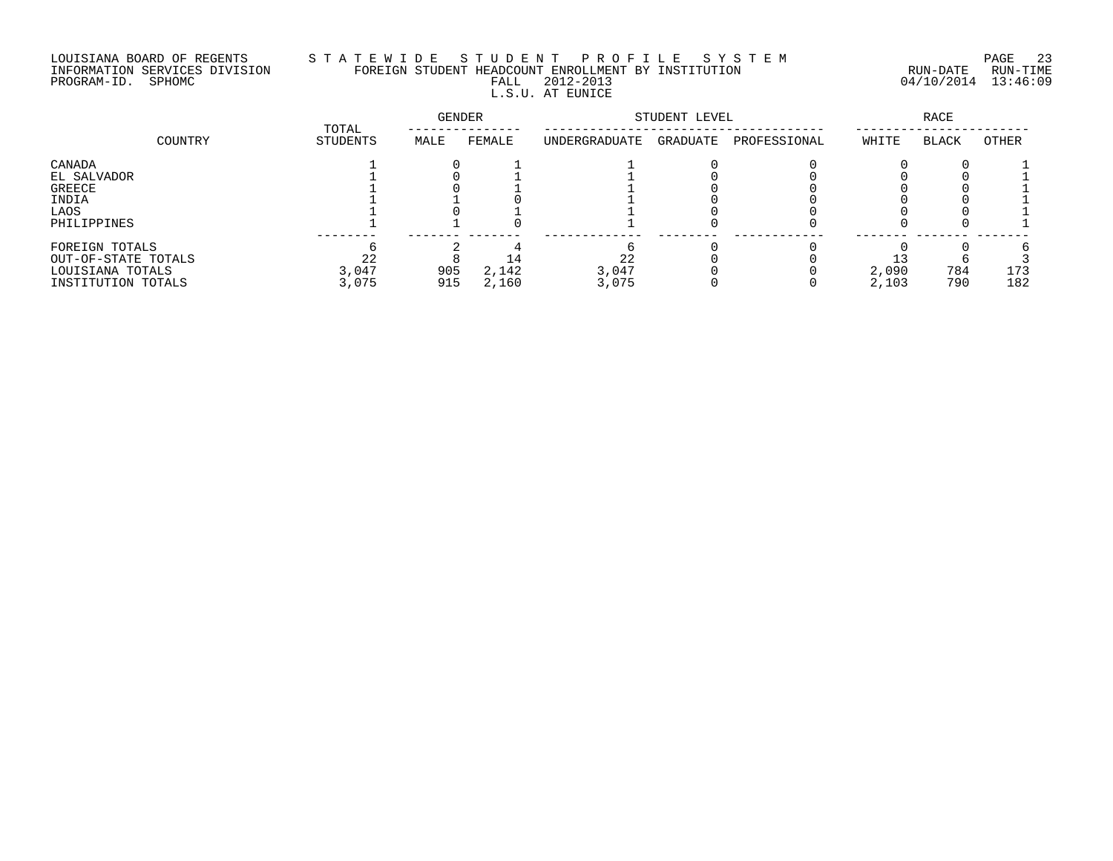# LOUISIANA BOARD OF REGENTS S T A T E W I D E S T U D E N T P R O F I L E S Y S T E M PAGE 23 INFORMATION SERVICES DIVISION FOREIGN STUDENT HEADCOUNT ENROLLMENT BY INSTITUTION RUN-DATE RUN-TIME PROGRAM-ID. SPHOMC FALL 2012-2013 04/10/2014 13:46:09 L.S.U. AT EUNICE

| COUNTRY             |                   | GENDER |        | STUDENT LEVEL | RACE     |              |       |              |       |
|---------------------|-------------------|--------|--------|---------------|----------|--------------|-------|--------------|-------|
|                     | TOTAL<br>STUDENTS | MALE   | FEMALE | UNDERGRADUATE | GRADUATE | PROFESSIONAL | WHITE | <b>BLACK</b> | OTHER |
| CANADA              |                   |        |        |               |          |              |       |              |       |
| EL SALVADOR         |                   |        |        |               |          |              |       |              |       |
| GREECE              |                   |        |        |               |          |              |       |              |       |
| INDIA               |                   |        |        |               |          |              |       |              |       |
| LAOS                |                   |        |        |               |          |              |       |              |       |
| PHILIPPINES         |                   |        |        |               |          |              |       |              |       |
| FOREIGN TOTALS      |                   |        |        |               |          |              |       |              |       |
| OUT-OF-STATE TOTALS | 22                |        |        | 22            |          |              |       |              |       |
| LOUISIANA TOTALS    | 3,047             | 905    | 2,142  | 3,047         |          |              | 2,090 | 784          | 173   |
| INSTITUTION TOTALS  | 3,075             | 915    | 2,160  | 3,075         |          |              | 2,103 | 790          | 182   |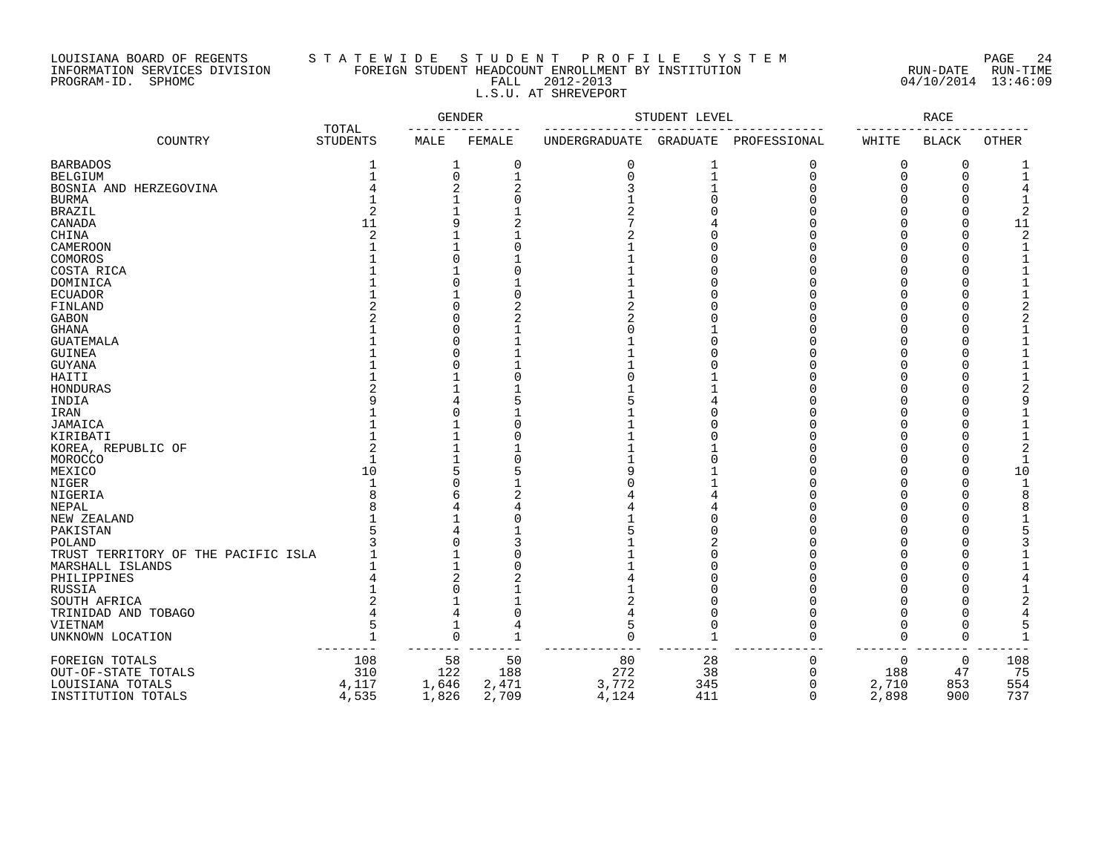# LOUISIANA BOARD OF REGENTS S T A T E W I D E S T U D E N T P R O F I L E S Y S T E M PAGE 24 INFORMATION SERVICES DIVISION FOREIGN STUDENT HEADCOUNT ENROLLMENT BY INSTITUTION RUN-DATE RUN-TIME PROGRAM-ID. SPHOMC FALL 2012-2013 04/10/2014 13:46:09 L.S.U. AT SHREVEPORT

|                                     |                          | <b>GENDER</b> |              |               | STUDENT LEVEL |              |       | <b>RACE</b>  |                |
|-------------------------------------|--------------------------|---------------|--------------|---------------|---------------|--------------|-------|--------------|----------------|
| COUNTRY                             | TOTAL<br><b>STUDENTS</b> | MALE          | FEMALE       | UNDERGRADUATE | GRADUATE      | PROFESSIONAL | WHITE | <b>BLACK</b> | OTHER          |
| <b>BARBADOS</b>                     | 1                        | 1             | 0            | 0             | 1             | 0            | 0     | 0            | 1              |
| <b>BELGIUM</b>                      |                          | 0             | $\mathbf{1}$ |               | $\mathbf 1$   | O            | O     | $\mathbf 0$  |                |
| BOSNIA AND HERZEGOVINA              |                          | 2             |              |               |               |              |       | 0            |                |
| <b>BURMA</b>                        |                          |               |              |               |               |              |       | O            | 1              |
| <b>BRAZIL</b>                       |                          |               |              |               |               |              |       | O            | $\overline{2}$ |
| CANADA                              | 11                       | 9             |              |               |               |              |       | 0            | 11             |
| CHINA                               | 2                        |               |              |               |               |              |       | 0            |                |
| <b>CAMEROON</b>                     |                          |               |              |               |               |              |       | $\Omega$     | 1              |
| COMOROS                             |                          | O             |              |               |               |              |       | 0            |                |
| COSTA RICA                          |                          |               |              |               |               |              |       | O            | 1              |
| DOMINICA                            |                          | O             |              |               |               |              |       | O            |                |
| <b>ECUADOR</b>                      |                          |               |              |               |               |              |       | 0            |                |
| FINLAND                             |                          | O             |              |               |               |              |       | O            |                |
| <b>GABON</b>                        |                          | N             |              |               |               |              |       | O            | 2              |
| GHANA                               |                          | O             |              |               |               |              |       | O            |                |
| <b>GUATEMALA</b>                    |                          | N             |              |               |               |              |       | O            |                |
| <b>GUINEA</b>                       |                          | O             |              |               |               |              |       | O            |                |
| <b>GUYANA</b>                       |                          | N             |              |               |               |              |       | O            |                |
| HAITI                               |                          |               |              |               |               |              |       | U            |                |
| HONDURAS                            |                          |               |              |               |               |              |       | U            |                |
| INDIA                               |                          |               |              |               |               |              |       | O            | 9              |
| IRAN                                |                          | N             |              |               |               |              |       | O            |                |
| JAMAICA                             |                          |               |              |               |               |              |       | O            |                |
| KIRIBATI                            |                          |               |              |               |               |              |       | U            | $\mathbf 1$    |
| KOREA, REPUBLIC OF                  |                          |               |              |               |               |              |       | O            | $\overline{2}$ |
| MOROCCO                             |                          |               |              |               |               |              |       | O            | 1              |
| MEXICO                              | 10                       | 5             |              |               |               |              |       | 0            | 10             |
| NIGER                               |                          | O             |              |               |               |              |       | U            |                |
| NIGERIA                             |                          | 6             |              |               |               |              |       | U            | 8              |
| NEPAL                               |                          |               |              |               |               |              |       | U            | 8              |
| NEW ZEALAND                         |                          |               |              |               |               |              |       | U            |                |
| PAKISTAN                            |                          |               |              |               |               |              |       | U            |                |
| POLAND                              |                          |               |              |               |               |              |       | U            |                |
| TRUST TERRITORY OF THE PACIFIC ISLA |                          |               |              |               |               |              |       | U            |                |
| MARSHALL ISLANDS                    |                          |               |              |               |               |              |       | U            |                |
| PHILIPPINES                         |                          | 2             |              |               |               |              |       | U            |                |
| <b>RUSSIA</b>                       |                          | O             |              |               |               |              |       | O            |                |
| SOUTH AFRICA                        |                          |               |              |               |               |              |       | U            |                |
| TRINIDAD AND TOBAGO                 |                          | 4             |              |               |               |              |       | O            |                |
| VIETNAM                             | 5                        |               | 4            |               | C             |              | Ω     | U            | 5              |
| UNKNOWN LOCATION                    | $\mathbf{1}$             | 0             | $\mathbf 1$  | O             | $\mathbf 1$   |              | O     | 0            | 1              |
| FOREIGN TOTALS                      | 108                      | 58            | 50           | 80            | 28            | 0            | 0     | 0            | 108            |
| OUT-OF-STATE TOTALS                 | 310                      | 122           | 188          | 272           | 38            | 0            | 188   | 47           | 75             |
| LOUISIANA TOTALS                    | 4,117                    | 1,646         | 2,471        | 3,772         | 345           | 0            | 2,710 | 853          | 554            |
| INSTITUTION TOTALS                  | 4,535                    | 1,826         | 2,709        | 4,124         | 411           | $\Omega$     | 2,898 | 900          | 737            |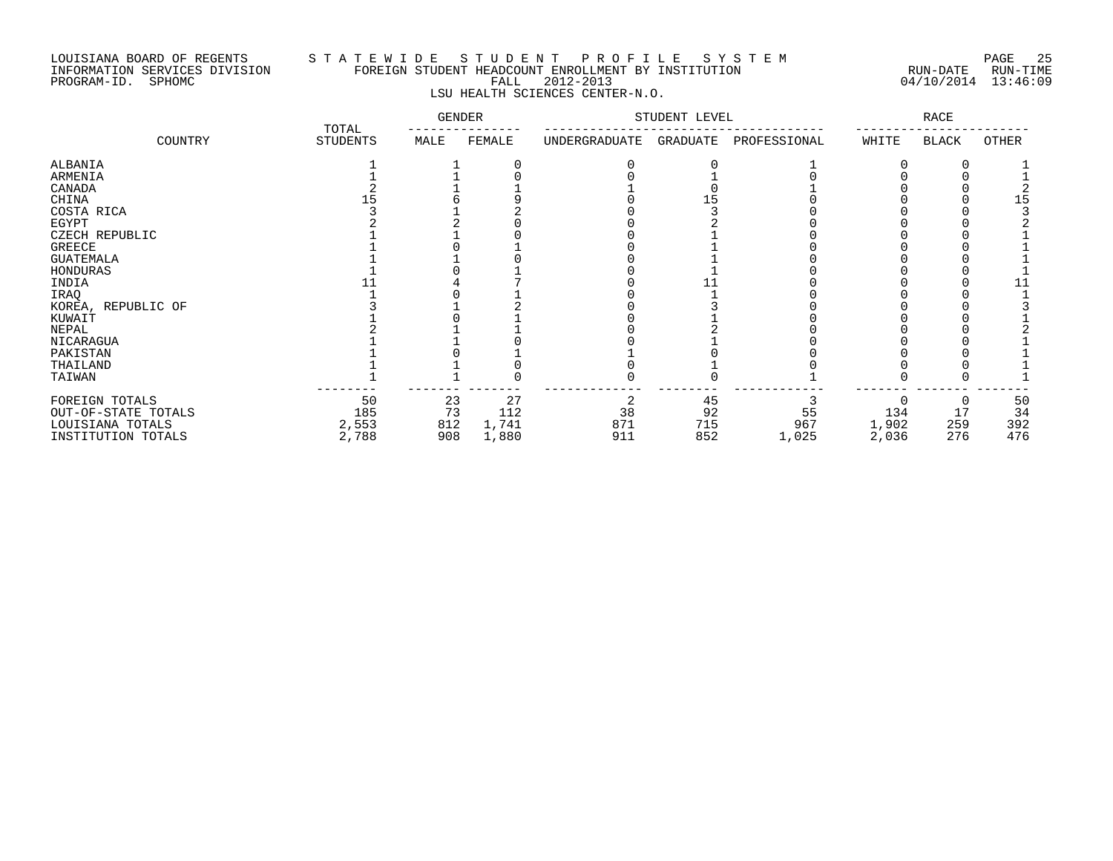### LOUISIANA BOARD OF REGENTS S T A T E W I D E S T U D E N T P R O F I L E S Y S T E M PAGE 25 INFORMATION SERVICES DIVISION FOREIGN STUDENT HEADCOUNT ENROLLMENT BY INSTITUTION RUN-DATE RUN-TIME PROGRAM-ID. SPHOMC FALL 2012-2013 04/10/2014 13:46:09 LSU HEALTH SCIENCES CENTER-N.O.

|                     |                          | <b>GENDER</b> |        | STUDENT LEVEL |          | RACE         |       |              |       |
|---------------------|--------------------------|---------------|--------|---------------|----------|--------------|-------|--------------|-------|
| COUNTRY             | TOTAL<br><b>STUDENTS</b> | MALE          | FEMALE | UNDERGRADUATE | GRADUATE | PROFESSIONAL | WHITE | <b>BLACK</b> | OTHER |
| ALBANIA             |                          |               |        |               |          |              |       |              |       |
| ARMENIA             |                          |               |        |               |          |              |       |              |       |
| CANADA              |                          |               |        |               |          |              |       |              |       |
| CHINA               |                          |               |        |               |          |              |       |              | 15    |
| COSTA RICA          |                          |               |        |               |          |              |       |              |       |
| EGYPT               |                          |               |        |               |          |              |       |              |       |
| CZECH REPUBLIC      |                          |               |        |               |          |              |       |              |       |
| <b>GREECE</b>       |                          |               |        |               |          |              |       |              |       |
| GUATEMALA           |                          |               |        |               |          |              |       |              |       |
| HONDURAS            |                          |               |        |               |          |              |       |              |       |
| INDIA               |                          |               |        |               |          |              |       |              | 11    |
| IRAQ                |                          |               |        |               |          |              |       |              |       |
| KOREA, REPUBLIC OF  |                          |               |        |               |          |              |       |              |       |
| KUWAIT              |                          |               |        |               |          |              |       |              |       |
| NEPAL               |                          |               |        |               |          |              |       |              |       |
| NICARAGUA           |                          |               |        |               |          |              |       |              |       |
| PAKISTAN            |                          |               |        |               |          |              |       |              |       |
| THAILAND            |                          |               |        |               |          |              |       |              |       |
| TAIWAN              |                          |               |        |               |          |              |       |              |       |
| FOREIGN TOTALS      | 50                       | 23            | 27     | 2             | 45       |              |       |              | 50    |
| OUT-OF-STATE TOTALS | 185                      | 73            | 112    | 38            | 92       | 55           | 134   | 17           | 34    |
| LOUISIANA TOTALS    | 2,553                    | 812           | 1,741  | 871           | 715      | 967          | 1,902 | 259          | 392   |
| INSTITUTION TOTALS  | 2,788                    | 908           | 1,880  | 911           | 852      | 1,025        | 2,036 | 276          | 476   |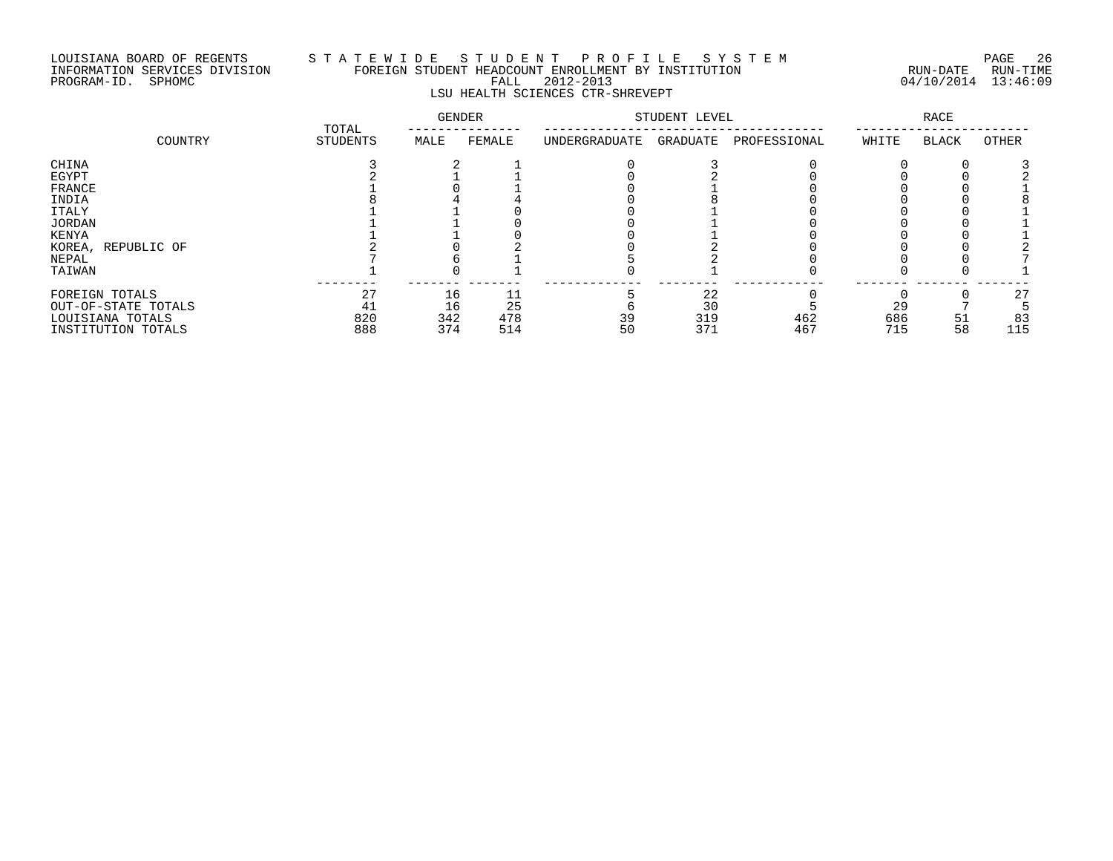# LOUISIANA BOARD OF REGENTS S T A T E W I D E S T U D E N T P R O F I L E S Y S T E M PAGE 26 INFORMATION SERVICES DIVISION FOREIGN STUDENT HEADCOUNT ENROLLMENT BY INSTITUTION RUN-DATE RUN-TIME PROGRAM-ID. SPHOMC FALL 2012-2013 04/10/2014 13:46:09 LSU HEALTH SCIENCES CTR-SHREVEPT

|                     | TOTAL    | GENDER |        | STUDENT LEVEL | RACE     |              |       |              |       |
|---------------------|----------|--------|--------|---------------|----------|--------------|-------|--------------|-------|
| COUNTRY             | STUDENTS | MALE   | FEMALE | UNDERGRADUATE | GRADUATE | PROFESSIONAL | WHITE | <b>BLACK</b> | OTHER |
| CHINA               |          |        |        |               |          |              |       |              |       |
| EGYPT               |          |        |        |               |          |              |       |              |       |
| FRANCE              |          |        |        |               |          |              |       |              |       |
| INDIA               |          |        |        |               |          |              |       |              |       |
| ITALY               |          |        |        |               |          |              |       |              |       |
| <b>JORDAN</b>       |          |        |        |               |          |              |       |              |       |
| KENYA               |          |        |        |               |          |              |       |              |       |
| KOREA, REPUBLIC OF  |          |        |        |               |          |              |       |              |       |
| NEPAL               |          |        |        |               |          |              |       |              |       |
| TAIWAN              |          |        |        |               |          |              |       |              |       |
| FOREIGN TOTALS      | 27       | 16     |        |               | 22       |              |       |              | 27    |
| OUT-OF-STATE TOTALS | 41       | 16     | 25     |               | 30       |              | 29    |              |       |
| LOUISIANA TOTALS    | 820      | 342    | 478    | 39            | 319      | 462          | 686   | 51           | 83    |
| INSTITUTION TOTALS  | 888      | 374    | 514    | 50            | 371      | 467          | 715   | 58           | 115   |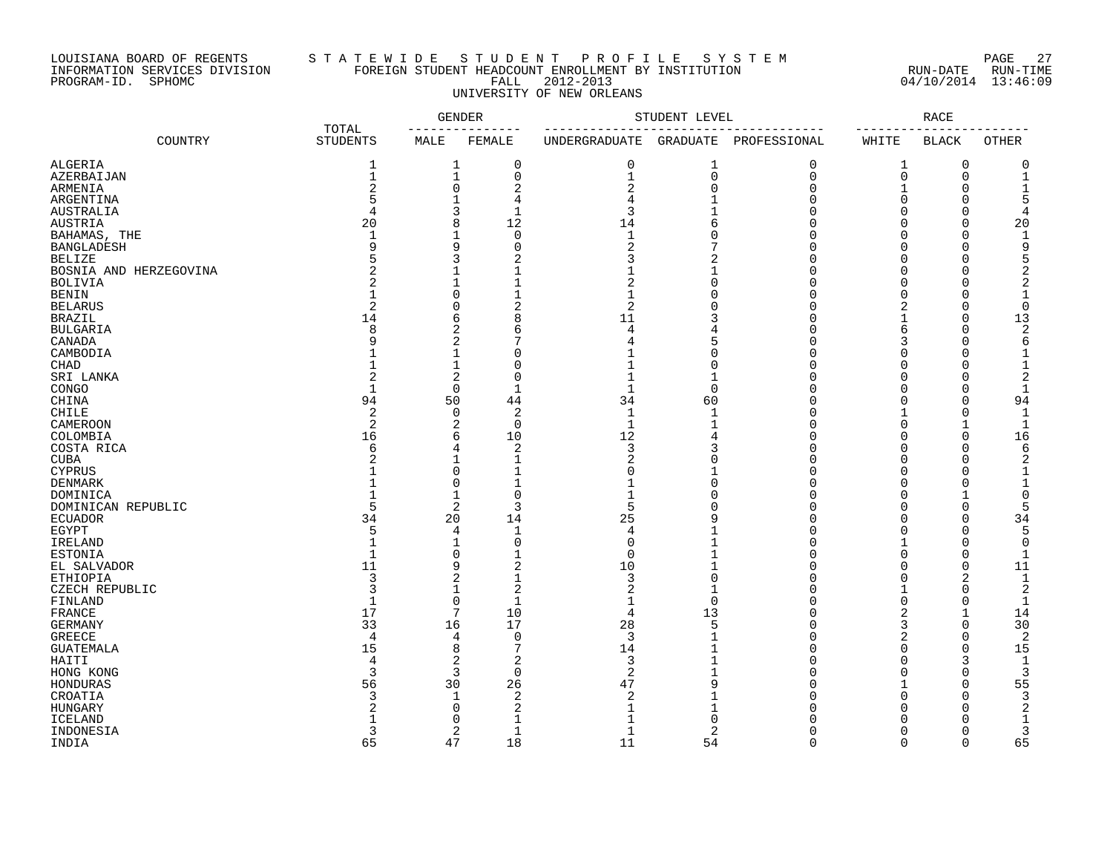## LOUISIANA BOARD OF REGENTS S T A T E W I D E S T U D E N T P R O F I L E S Y S T E M PAGE 27 INFORMATION SERVICES DIVISION FOREIGN STUDENT HEADCOUNT ENROLLMENT BY INSTITUTION RUN-DATE RUN-TIME PROGRAM-ID. SPHOMC FALL 2012-2013 04/10/2014 13:46:09 UNIVERSITY OF NEW ORLEANS

|                         |                          | <b>GENDER</b>  |                         | STUDENT LEVEL  | <b>RACE</b>    |              |                |                      |                      |
|-------------------------|--------------------------|----------------|-------------------------|----------------|----------------|--------------|----------------|----------------------|----------------------|
| COUNTRY                 | TOTAL<br><b>STUDENTS</b> | MALE           | FEMALE                  | UNDERGRADUATE  | GRADUATE       | PROFESSIONAL | WHITE          | <b>BLACK</b>         | <b>OTHER</b>         |
| ALGERIA                 | 1                        | 1              | 0                       | 0              | $\mathbf 1$    | 0            | 1              | 0                    | $\Omega$             |
| AZERBAIJAN              | $\mathbf{1}$             | $\mathbf 1$    | $\mathbf 0$             | $\mathbf{1}$   | $\mathbf 0$    | $\mathbf 0$  | $\mathbf 0$    | $\mathbf 0$          | -1                   |
| ARMENIA                 | $\overline{c}$           | 0              | $\overline{2}$          | $\overline{2}$ | $\mathbf 0$    | $\Omega$     | $\mathbf{1}$   | $\Omega$             |                      |
| ARGENTINA               | 5                        | 1              | 4                       | 4              |                | $\Omega$     | $\Omega$       | ∩                    |                      |
| AUSTRALIA               | 4                        | 3              | $\mathbf{1}$            | 3              |                | $\cap$       | $\Omega$       | $\Omega$             |                      |
| AUSTRIA                 | 20                       | 8              | 12                      | 14             | 6              | O            | $\Omega$       | $\Omega$             | 20                   |
| BAHAMAS, THE            |                          | 1              | $\mathbf 0$             | $\mathbf{1}$   | $\Omega$       |              | $\Omega$       | O                    | $\mathbf{1}$         |
| <b>BANGLADESH</b>       |                          | 9              | $\overline{0}$          | $\overline{2}$ |                | U            | $\Omega$       | U                    | 9                    |
| <b>BELIZE</b>           |                          | 3              | $\overline{2}$          |                | $\overline{2}$ | U            | $\Omega$       | U                    | 5                    |
| BOSNIA AND HERZEGOVINA  | $\overline{2}$           | $\mathbf 1$    | $\mathbf{1}$            | 1              | 1              |              | $\Omega$       | O                    |                      |
| <b>BOLIVIA</b>          | $\overline{c}$           | 1              | $\mathbf{1}$            | $\overline{2}$ | $\Omega$       |              | $\Omega$       | U                    | 2                    |
| <b>BENIN</b>            |                          | $\Omega$       |                         | $\mathbf{1}$   | $\Omega$       | U            | 0              | U                    |                      |
| <b>BELARUS</b>          | $\overline{2}$           | 0              | $\overline{2}$          | $\sqrt{2}$     |                |              | $\overline{2}$ | $\Omega$             | $\Omega$             |
| <b>BRAZIL</b>           | 14                       | 6              | 8                       | 11             | 3              | $\Omega$     | 1              | $\Omega$             | 13                   |
| <b>BULGARIA</b>         | 8                        | 2              | 6                       | 4              |                |              | 6              | $\Omega$             | $\overline{2}$       |
| CANADA                  |                          | 2              |                         |                | 5              | U            | 3              | O                    | 6                    |
| CAMBODIA                |                          | 1              | 0                       |                | $\Omega$       | ∩            | $\Omega$       | $\Omega$             | 1                    |
| CHAD                    |                          | $\mathbf 1$    | 0                       | $\mathbf{1}$   | $\Omega$       |              | $\Omega$       | U                    | $\mathbf{1}$         |
| SRI LANKA               | $\overline{c}$           | 2              | $\mathbf 0$             | 1              | $\mathbf{1}$   | O            | $\Omega$       | O                    | $\overline{c}$       |
| CONGO                   | $\mathbf{1}$             | $\mathbf 0$    | $\mathbf{1}$            | $\mathbf{1}$   | $\Omega$       |              | $\Omega$       | $\cap$               | $\mathbf{1}$         |
| CHINA                   | 94                       | 50             | 44                      | 34             | 60             | $\cap$       | $\Omega$       | U                    | 94                   |
| <b>CHILE</b>            | 2                        | $\mathbf 0$    | $\overline{a}$          | 1              | $\mathbf{1}$   | $\cap$       | $\mathbf{1}$   | $\Omega$             | -1                   |
| CAMEROON                | $\overline{2}$           | 2              | $\overline{0}$          | $\mathbf{1}$   | $\mathbf{1}$   | $\Omega$     | 0              | -1                   | $\mathbf{1}$         |
| COLOMBIA                | 16                       | б              | 10                      | 12             | 4              | $\Omega$     | $\Omega$       | $\Omega$             | 16                   |
| COSTA RICA              | 6                        | 4              | $\overline{2}$          | 3              | 3              | $\cap$       | $\Omega$       | $\Omega$             | 6                    |
| CUBA                    | 2                        | 1              | 1                       | 2              | $\mathbf 0$    | $\Omega$     | $\Omega$       | $\Omega$             | 2                    |
| <b>CYPRUS</b>           |                          | 0              | $\mathbf{1}$            | O              | $\mathbf{1}$   | $\Omega$     | $\Omega$       | 0                    | 1                    |
| <b>DENMARK</b>          |                          | 0              | $\mathbf{1}$            | 1              | $\Omega$       | $\Omega$     | $\Omega$       | $\Omega$             | -1                   |
| DOMINICA                |                          | 1              | $\overline{0}$          | $\mathbf{1}$   | $\Omega$       | $\Omega$     | $\Omega$       | 1                    | $\Omega$             |
| DOMINICAN REPUBLIC      | 5                        | 2              | 3                       | 5              | $\Omega$       | $\Omega$     | $\Omega$       | $\Omega$             | 5                    |
| <b>ECUADOR</b>          | 34                       | 20             | 14                      | 25             | 9              | $\cap$       | $\Omega$       | $\Omega$             | 34                   |
| EGYPT                   | 5                        | 4              | $\mathbf{1}$            | 4              |                | $\Omega$     | $\Omega$       | $\Omega$             | 5                    |
| IRELAND                 |                          | $\mathbf{1}$   | $\mathbf 0$             | $\Omega$       |                | $\cap$       |                | $\Omega$             | $\Omega$             |
| <b>ESTONIA</b>          | $\mathbf{1}$             | 0              | $\mathbf{1}$            | 0              | $\mathbf{1}$   | $\Omega$     | $\Omega$       | $\Omega$             |                      |
|                         | 11                       | 9              | $\overline{2}$          | 10             |                | $\cap$       | $\Omega$       | 0                    | 11                   |
| EL SALVADOR<br>ETHIOPIA | 3                        | 2              | 1                       | 3              | $\mathbf 0$    | $\Omega$     | 0              | 2                    | $\mathbf{1}$         |
| CZECH REPUBLIC          | 3                        | $\mathbf 1$    | $\overline{2}$          | $\overline{2}$ | $\mathbf{1}$   | $\Omega$     | $\mathbf{1}$   | $\Omega$             | 2                    |
| FINLAND                 | $\mathbf{1}$             | 0              | $\mathbf{1}$            | $\mathbf{1}$   | $\mathbf 0$    | $\Omega$     | 0              | $\Omega$             |                      |
|                         | 17                       | 7              | 10                      | 4              | 13             | $\Omega$     | $\overline{c}$ | $\mathbf{1}$         | 14                   |
| FRANCE                  | 33                       |                | 17                      | 28             | 5              | $\Omega$     | 3              | $\Omega$             |                      |
| GERMANY                 |                          | 16             | $\mathbf 0$             | 3              |                | $\Omega$     | $\overline{2}$ | $\Omega$             | 30<br>$\overline{2}$ |
| <b>GREECE</b>           | 4<br>15                  | 4              | 7                       | 14             |                | $\Omega$     | 0              | $\Omega$             |                      |
| <b>GUATEMALA</b>        |                          | 8              |                         |                |                | $\Omega$     | $\Omega$       |                      | 15<br>$\mathbf{1}$   |
| HAITI                   | 4                        | 2              | $\overline{2}$          | 3              |                | $\cap$       | $\Omega$       | 3<br>$\Omega$        |                      |
| HONG KONG               | 3                        | 3              | $\overline{0}$          | 2              |                |              |                |                      | 3                    |
| <b>HONDURAS</b>         | 56                       | 30             | 26                      | 47             | 9              | $\Omega$     | 1<br>$\Omega$  | $\Omega$<br>$\Omega$ | 55                   |
| CROATIA                 | 3                        | 1              | $\overline{\mathbf{c}}$ | 2              |                | $\cap$       |                |                      | 3                    |
| HUNGARY                 | 2                        | 0              | 2                       | 1              |                |              | $\Omega$       | U                    |                      |
| <b>ICELAND</b>          |                          | $\Omega$       | -1                      |                | $\Omega$       |              | $\Omega$       | U                    |                      |
| INDONESIA               | 3                        | $\overline{a}$ | 1                       | 1              | 2              | $\Omega$     | $\Omega$       | $\Omega$             | 3                    |
| INDIA                   | 65                       | 47             | 18                      | 11             | 54             | $\Omega$     | $\Omega$       | $\Omega$             | 65                   |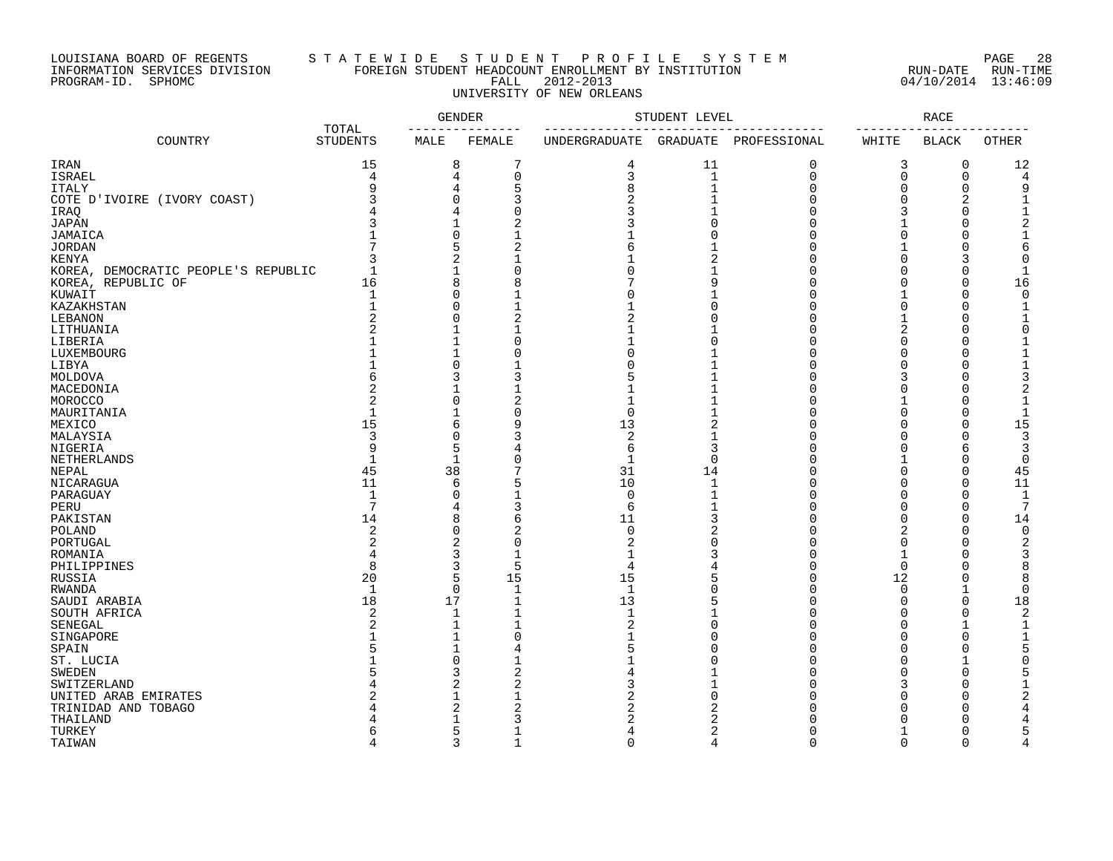## LOUISIANA BOARD OF REGENTS S T A T E W I D E S T U D E N T P R O F I L E S Y S T E M PAGE 28 INFORMATION SERVICES DIVISION FOREIGN STUDENT HEADCOUNT ENROLLMENT BY INSTITUTION RUN-DATE RUN-TIME PROGRAM-ID. SPHOMC FALL 2012-2013 04/10/2014 13:46:09 UNIVERSITY OF NEW ORLEANS

|                                     |                          | <b>GENDER</b> |                | STUDENT LEVEL          | <b>RACE</b>  |              |             |              |              |
|-------------------------------------|--------------------------|---------------|----------------|------------------------|--------------|--------------|-------------|--------------|--------------|
| COUNTRY                             | TOTAL<br><b>STUDENTS</b> | MALE          | FEMALE         | UNDERGRADUATE GRADUATE |              | PROFESSIONAL | WHITE       | <b>BLACK</b> | <b>OTHER</b> |
| IRAN                                | 15                       | 8             | 7              | 4                      | 11           | 0            | 3           | $\mathbf 0$  | 12           |
| ISRAEL                              | 4                        | 4             | $\mathbf 0$    | 3                      | $\mathbf{1}$ | $\Omega$     | $\mathbf 0$ | $\mathbf 0$  | 4            |
| <b>ITALY</b>                        | 9                        | 4             | 5              |                        | $\mathbf 1$  | O            | O           | $\Omega$     | 9            |
| COTE D'IVOIRE (IVORY COAST)         |                          | 0             | 3              |                        |              | U            | C           | 2            |              |
| IRAQ                                |                          | 4             |                |                        |              |              | 3           |              |              |
| <b>JAPAN</b>                        |                          |               | 2              |                        | $\Omega$     |              |             |              |              |
|                                     |                          | 0             |                |                        |              |              |             |              |              |
| JAMAICA                             |                          |               |                |                        |              |              |             |              |              |
| <b>JORDAN</b>                       |                          | 5             | 2              |                        |              |              |             |              | 6            |
| <b>KENYA</b>                        |                          | 2             |                |                        | 2            |              |             |              | O            |
| KOREA, DEMOCRATIC PEOPLE'S REPUBLIC |                          | 1             | $\Omega$       |                        |              |              | O           |              |              |
| KOREA, REPUBLIC OF                  | 16                       | 8             | 8              |                        | 9            |              |             |              | 16           |
| KUWAIT                              |                          | 0             |                |                        |              |              |             | ∩            | $\Omega$     |
| KAZAKHSTAN                          |                          | 0             |                |                        |              |              |             |              |              |
| LEBANON                             |                          | 0             | 2              |                        | C            |              |             |              |              |
| LITHUANIA                           |                          |               |                |                        |              |              | 2           |              |              |
| LIBERIA                             |                          |               | 0              |                        |              |              | C           |              |              |
| LUXEMBOURG                          |                          |               |                |                        |              |              |             |              |              |
|                                     |                          | $\Omega$      |                |                        |              |              | O           |              |              |
| LIBYA                               |                          |               |                |                        |              |              |             |              |              |
| MOLDOVA                             |                          | 3             | 3              |                        |              |              | 3           |              |              |
| MACEDONIA                           |                          |               |                |                        |              |              |             |              |              |
| MOROCCO                             | 2                        | 0             | $\overline{2}$ |                        |              |              |             |              |              |
| MAURITANIA                          | 1                        |               | 0              | $\Omega$               |              |              | C           |              |              |
| MEXICO                              | 15                       | 6             |                | 13                     |              |              |             |              | 15           |
| MALAYSIA                            | 3                        | 0             |                | 2                      |              | Π            | C           |              | 3            |
| NIGERIA                             | 9                        | 5             |                | 6                      | 3            |              |             |              | 3            |
| NETHERLANDS                         | 1                        | $\mathbf 1$   | 0              | $\mathbf 1$            | $\mathbf 0$  |              |             | ∩            | $\mathbf 0$  |
| NEPAL                               | 45                       | 38            | 7              | 31                     | 14           |              | O           |              | 45           |
| NICARAGUA                           | 11                       | 6             | 5              | 10                     |              | U            | C           | $\Omega$     | 11           |
| PARAGUAY                            | $\mathbf{1}$             | 0             |                | $\Omega$               |              |              | O           | $\Omega$     | 1            |
|                                     | $7\phantom{.0}$          |               |                |                        |              |              |             |              | 7            |
| PERU                                |                          | 4             | 3              | 6                      |              | U            | C           | <sup>0</sup> |              |
| PAKISTAN                            | 14                       | 8             | 6              | 11                     | 3            |              | O           | $\Omega$     | 14           |
| POLAND                              | 2                        | 0             | $\overline{2}$ | $\mathbf 0$            | 2            | U            | 2           | $\Omega$     | 0            |
| PORTUGAL                            | 2                        | 2             | O              |                        | C            | U            | C           |              | 2            |
| ROMANIA                             | 4                        | 3             | $\mathbf{1}$   | 1                      |              | U            | 1           |              | 3            |
| PHILIPPINES                         | 8                        | 3             | 5              | 4                      |              | U            | $\mathbf 0$ |              | 8            |
| RUSSIA                              | 20                       | 5             | 15             | 15                     | 5            | U            | 12          |              | 8            |
| RWANDA                              | $\mathbf{1}$             | $\mathbf 0$   | 1              | $\mathbf{1}$           | C            | U            | $\mathbf 0$ |              | $\Omega$     |
| SAUDI ARABIA                        | 18                       | 17            | $\mathbf{1}$   | 13                     | 5            | U            | 0           | <sup>0</sup> | 18           |
| SOUTH AFRICA                        | 2                        | 1             |                | $\mathbf{1}$           |              | U            | O           | $\Omega$     | 2            |
| SENEGAL                             | 2                        | 1             |                |                        | $\Omega$     | U            | O           |              |              |
| SINGAPORE                           |                          |               | O              |                        | C            | U            | C           |              |              |
| SPAIN                               |                          | $\mathbf{1}$  | 4              |                        | $\Omega$     | U            | C           | $\Omega$     |              |
|                                     |                          |               |                |                        |              |              |             |              |              |
| ST. LUCIA                           |                          | 0             |                |                        |              | ∩            | C           |              |              |
| <b>SWEDEN</b>                       |                          | 3             | 2              |                        |              | U            | O           |              |              |
| SWITZERLAND                         |                          | 2             | $\overline{2}$ |                        |              | U            | 3           | ∩            |              |
| UNITED ARAB EMIRATES                |                          | 1             |                |                        | $\Omega$     | U            | C           |              |              |
| TRINIDAD AND TOBAGO                 |                          | 2             | $\overline{2}$ |                        |              |              | C           | ∩            |              |
| THAILAND                            |                          | 1             | 3              |                        | 2            |              | O           |              |              |
| TURKEY                              |                          | 5             |                |                        | 2            | U            | 1           | n            |              |
| TAIWAN                              | 4                        | 3             | 1              | $\Omega$               | 4            | $\Omega$     | $\Omega$    | $\Omega$     | 4            |
|                                     |                          |               |                |                        |              |              |             |              |              |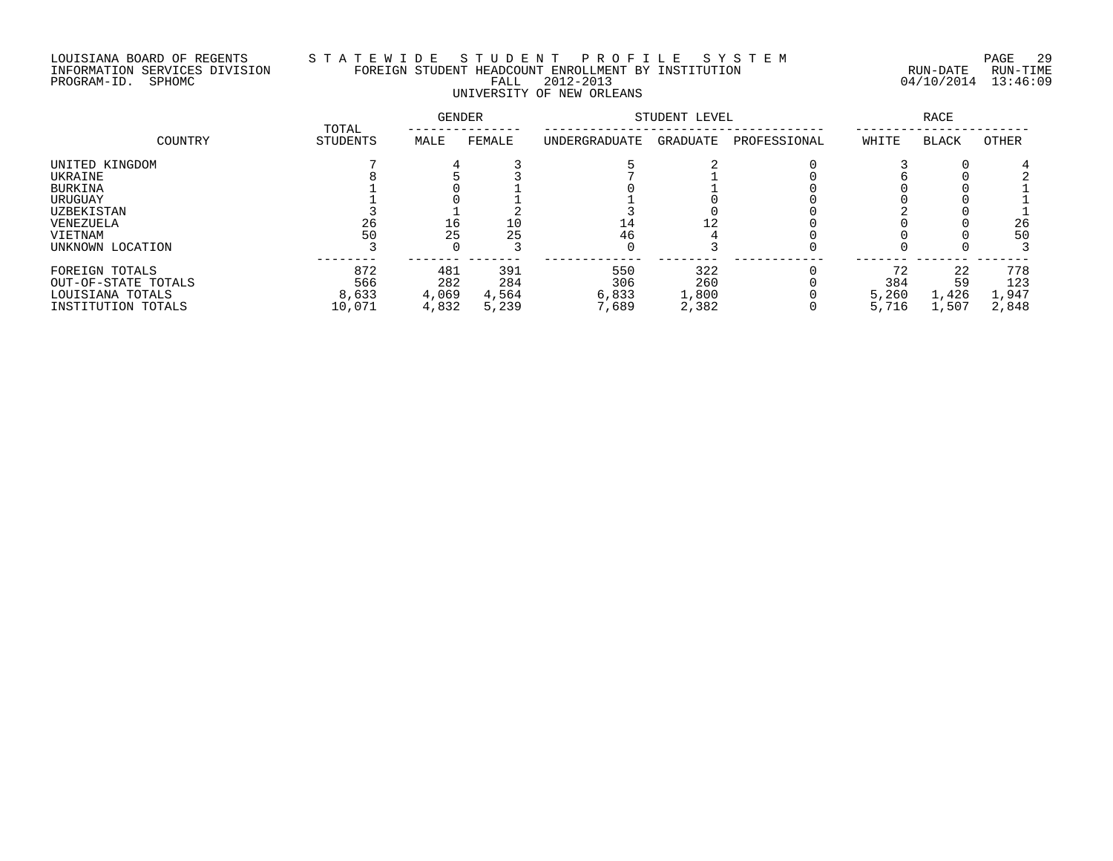# LOUISIANA BOARD OF REGENTS S T A T E W I D E S T U D E N T P R O F I L E S Y S T E M PAGE 29 INFORMATION SERVICES DIVISION FOREIGN STUDENT HEADCOUNT ENROLLMENT BY INSTITUTION RUN-DATE RUN-TIME PROGRAM-ID. SPHOMC FALL 2012-2013 04/10/2014 13:46:09 UNIVERSITY OF NEW ORLEANS

|                     | TOTAL           | <b>GENDER</b> |        | STUDENT LEVEL |          | RACE         |       |              |       |
|---------------------|-----------------|---------------|--------|---------------|----------|--------------|-------|--------------|-------|
| COUNTRY             | <b>STUDENTS</b> | MALE          | FEMALE | UNDERGRADUATE | GRADUATE | PROFESSIONAL | WHITE | <b>BLACK</b> | OTHER |
| UNITED KINGDOM      |                 |               |        |               |          |              |       |              |       |
| UKRAINE             |                 |               |        |               |          |              |       |              |       |
| <b>BURKINA</b>      |                 |               |        |               |          |              |       |              |       |
| URUGUAY             |                 |               |        |               |          |              |       |              |       |
| UZBEKISTAN          |                 |               |        |               |          |              |       |              |       |
| VENEZUELA           | 26              | 16            | 10     | 14            |          |              |       |              | 26    |
| VIETNAM             | 50              | 25            | 25     | 46            |          |              |       |              | 50    |
| UNKNOWN LOCATION    |                 |               |        |               |          |              |       |              |       |
| FOREIGN TOTALS      | 872             | 481           | 391    | 550           | 322      |              |       | 22           | 778   |
| OUT-OF-STATE TOTALS | 566             | 282           | 284    | 306           | 260      |              | 384   | 59           | 123   |
| LOUISIANA TOTALS    | 8,633           | 4,069         | 4,564  | 6,833         | 1,800    |              | 5,260 | 1,426        | 1,947 |
| INSTITUTION TOTALS  | 10,071          | 4,832         | 5,239  | 7,689         | 2,382    |              | 5,716 | 1,507        | 2,848 |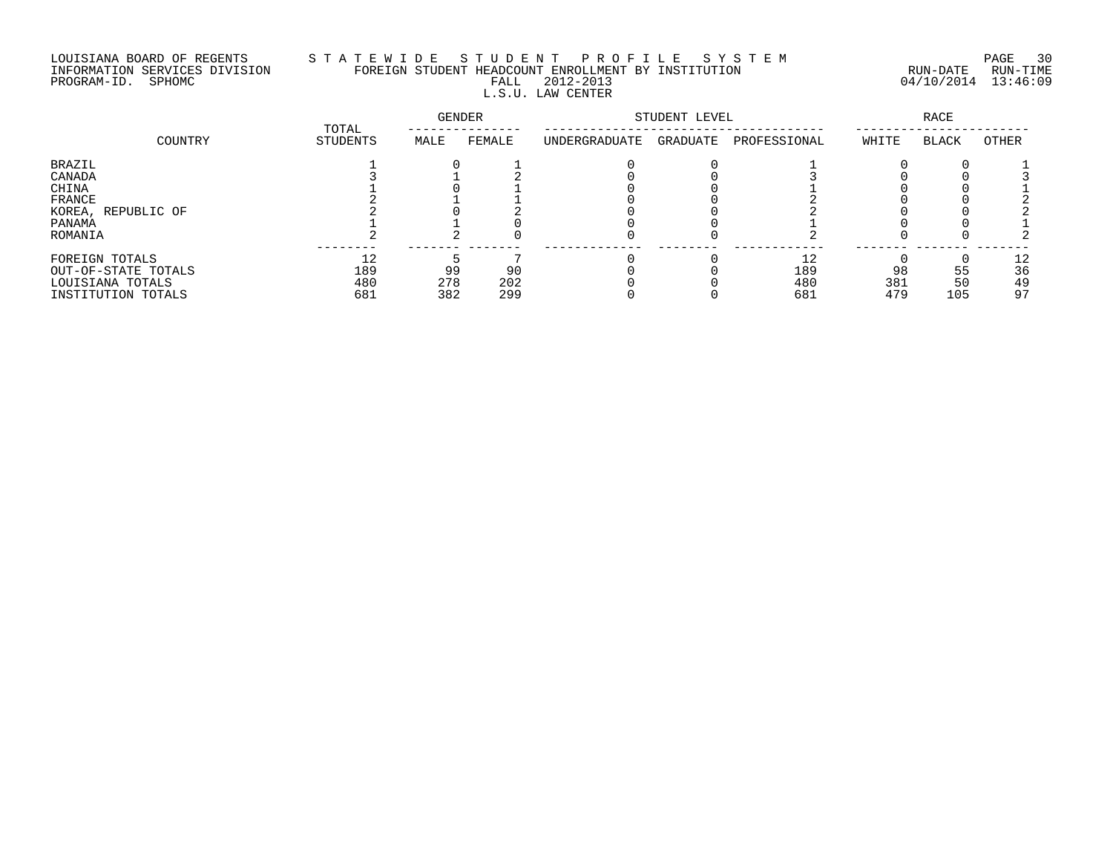# LOUISIANA BOARD OF REGENTS S T A T E W I D E S T U D E N T P R O F I L E S Y S T E M PAGE 30 INFORMATION SERVICES DIVISION FOREIGN STUDENT HEADCOUNT ENROLLMENT BY INSTITUTION RUN-DATE RUN-TIME PROGRAM-ID. SPHOMC FALL 2012-2013 04/10/2014 13:46:09 L.S.U. LAW CENTER

|                     |         | TOTAL    | GENDER |        | STUDENT LEVEL | RACE     |              |       |              |       |
|---------------------|---------|----------|--------|--------|---------------|----------|--------------|-------|--------------|-------|
|                     | COUNTRY | STUDENTS | MALE   | FEMALE | UNDERGRADUATE | GRADUATE | PROFESSIONAL | WHITE | <b>BLACK</b> | OTHER |
| BRAZIL              |         |          |        |        |               |          |              |       |              |       |
| CANADA              |         |          |        |        |               |          |              |       |              |       |
| CHINA               |         |          |        |        |               |          |              |       |              |       |
| FRANCE              |         |          |        |        |               |          |              |       |              |       |
| KOREA, REPUBLIC OF  |         |          |        |        |               |          |              |       |              |       |
| PANAMA              |         |          |        |        |               |          |              |       |              |       |
| ROMANIA             |         |          |        |        |               |          |              |       |              |       |
| FOREIGN TOTALS      |         |          |        |        |               |          | 12           |       |              | 12    |
| OUT-OF-STATE TOTALS |         | 189      | 99     | 90     |               |          | 189          | 98    | 55           | 36    |
| LOUISIANA TOTALS    |         | 480      | 278    | 202    |               |          | 480          | 381   | 50           | 49    |
| INSTITUTION TOTALS  |         | 681      | 382    | 299    |               |          | 681          | 479   | 105          | 97    |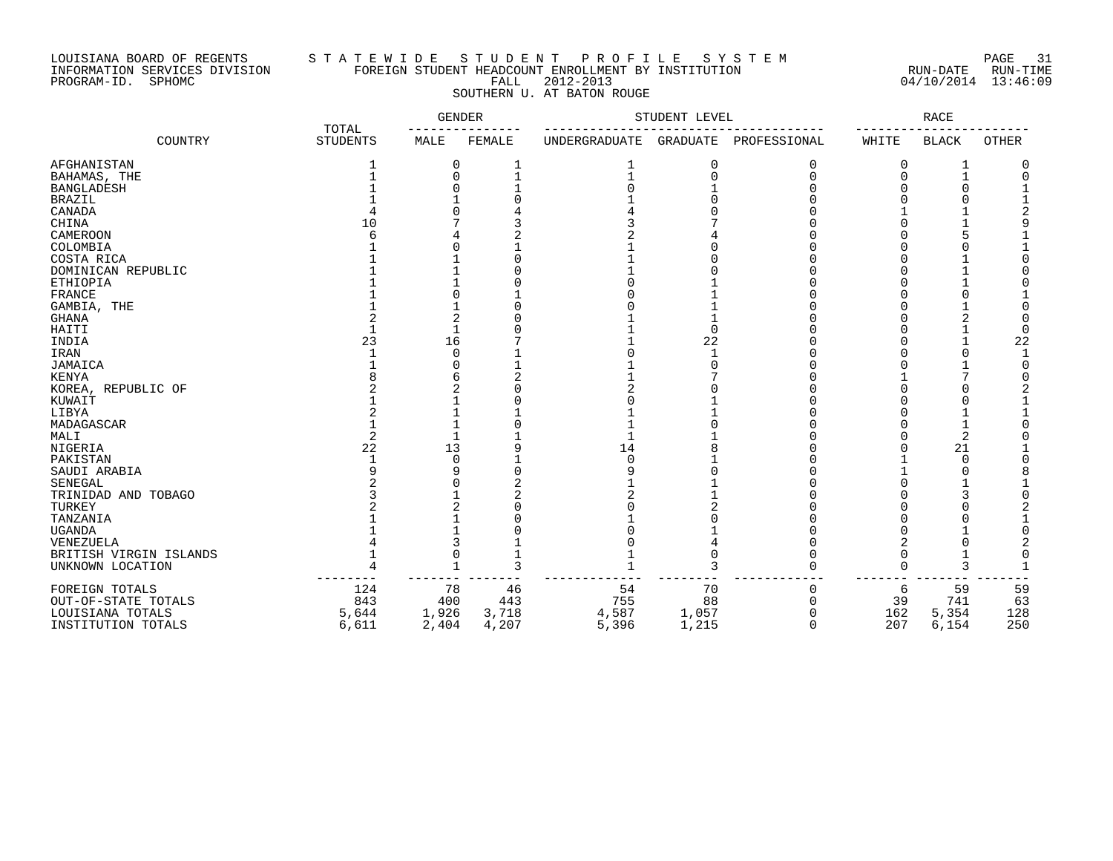### LOUISIANA BOARD OF REGENTS S T A T E W I D E S T U D E N T P R O F I L E S Y S T E M PAGE 31 INFORMATION SERVICES DIVISION FOREIGN STUDENT HEADCOUNT ENROLLMENT BY INSTITUTION RUN-DATE RUN-TIME PROGRAM-ID. SPHOMC FALL 2012-2013 04/10/2014 13:46:09 SOUTHERN U. AT BATON ROUGE

|                        | TOTAL           | GENDER |        | STUDENT LEVEL | RACE     |              |          |              |              |
|------------------------|-----------------|--------|--------|---------------|----------|--------------|----------|--------------|--------------|
| COUNTRY                | <b>STUDENTS</b> | MALE   | FEMALE | UNDERGRADUATE | GRADUATE | PROFESSIONAL | WHITE    | <b>BLACK</b> | <b>OTHER</b> |
| AFGHANISTAN            |                 | 0      |        |               | 0        | 0            | 0        |              |              |
| BAHAMAS, THE           |                 | 0      |        |               |          | $\Omega$     | O        | 1            |              |
| <b>BANGLADESH</b>      |                 |        |        |               |          |              |          |              |              |
| <b>BRAZIL</b>          |                 |        |        |               |          |              |          |              |              |
| CANADA                 |                 |        |        |               |          |              |          |              |              |
| CHINA                  | 10              |        |        |               |          |              |          |              |              |
| <b>CAMEROON</b>        |                 |        |        |               |          |              |          |              |              |
| COLOMBIA               |                 |        |        |               |          |              |          |              |              |
| COSTA RICA             |                 |        |        |               |          |              |          |              |              |
| DOMINICAN REPUBLIC     |                 |        |        |               |          |              |          |              |              |
| <b>ETHIOPIA</b>        |                 |        |        |               |          |              |          |              |              |
| FRANCE                 |                 |        |        |               |          |              |          |              |              |
| GAMBIA, THE            |                 |        |        |               |          |              |          |              |              |
| <b>GHANA</b>           |                 |        |        |               |          |              |          |              |              |
| HAITI                  |                 |        |        |               |          |              |          |              |              |
| INDIA                  | 23              | 16     |        |               | 22       |              |          |              | 22           |
| IRAN                   |                 | 0      |        |               |          |              |          | ∩            |              |
| JAMAICA                |                 |        |        |               |          |              |          |              |              |
| <b>KENYA</b>           |                 |        |        |               |          |              |          |              |              |
| KOREA, REPUBLIC OF     |                 |        |        |               |          |              |          |              |              |
| KUWAIT                 |                 |        |        |               |          |              |          |              |              |
| LIBYA                  |                 |        |        |               |          |              |          |              |              |
| MADAGASCAR             |                 |        |        |               |          |              |          |              |              |
| MALI                   |                 |        |        |               |          |              |          | 2            |              |
| NIGERIA                | 22              | 13     |        | 14            |          |              |          | 21           |              |
| PAKISTAN               |                 | O      |        |               |          |              |          | ∩            |              |
| SAUDI ARABIA           |                 | q      |        |               |          |              |          |              |              |
| SENEGAL                |                 |        |        |               |          |              |          |              |              |
| TRINIDAD AND TOBAGO    |                 |        |        |               |          |              |          |              |              |
| TURKEY                 |                 |        |        |               |          |              |          |              |              |
| TANZANIA               |                 |        |        |               |          |              |          |              |              |
| <b>UGANDA</b>          |                 |        |        |               |          |              |          |              |              |
| VENEZUELA              |                 | 3      |        |               |          |              |          |              |              |
| BRITISH VIRGIN ISLANDS |                 | 0      |        |               |          |              | ∩        |              |              |
| UNKNOWN LOCATION       |                 |        | 3      |               | 3        |              | $\Omega$ | 3            |              |
| FOREIGN TOTALS         | 124             | 78     | 46     | 54            | 70       | 0            | 6        | 59           | 59           |
| OUT-OF-STATE TOTALS    | 843             | 400    | 443    | 755           | 88       | $\Omega$     | 39       | 741          | 63           |
| LOUISIANA TOTALS       | 5,644           | 1,926  | 3,718  | 4,587         | 1,057    |              | 162      | 5,354        | 128          |
| INSTITUTION TOTALS     | 6,611           | 2,404  | 4,207  | 5,396         | 1,215    | $\Omega$     | 207      | 6,154        | 250          |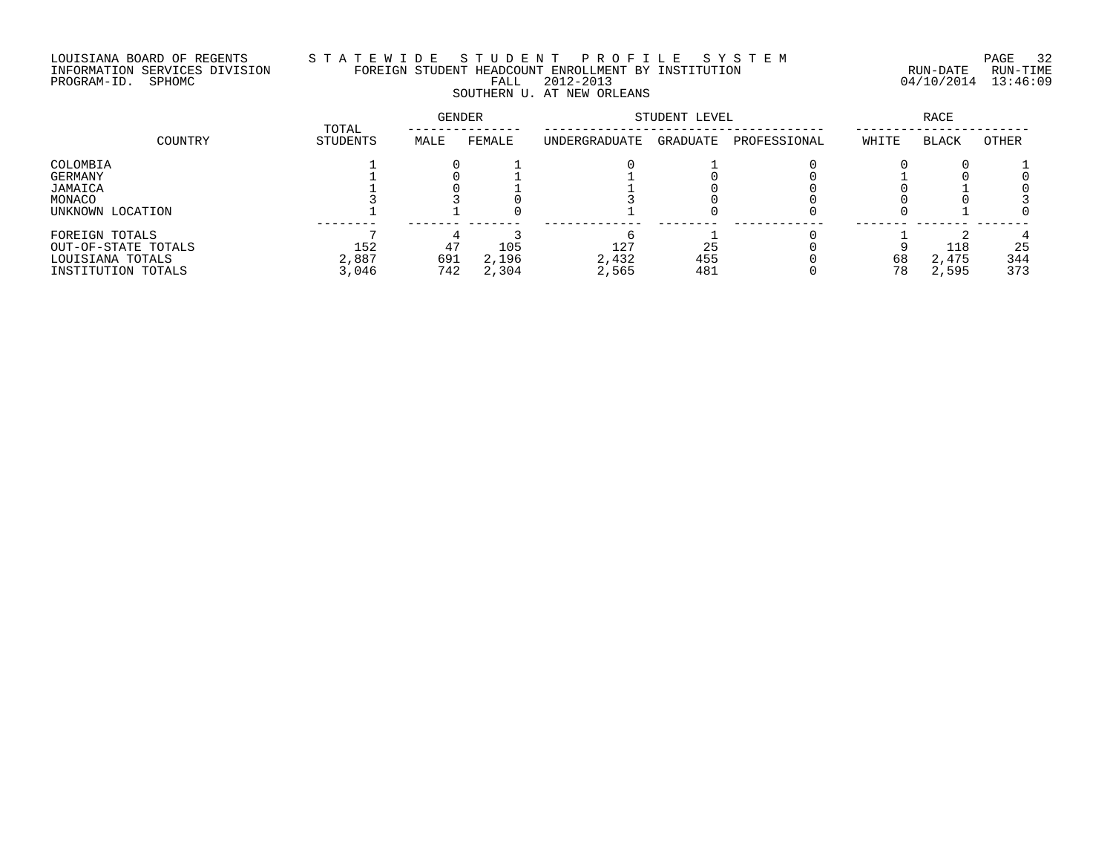# LOUISIANA BOARD OF REGENTS S T A T E W I D E S T U D E N T P R O F I L E S Y S T E M PAGE 32 INFORMATION SERVICES DIVISION FOREIGN STUDENT HEADCOUNT ENROLLMENT BY INSTITUTION RUN-DATE RUN-TIME PROGRAM-ID. SPHOMC FALL 2012-2013 04/10/2014 13:46:09 SOUTHERN U. AT NEW ORLEANS

|                                                                                 | TOTAL                 | GENDER           |                       | STUDENT LEVEL         | RACE             |              |          |                       |                  |
|---------------------------------------------------------------------------------|-----------------------|------------------|-----------------------|-----------------------|------------------|--------------|----------|-----------------------|------------------|
| COUNTRY                                                                         | STUDENTS              | MALE             | FEMALE                | UNDERGRADUATE         | GRADUATE         | PROFESSIONAL | WHITE    | <b>BLACK</b>          | OTHER            |
| COLOMBIA<br>GERMANY<br>JAMAICA<br>MONACO<br>UNKNOWN LOCATION                    |                       |                  |                       |                       |                  |              |          |                       |                  |
| FOREIGN TOTALS<br>OUT-OF-STATE TOTALS<br>LOUISIANA TOTALS<br>INSTITUTION TOTALS | 152<br>2,887<br>3,046 | 47<br>691<br>742 | 105<br>2,196<br>2,304 | 127<br>2,432<br>2,565 | 25<br>455<br>481 |              | 68<br>78 | 118<br>2,475<br>2,595 | 25<br>344<br>373 |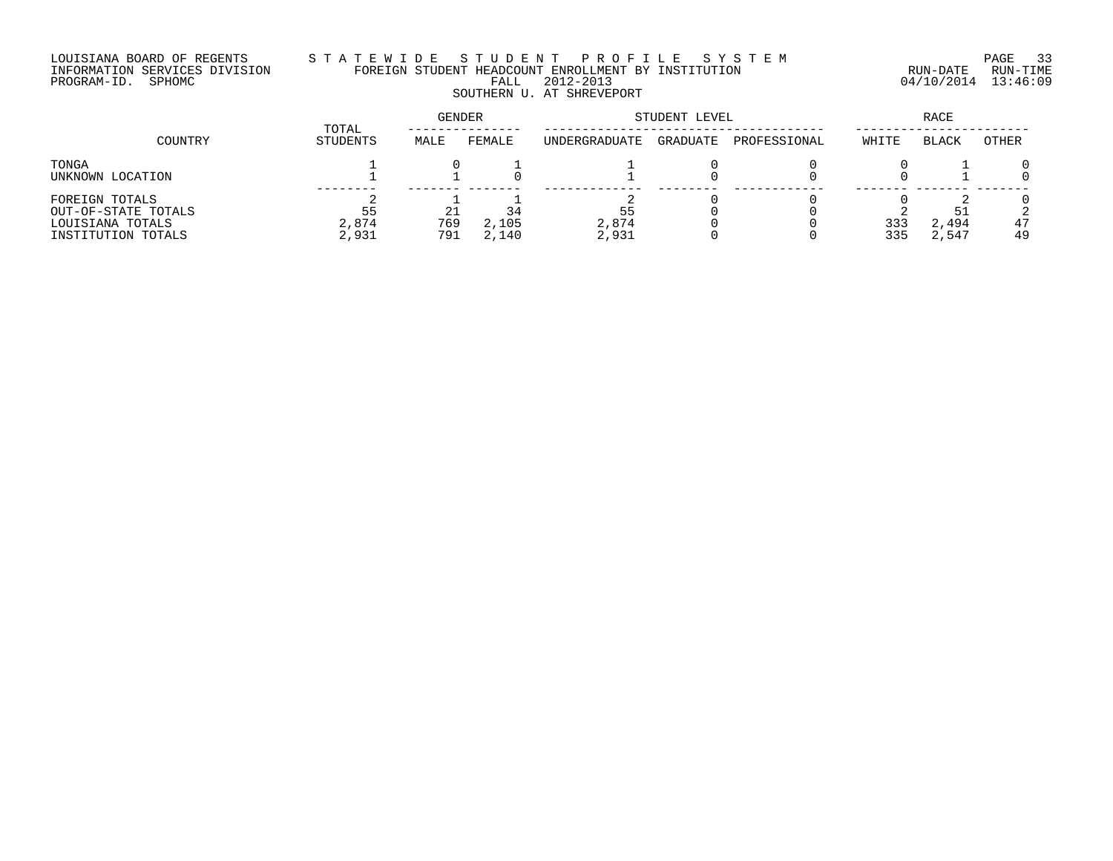# LOUISIANA BOARD OF REGENTS S T A T E W I D E S T U D E N T P R O F I L E S Y S T E M PAGE 33 INFORMATION SERVICES DIVISION FOREIGN STUDENT HEADCOUNT ENROLLMENT BY INSTITUTION RUN-DATE RUN-TIME PROGRAM-ID. SPHOMC FALL 2012-2013 04/10/2014 13:46:09 FALL 2012-2013<br>SOUTHERN U. AT SHREVEPORT

|                                                                                 |                      | GENDER     |                | STUDENT LEVEL  | RACE     |              |            |                |          |
|---------------------------------------------------------------------------------|----------------------|------------|----------------|----------------|----------|--------------|------------|----------------|----------|
| COUNTRY                                                                         | TOTAL<br>STUDENTS    | MALE       | FEMALE         | UNDERGRADUATE  | GRADUATE | PROFESSIONAL | WHITE      | <b>BLACK</b>   | OTHER    |
| TONGA<br>UNKNOWN LOCATION                                                       |                      |            |                |                |          |              |            |                |          |
| FOREIGN TOTALS<br>OUT-OF-STATE TOTALS<br>LOUISIANA TOTALS<br>INSTITUTION TOTALS | 55<br>2,874<br>2,931 | 769<br>791 | 2,105<br>2,140 | 2,874<br>2,931 |          |              | 333<br>335 | 2,494<br>2,547 | 47<br>49 |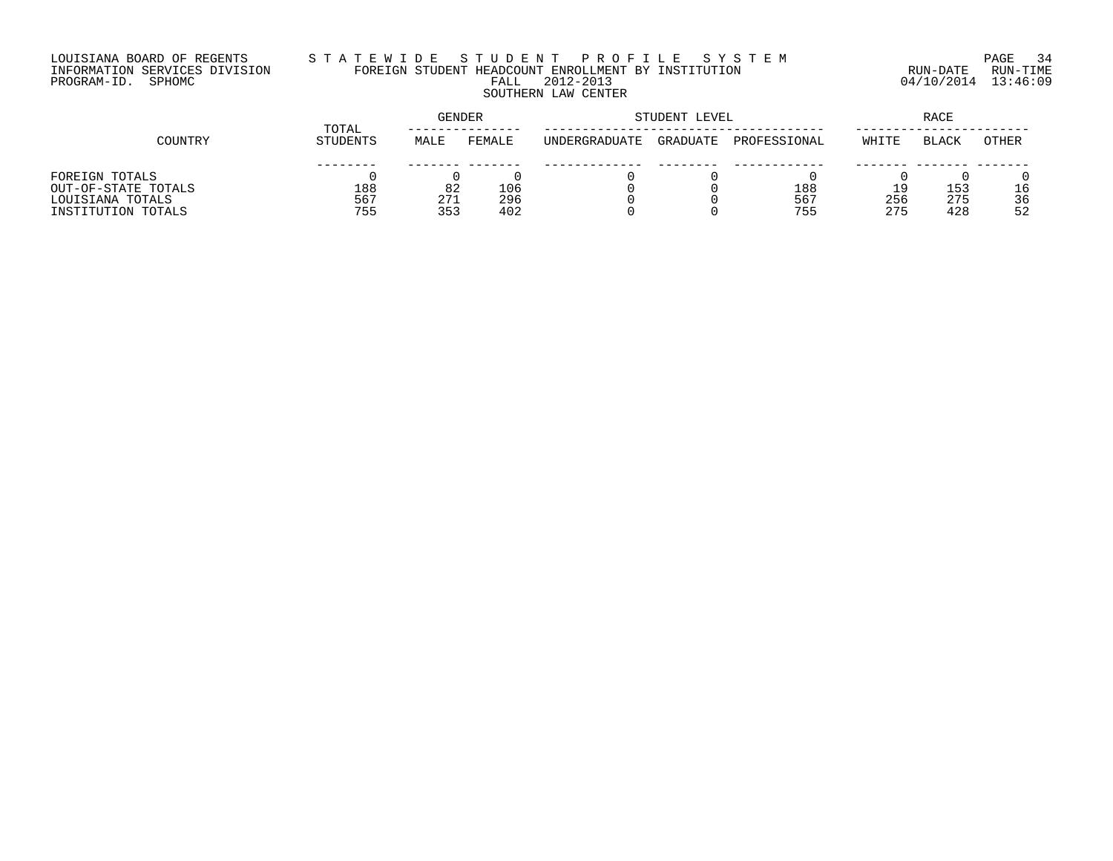# LOUISIANA BOARD OF REGENTS S T A T E W I D E S T U D E N T P R O F I L E S Y S T E M PAGE 34 INFORMATION SERVICES DIVISION FOREIGN STUDENT HEADCOUNT ENROLLMENT BY INSTITUTION RUN-DATE RUN-TIME PROGRAM-ID. SPHOMC FALL 2012-2013 04/10/2014 13:46:09 SOUTHERN LAW CENTER

|                     | TOTAL    | GENDER |        | STUDENT LEVEL | RACE     |              |       |              |       |
|---------------------|----------|--------|--------|---------------|----------|--------------|-------|--------------|-------|
| COUNTRY             | STUDENTS | MALE   | FEMALE | UNDERGRADUATE | GRADUATE | PROFESSIONAL | WHITE | <b>BLACK</b> | OTHER |
|                     |          |        |        |               |          |              |       |              |       |
| FOREIGN TOTALS      |          |        |        |               |          |              |       |              |       |
| OUT-OF-STATE TOTALS | 188      | 82     | 106    |               |          | 188          |       | 153          | 16    |
| LOUISIANA TOTALS    | 567      | 271    | 296    |               |          | 567          | 256   | 275          | 36    |
| INSTITUTION TOTALS  | 755      | 353    | 402    |               |          | 755          | 275   | 428          | 52    |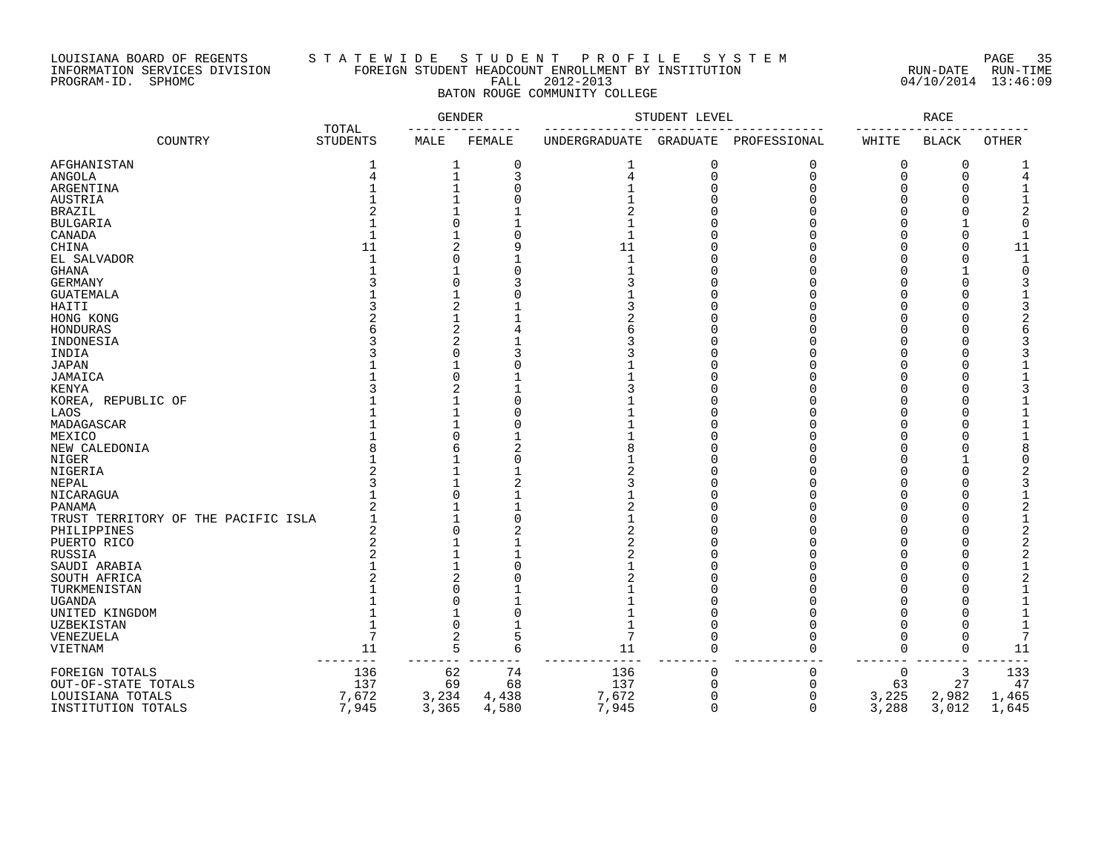### LOUISIANA BOARD OF REGENTS S T A T E W I D E S T U D E N T P R O F I L E S Y S T E M PAGE 35 INFORMATION SERVICES DIVISION FOREIGN STUDENT HEADCOUNT ENROLLMENT BY INSTITUTION RUN-DATE RUN-TIME PROGRAM-ID. SPHOMC FALL 2012-2013 04/10/2014 13:46:09 BATON ROUGE COMMUNITY COLLEGE

|                                     |                          | <b>GENDER</b>  |          | STUDENT LEVEL | <b>RACE</b> |              |          |              |              |
|-------------------------------------|--------------------------|----------------|----------|---------------|-------------|--------------|----------|--------------|--------------|
| COUNTRY                             | TOTAL<br><b>STUDENTS</b> | MALE           | FEMALE   | UNDERGRADUATE | GRADUATE    | PROFESSIONAL | WHITE    | <b>BLACK</b> | <b>OTHER</b> |
| AFGHANISTAN                         | 1                        |                | 0        | 1             | 0           | 0            | 0        | 0            |              |
| ANGOLA                              | 4                        | 1              | 3        | 4             | $\mathbf 0$ | $\mathbf 0$  | $\Omega$ | 0            |              |
| ARGENTINA                           |                          |                | O        |               | ∩           | $\cap$       | O        | U            |              |
| AUSTRIA                             |                          |                |          |               |             |              |          |              |              |
| <b>BRAZIL</b>                       |                          |                |          |               |             |              |          |              |              |
| <b>BULGARIA</b>                     |                          | O              |          |               |             |              |          |              |              |
| CANADA                              |                          |                |          | $\mathbf{1}$  |             |              | $\Omega$ |              |              |
| CHINA                               | 11                       | 2              |          | 11            |             |              |          |              | 11           |
| EL SALVADOR                         |                          | O              |          | $\mathbf{1}$  |             |              | O        |              |              |
| GHANA                               |                          |                |          |               |             |              |          |              |              |
| <b>GERMANY</b>                      |                          | U              |          |               |             |              | ∩        |              |              |
| <b>GUATEMALA</b>                    |                          |                |          |               |             |              |          |              |              |
|                                     |                          | 2              |          |               |             |              |          |              |              |
| HAITI                               |                          |                |          |               |             |              |          |              |              |
| HONG KONG                           |                          |                |          |               |             |              |          |              |              |
| HONDURAS                            |                          | 2              |          |               |             |              |          |              |              |
| INDONESIA                           |                          | 2              |          |               |             |              |          |              |              |
| INDIA                               |                          | O              |          |               |             |              |          |              |              |
| <b>JAPAN</b>                        |                          |                |          |               |             |              |          |              |              |
| JAMAICA                             |                          | 0              |          |               |             |              |          |              |              |
| <b>KENYA</b>                        |                          | 2              |          |               |             |              |          |              |              |
| KOREA, REPUBLIC OF                  |                          |                |          |               |             |              |          |              |              |
| LAOS                                |                          |                |          |               |             |              |          |              |              |
| MADAGASCAR                          |                          |                |          |               |             |              |          |              |              |
| MEXICO                              |                          | U              |          |               |             |              |          |              |              |
| NEW CALEDONIA                       |                          |                | 2        |               |             |              |          |              |              |
| NIGER                               |                          |                | O        |               |             |              | U        |              |              |
| NIGERIA                             |                          |                |          |               |             |              |          |              |              |
| NEPAL                               |                          |                |          |               |             |              |          |              |              |
| NICARAGUA                           |                          | U              |          |               |             |              |          |              |              |
| PANAMA                              |                          |                |          |               |             |              |          |              |              |
| TRUST TERRITORY OF THE PACIFIC ISLA |                          |                |          |               |             |              |          |              |              |
| PHILIPPINES                         | 2                        | U              |          |               |             |              |          |              |              |
| PUERTO RICO                         |                          |                |          |               |             |              |          |              |              |
| RUSSIA                              |                          |                |          |               |             |              |          |              |              |
| SAUDI ARABIA                        |                          |                |          |               |             |              |          |              |              |
| SOUTH AFRICA                        |                          | 2              |          |               |             |              |          |              |              |
| TURKMENISTAN                        |                          | O              |          |               |             |              |          |              |              |
| <b>UGANDA</b>                       |                          | O              |          |               |             |              |          |              |              |
| UNITED KINGDOM                      |                          |                | $\Omega$ |               |             |              |          |              |              |
| UZBEKISTAN                          |                          | $\Omega$       |          | $\mathbf{1}$  |             |              | $\Omega$ |              |              |
| VENEZUELA                           | $\overline{7}$           | $\overline{a}$ | 5        | 7             |             |              | $\Omega$ |              |              |
|                                     |                          | 5              | 6        |               | $\cap$      | $\Omega$     | $\Omega$ | 0            |              |
| VIETNAM                             | 11                       |                |          | 11            |             |              |          |              | 11           |
| FOREIGN TOTALS                      | 136                      | 62             | 74       | 136           | 0           | $\Omega$     | 0        | 3            | 133          |
| OUT-OF-STATE TOTALS                 | 137                      | 69             | 68       | 137           | $\Omega$    | $\Omega$     | 63       | 27           | 47           |
| LOUISIANA TOTALS                    | 7,672                    | 3,234          | 4,438    | 7,672         | $\Omega$    | $\Omega$     | 3,225    | 2,982        | 1,465        |
| INSTITUTION TOTALS                  | 7,945                    | 3,365          | 4,580    | 7,945         | $\Omega$    | $\Omega$     | 3,288    | 3,012        | 1,645        |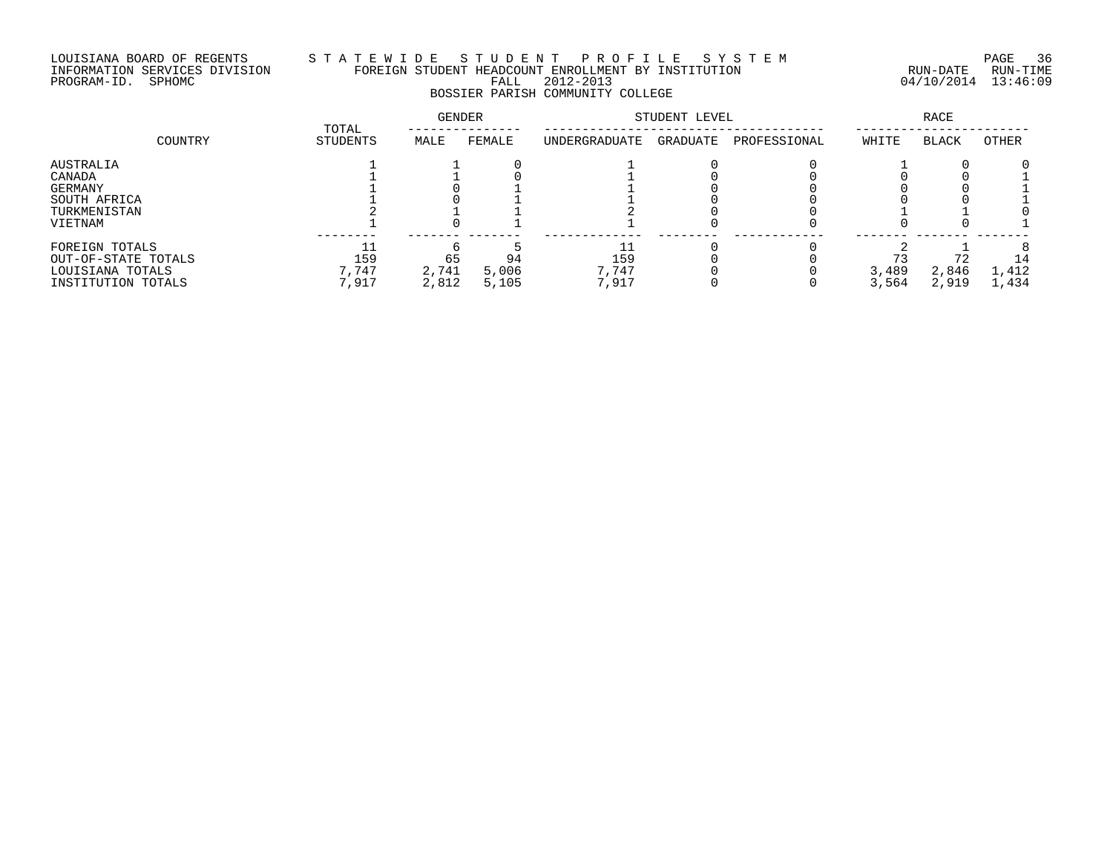# LOUISIANA BOARD OF REGENTS S T A T E W I D E S T U D E N T P R O F I L E S Y S T E M PAGE 36 INFORMATION SERVICES DIVISION FOREIGN STUDENT HEADCOUNT ENROLLMENT BY INSTITUTION RUN-DATE RUN-TIME PROGRAM-ID. SPHOMC FALL 2012-2013 04/10/2014 13:46:09 BOSSIER PARISH COMMUNITY COLLEGE

|                     |         |                   | GENDER |        | STUDENT LEVEL | RACE     |              |       |              |       |
|---------------------|---------|-------------------|--------|--------|---------------|----------|--------------|-------|--------------|-------|
|                     | COUNTRY | TOTAL<br>STUDENTS | MALE   | FEMALE | UNDERGRADUATE | GRADUATE | PROFESSIONAL | WHITE | <b>BLACK</b> | OTHER |
| AUSTRALIA           |         |                   |        |        |               |          |              |       |              |       |
| CANADA              |         |                   |        |        |               |          |              |       |              |       |
| GERMANY             |         |                   |        |        |               |          |              |       |              |       |
| SOUTH AFRICA        |         |                   |        |        |               |          |              |       |              |       |
| TURKMENISTAN        |         |                   |        |        |               |          |              |       |              |       |
| VIETNAM             |         |                   |        |        |               |          |              |       |              |       |
| FOREIGN TOTALS      |         |                   |        |        |               |          |              |       |              |       |
| OUT-OF-STATE TOTALS |         | 159               | 65     | 94     | 159           |          |              |       | 72           |       |
| LOUISIANA TOTALS    |         | .747              | 2,741  | 5,006  | 7.747         |          |              | 3,489 | 2,846        | 1,412 |
| INSTITUTION TOTALS  |         | ,917              | 2,812  | 5,105  | 7,917         |          |              | 3,564 | 2,919        | 1,434 |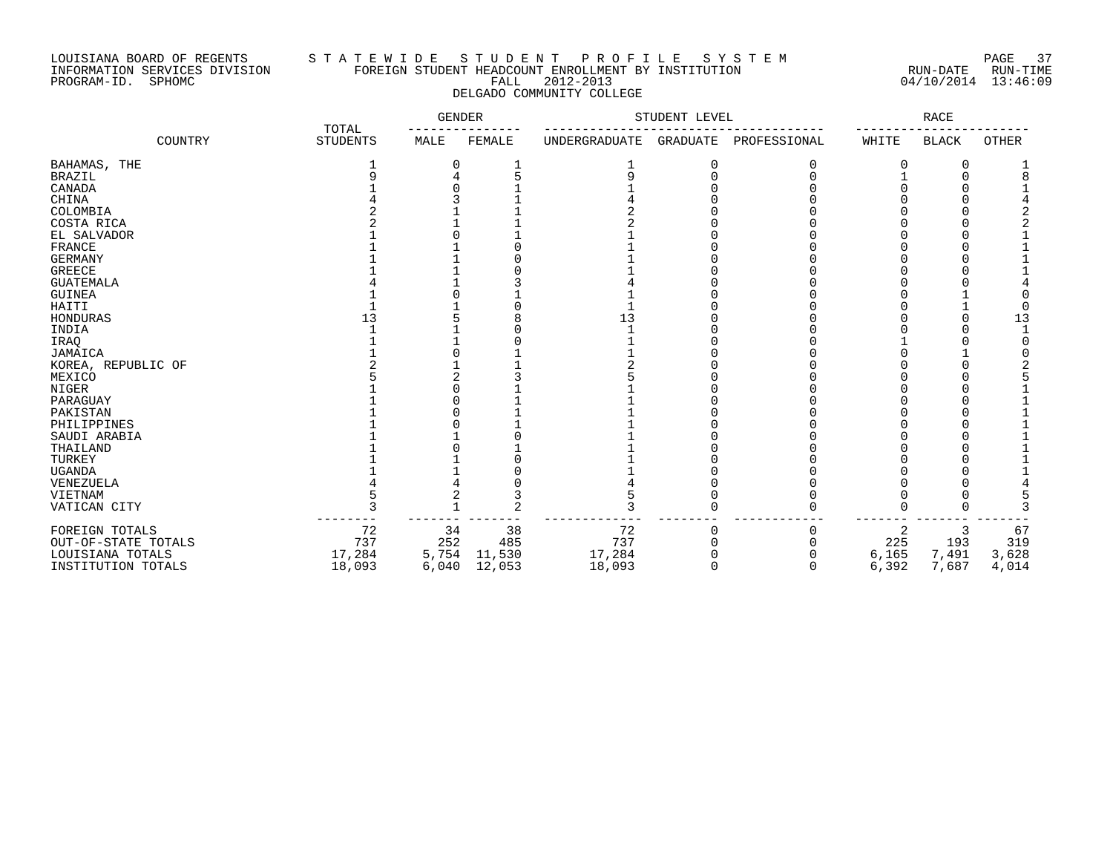## LOUISIANA BOARD OF REGENTS S T A T E W I D E S T U D E N T P R O F I L E S Y S T E M PAGE 37 INFORMATION SERVICES DIVISION FOREIGN STUDENT HEADCOUNT ENROLLMENT BY INSTITUTION RUN-DATE RUN-TIME PROGRAM-ID. SPHOMC FALL 2012-2013 04/10/2014 13:46:09 DELGADO COMMUNITY COLLEGE

|                     |         | TOTAL           | GENDER |        | STUDENT LEVEL        | RACE            |              |       |              |              |
|---------------------|---------|-----------------|--------|--------|----------------------|-----------------|--------------|-------|--------------|--------------|
|                     | COUNTRY | <b>STUDENTS</b> | MALE   | FEMALE | <b>UNDERGRADUATE</b> | <b>GRADUATE</b> | PROFESSIONAL | WHITE | <b>BLACK</b> | <b>OTHER</b> |
| BAHAMAS, THE        |         |                 | 0      |        |                      | 0               |              | 0     | 0            |              |
| <b>BRAZIL</b>       |         |                 |        |        |                      |                 |              |       |              |              |
| CANADA              |         |                 |        |        |                      |                 |              |       |              |              |
| CHINA               |         |                 |        |        |                      |                 |              |       |              |              |
| COLOMBIA            |         |                 |        |        |                      |                 |              |       |              |              |
| COSTA RICA          |         |                 |        |        |                      |                 |              |       |              |              |
| EL SALVADOR         |         |                 |        |        |                      |                 |              |       |              |              |
| FRANCE              |         |                 |        |        |                      |                 |              |       |              |              |
| <b>GERMANY</b>      |         |                 |        |        |                      |                 |              |       |              |              |
| <b>GREECE</b>       |         |                 |        |        |                      |                 |              |       |              |              |
| <b>GUATEMALA</b>    |         |                 |        |        |                      |                 |              |       |              |              |
| <b>GUINEA</b>       |         |                 |        |        |                      |                 |              |       |              |              |
| HAITI               |         |                 |        |        |                      |                 |              |       |              |              |
| HONDURAS            |         | 1 ว             |        |        | 13                   |                 |              |       |              | 13           |
| INDIA               |         |                 |        |        |                      |                 |              |       |              |              |
| IRAQ                |         |                 |        |        |                      |                 |              |       |              |              |
| JAMAICA             |         |                 |        |        |                      |                 |              |       |              |              |
| KOREA, REPUBLIC OF  |         |                 |        |        |                      |                 |              |       |              |              |
| MEXICO              |         |                 |        |        |                      |                 |              |       |              |              |
| NIGER               |         |                 |        |        |                      |                 |              |       |              |              |
| PARAGUAY            |         |                 |        |        |                      |                 |              |       |              |              |
| PAKISTAN            |         |                 |        |        |                      |                 |              |       |              |              |
| PHILIPPINES         |         |                 |        |        |                      |                 |              |       |              |              |
| SAUDI ARABIA        |         |                 |        |        |                      |                 |              |       |              |              |
| THAILAND            |         |                 |        |        |                      |                 |              |       |              |              |
| TURKEY              |         |                 |        |        |                      |                 |              |       |              |              |
| <b>UGANDA</b>       |         |                 |        |        |                      |                 |              |       |              |              |
| VENEZUELA           |         |                 |        |        |                      |                 |              |       |              |              |
| VIETNAM             |         |                 |        |        |                      |                 |              |       |              |              |
| VATICAN CITY        |         |                 |        |        |                      |                 |              | U     | C            |              |
|                     |         |                 |        |        |                      |                 |              |       |              |              |
| FOREIGN TOTALS      |         | 72              | 34     | 38     | 72                   |                 |              | 2     | 3            | 67           |
| OUT-OF-STATE TOTALS |         | 737             | 252    | 485    | 737                  |                 |              | 225   | 193          | 319          |
| LOUISIANA TOTALS    |         | 17,284          | 5,754  | 11,530 | 17,284               |                 |              | 6,165 | 7,491        | 3,628        |
| INSTITUTION TOTALS  |         | 18,093          | 6,040  | 12,053 | 18,093               | $\Omega$        | O            | 6,392 | 7,687        | 4,014        |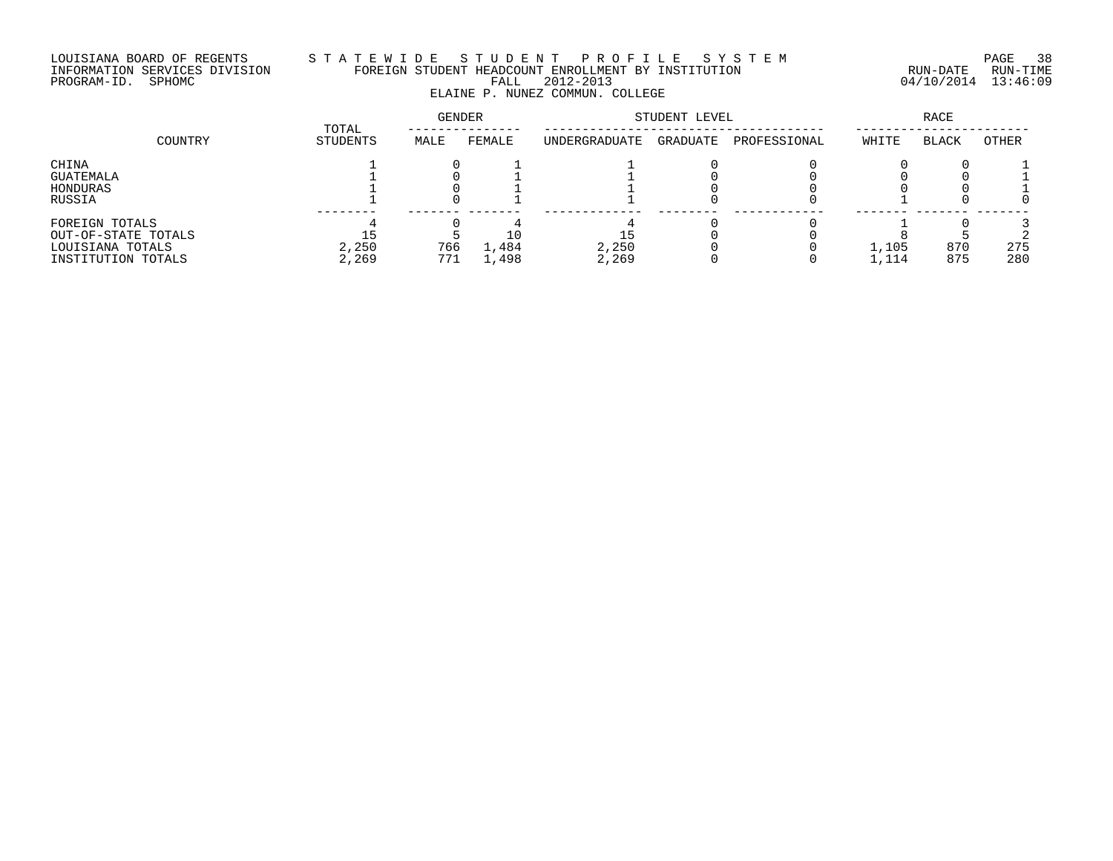## LOUISIANA BOARD OF REGENTS S T A T E W I D E S T U D E N T P R O F I L E S Y S T E M PAGE 38 INFORMATION SERVICES DIVISION FOREIGN STUDENT HEADCOUNT ENROLLMENT BY INSTITUTION RUN-DATE RUN-TIME PROGRAM-ID. SPHOMC FALL 2012-2013 04/10/2014 13:46:09 ELAINE P. NUNEZ COMMUN. COLLEGE

|                     |                   | GENDER |        | STUDENT LEVEL | RACE     |              |       |              |       |
|---------------------|-------------------|--------|--------|---------------|----------|--------------|-------|--------------|-------|
| COUNTRY             | TOTAL<br>STUDENTS | MALE   | FEMALE | UNDERGRADUATE | GRADUATE | PROFESSIONAL | WHITE | <b>BLACK</b> | OTHER |
| CHINA               |                   |        |        |               |          |              |       |              |       |
| GUATEMALA           |                   |        |        |               |          |              |       |              |       |
| HONDURAS            |                   |        |        |               |          |              |       |              |       |
| RUSSIA              |                   |        |        |               |          |              |       |              |       |
| FOREIGN TOTALS      |                   |        |        |               |          |              |       |              |       |
| OUT-OF-STATE TOTALS |                   |        |        |               |          |              |       |              |       |
| LOUISIANA TOTALS    | 2,250             | 766    | ,484   | 2,250         |          |              | 1,105 | 870          | 275   |
| INSTITUTION TOTALS  | 2,269             | 771    | . 498  | 2,269         |          |              | 1,114 | 875          | 280   |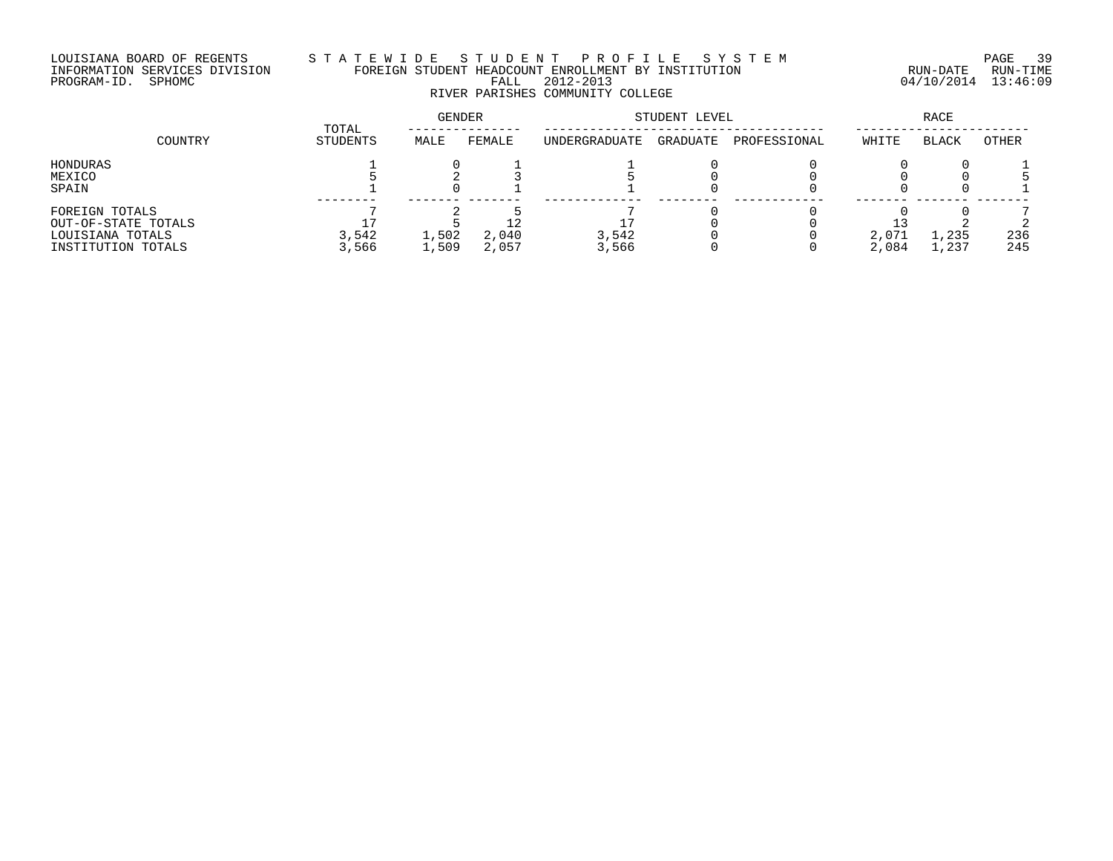## LOUISIANA BOARD OF REGENTS S T A T E W I D E S T U D E N T P R O F I L E S Y S T E M PAGE 39 INFORMATION SERVICES DIVISION FOREIGN STUDENT HEADCOUNT ENROLLMENT BY INSTITUTION RUN-DATE RUN-TIME PROGRAM-ID. SPHOMC FALL 2012-2013 04/10/2014 13:46:09 RIVER PARISHES COMMUNITY COLLEGE

|                                                                                 | TOTAL          | GENDER         |                | STUDENT LEVEL  |          |              | RACE           |               |            |
|---------------------------------------------------------------------------------|----------------|----------------|----------------|----------------|----------|--------------|----------------|---------------|------------|
| COUNTRY                                                                         | STUDENTS       | MALE           | FEMALE         | UNDERGRADUATE  | GRADUATE | PROFESSIONAL | WHITE          | <b>BLACK</b>  | OTHER      |
| HONDURAS<br>MEXICO<br>SPAIN                                                     |                |                |                |                |          |              |                |               |            |
| FOREIGN TOTALS<br>OUT-OF-STATE TOTALS<br>LOUISIANA TOTALS<br>INSTITUTION TOTALS | 3,542<br>3,566 | 1,502<br>1,509 | 2,040<br>2,057 | 3,542<br>3,566 |          |              | 2,071<br>2,084 | 235ء<br>1,237 | 236<br>245 |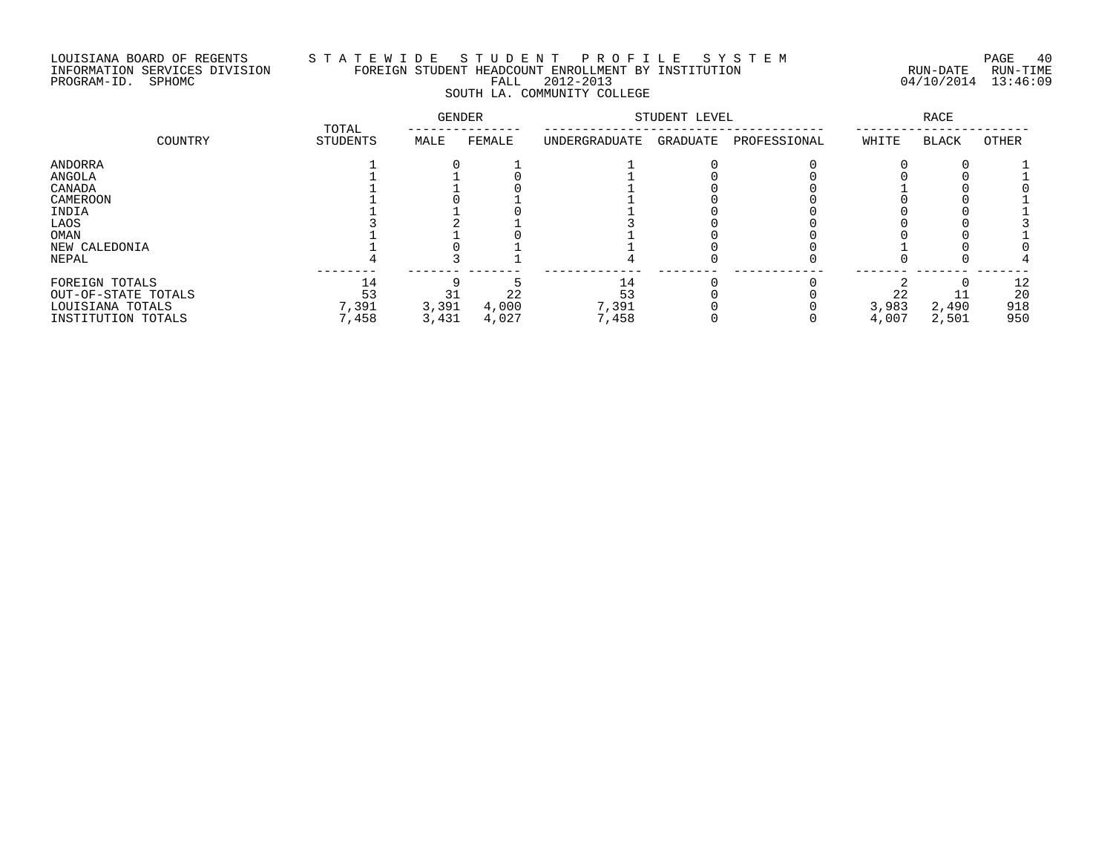# LOUISIANA BOARD OF REGENTS S T A T E W I D E S T U D E N T P R O F I L E S Y S T E M PAGE 40 INFORMATION SERVICES DIVISION FOREIGN STUDENT HEADCOUNT ENROLLMENT BY INSTITUTION RUN-DATE RUN-TIME PROGRAM-ID. SPHOMC FALL 2012-2013 04/10/2014 13:46:09 SOUTH LA. COMMUNITY COLLEGE

|                                                                                            | TOTAL                      |                      | <b>GENDER</b>        |                            | STUDENT LEVEL |              | RACE                 |                |                        |
|--------------------------------------------------------------------------------------------|----------------------------|----------------------|----------------------|----------------------------|---------------|--------------|----------------------|----------------|------------------------|
| COUNTRY                                                                                    | STUDENTS                   | MALE                 | FEMALE               | UNDERGRADUATE              | GRADUATE      | PROFESSIONAL | WHITE                | <b>BLACK</b>   | OTHER                  |
| ANDORRA<br>ANGOLA<br>CANADA<br>CAMEROON<br>INDIA<br>LAOS<br>OMAN<br>NEW CALEDONIA<br>NEPAL |                            |                      |                      |                            |               |              |                      |                |                        |
| FOREIGN TOTALS<br>OUT-OF-STATE TOTALS<br>LOUISIANA TOTALS<br>INSTITUTION TOTALS            | 14<br>53<br>7,391<br>7,458 | 31<br>3,391<br>3,431 | 22<br>4,000<br>4,027 | 14<br>53<br>7,391<br>7,458 |               |              | 22<br>3,983<br>4,007 | 2,490<br>2,501 | 12<br>20<br>918<br>950 |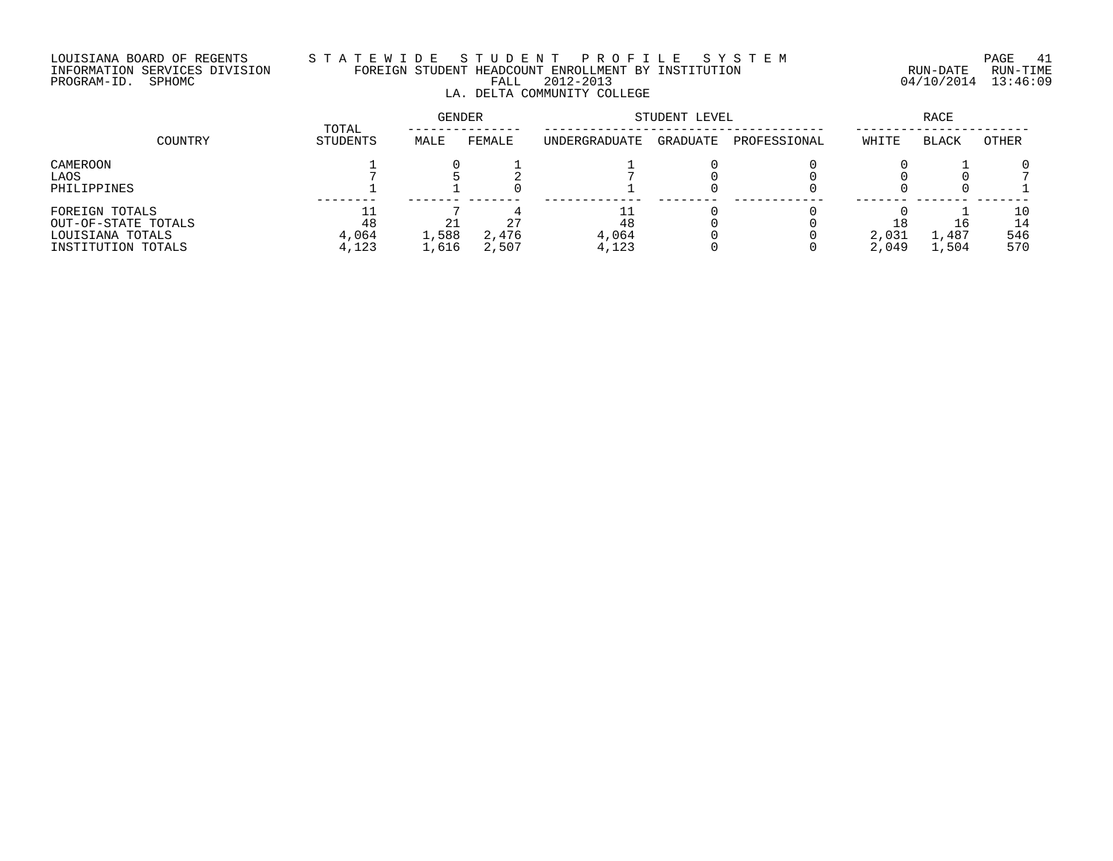## LOUISIANA BOARD OF REGENTS S T A T E W I D E S T U D E N T P R O F I L E S Y S T E M PAGE 41 INFORMATION SERVICES DIVISION FOREIGN STUDENT HEADCOUNT ENROLLMENT BY INSTITUTION RUN-DATE RUN-TIME PROGRAM-ID. SPHOMC FALL 2012-2013 04/10/2014 13:46:09 LA. DELTA COMMUNITY COLLEGE

|                                                                                 | TOTAL                | GENDER         |                | STUDENT LEVEL        | RACE     |              |                |               |                        |
|---------------------------------------------------------------------------------|----------------------|----------------|----------------|----------------------|----------|--------------|----------------|---------------|------------------------|
| COUNTRY                                                                         | STUDENTS             | MALE           | FEMALE         | UNDERGRADUATE        | GRADUATE | PROFESSIONAL | WHITE          | <b>BLACK</b>  | OTHER                  |
| CAMEROON<br>LAOS<br>PHILIPPINES                                                 |                      |                |                |                      |          |              |                |               |                        |
| FOREIGN TOTALS<br>OUT-OF-STATE TOTALS<br>LOUISIANA TOTALS<br>INSTITUTION TOTALS | 48<br>4,064<br>4,123 | 1,588<br>1,616 | 2,476<br>2,507 | 48<br>4,064<br>4,123 |          |              | 2,031<br>2,049 | ,487<br>1,504 | 10<br>⊥4<br>546<br>570 |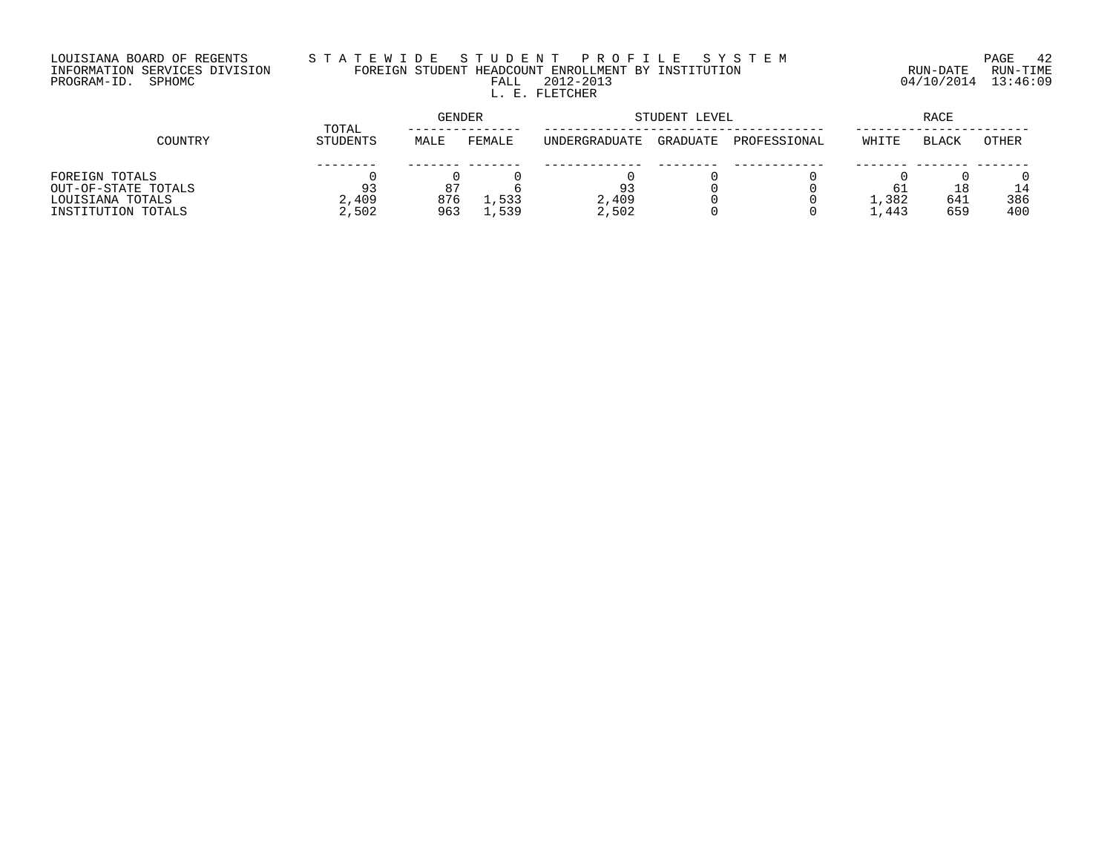# LOUISIANA BOARD OF REGENTS S T A T E W I D E S T U D E N T P R O F I L E S Y S T E M PAGE 42 INFORMATION SERVICES DIVISION FOREIGN STUDENT HEADCOUNT ENROLLMENT BY INSTITUTION RUN-DATE RUN-TIME PROGRAM-ID. SPHOMC FALL 2012-2013 04/10/2014 13:46:09 FALL 2012-2013<br>L. E. FLETCHER

|                     | TOTAL    | GENDER |        | STUDENT LEVEL | RACE     |              |       |       |       |
|---------------------|----------|--------|--------|---------------|----------|--------------|-------|-------|-------|
| COUNTRY             | STUDENTS | MALE   | FEMALE | UNDERGRADUATE | GRADUATE | PROFESSIONAL | WHITE | BLACK | OTHER |
|                     |          |        |        |               |          |              |       |       |       |
| FOREIGN TOTALS      |          |        |        |               |          |              |       |       |       |
| OUT-OF-STATE TOTALS | 93       | 87     |        | 93            |          |              |       |       |       |
| LOUISIANA TOTALS    | 2,409    | 876    | ,533   | 2,409         |          |              | 1,382 | 641   | 386   |
| INSTITUTION TOTALS  | 2,502    | 963    | ,539   | 2,502         |          |              | 1,443 | 659   | 400   |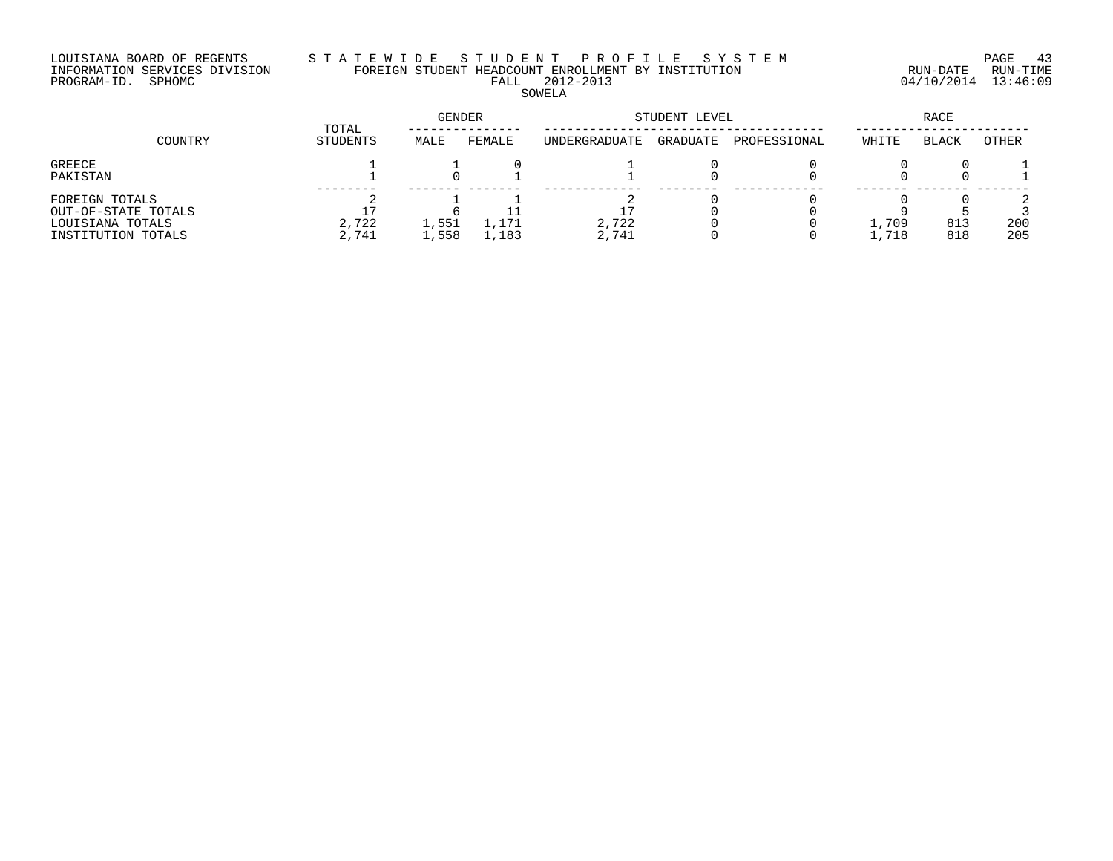# LOUISIANA BOARD OF REGENTS S T A T E W I D E S T U D E N T P R O F I L E S Y S T E M PAGE 43 INFORMATION SERVICES DIVISION FOREIGN STUDENT HEADCOUNT ENROLLMENT BY INSTITUTION RUN-DATE RUN-TIME PROGRAM-ID. SPHOMC FALL 2012-2013 04/10/2014 13:46:09 SOWELA

|                                                           |                   | GENDER |        | STUDENT LEVEL | RACE     |              |       |              |              |
|-----------------------------------------------------------|-------------------|--------|--------|---------------|----------|--------------|-------|--------------|--------------|
| COUNTRY                                                   | TOTAL<br>STUDENTS | MALE   | FEMALE | UNDERGRADUATE | GRADUATE | PROFESSIONAL | WHITE | <b>BLACK</b> | <b>OTHER</b> |
| GREECE<br>PAKISTAN                                        |                   |        |        |               |          |              |       |              |              |
| FOREIGN TOTALS<br>OUT-OF-STATE TOTALS<br>LOUISIANA TOTALS | 2,722             | l.551  | .171   | 2,722         |          |              | 1,709 | 813          | 200          |
| INSTITUTION TOTALS                                        | 2,741             | ,558   | 1,183  | 2,741         |          |              | 1,718 | 818          | 205          |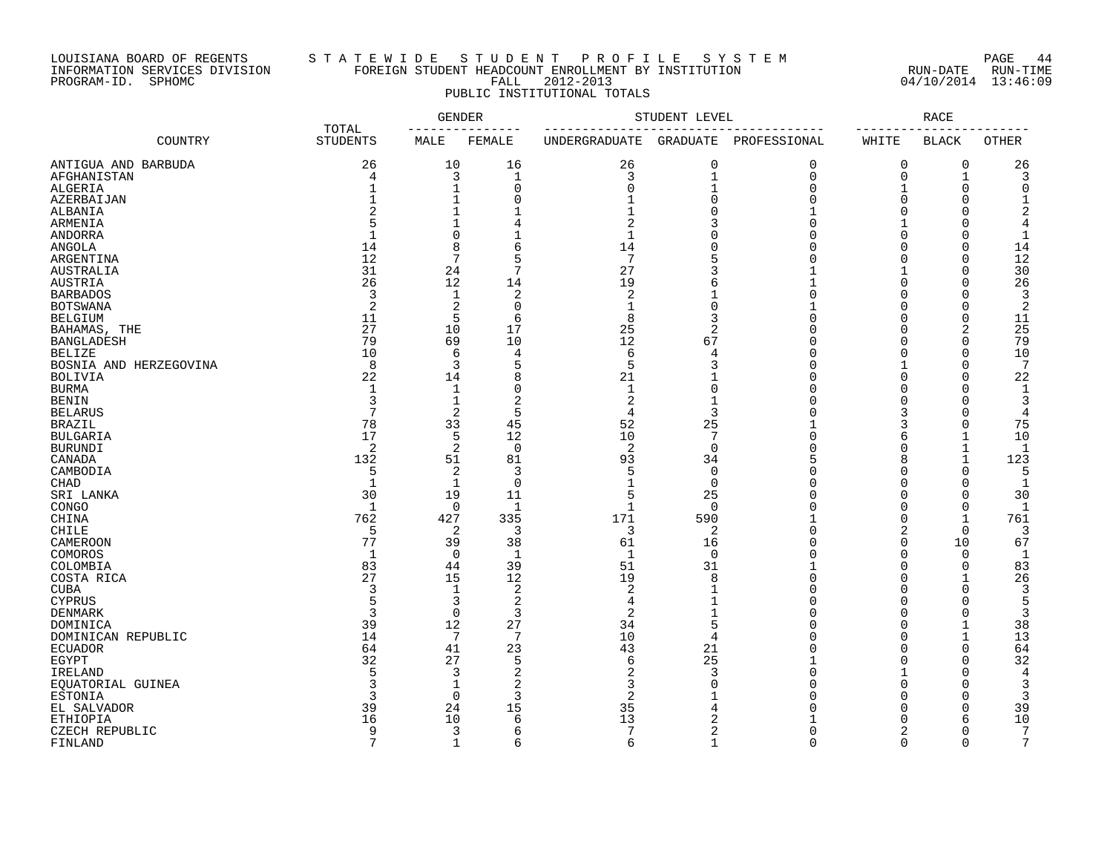### LOUISIANA BOARD OF REGENTS S T A T E W I D E S T U D E N T P R O F I L E S Y S T E M PAGE 44 INFORMATION SERVICES DIVISION FOREIGN STUDENT HEADCOUNT ENROLLMENT BY INSTITUTION RUN-DATE RUN-TIME PROGRAM-ID. SPHOMC FALL 2012-2013 04/10/2014 13:46:09 PUBLIC INSTITUTIONAL TOTALS

|                        |                          | <b>GENDER</b>  |                         |                | STUDENT LEVEL   |              |             | RACE           |                |
|------------------------|--------------------------|----------------|-------------------------|----------------|-----------------|--------------|-------------|----------------|----------------|
| COUNTRY                | TOTAL<br><b>STUDENTS</b> | MALE           | FEMALE                  | UNDERGRADUATE  | <b>GRADUATE</b> | PROFESSIONAL | WHITE       | <b>BLACK</b>   | <b>OTHER</b>   |
| ANTIGUA AND BARBUDA    | 26                       | 10             | 16                      | 26             | 0               | 0            | 0           | $\mathbf 0$    | 26             |
| AFGHANISTAN            | 4                        | 3              | $\mathbf{1}$            | 3              | $\mathbf 1$     | $\Omega$     | $\mathbf 0$ | 1              | 3              |
| <b>ALGERIA</b>         | $\mathbf 1$              | $\mathbf{1}$   | $\mathbf 0$             | ∩              | $\mathbf{1}$    | $\Omega$     |             | $\Omega$       | ∩              |
| AZERBAIJAN             |                          | 1              | 0                       |                | $\Omega$        | U            | $\Omega$    | $\Omega$       |                |
| ALBANIA                | 2                        | $\mathbf{1}$   |                         | 1              | $\Omega$        |              | $\Omega$    | O              |                |
| ARMENIA                | 5                        | $\mathbf{1}$   | 4                       | $\overline{2}$ | 3               | $\Omega$     | 1           | O              | 4              |
| ANDORRA                |                          | 0              |                         | 1              | C               | n            | U           | ∩              |                |
| <b>ANGOLA</b>          | 14                       | 8              | 6                       | 14             | $\bigcap$       |              | $\Omega$    | $\Omega$       | 14             |
| ARGENTINA              | 12                       | 7              | 5                       | 7              | 5               | C            | $\Omega$    | 0              | 12             |
| AUSTRALIA              | 31                       | 24             | 7                       | 27             | 3               |              | -1          | $\Omega$       | 30             |
| AUSTRIA                | 26                       | 12             | 14                      | 19             | 6               |              | $\cap$      | $\Omega$       | 26             |
| <b>BARBADOS</b>        | 3                        | $\mathbf{1}$   | $\overline{2}$          | 2              |                 | C            | U           | $\Omega$       | 3              |
| <b>BOTSWANA</b>        | $\overline{2}$           | 2              | $\mathbf 0$             | $\mathbf 1$    | $\Omega$        |              | $\Omega$    | $\Omega$       | 2              |
| <b>BELGIUM</b>         | 11                       | 5              | 6                       | 8              | 3               | U            | U           | $\Omega$       | 11             |
| BAHAMAS, THE           | 27                       | 10             | 17                      | 25             | $\overline{c}$  | C            |             | $\overline{c}$ | 25             |
| BANGLADESH             | 79                       | 69             | 10                      | 12             | 67              | n            | U           | $\Omega$       | 79             |
| <b>BELIZE</b>          | 10                       | 6              | 4                       | 6              | 4               | U            | $\Omega$    | $\Omega$       | 10             |
| BOSNIA AND HERZEGOVINA | 8                        | 3              | 5                       | 5              | 3               | C            |             | $\Omega$       | 7              |
| <b>BOLIVIA</b>         | 22                       | 14             | 8                       | 21             |                 | O            | $\Omega$    | $\Omega$       | 22             |
| <b>BURMA</b>           | $\mathbf{1}$             | 1              | $\overline{0}$          | $\mathbf 1$    | $\Omega$        | $\cap$       | $\Omega$    | $\Omega$       | 1              |
| <b>BENIN</b>           | 3                        | 1              | $\overline{2}$          | $\overline{2}$ | 1               |              | U           | $\Omega$       | 3              |
| <b>BELARUS</b>         | 7                        | 2              | 5                       | 4              | 3               | C            | 3           | O              | $\overline{4}$ |
| <b>BRAZIL</b>          | 78                       | 33             | 45                      | 52             | 25              |              | 3           | $\Omega$       | 75             |
| <b>BULGARIA</b>        | 17                       | 5              | 12                      | 10             | 7               | U            | 6           |                | 10             |
| <b>BURUNDI</b>         | 2                        | $\overline{2}$ | $\overline{0}$          | $\overline{2}$ | $\overline{0}$  | O            | $\Omega$    | 1              | -1             |
| CANADA                 | 132                      | 51             | 81                      | 93             | 34              |              |             | 1              | 123            |
| CAMBODIA               | 5                        | $\sqrt{2}$     | 3                       | 5              | 0               | C            | ∩           | $\Omega$       | 5              |
| <b>CHAD</b>            | $\mathbf{1}$             | 1              | $\Omega$                |                | $\Omega$        | U            | U           | ∩              | -1             |
| SRI LANKA              | 30                       | 19             | 11                      | 5              | 25              |              | U           | $\Omega$       | 30             |
| CONGO                  | $\mathbf{1}$             | $\Omega$       | $\mathbf{1}$            | 1              | $\Omega$        | C            | U           | $\Omega$       | -1             |
| CHINA                  | 762                      | 427            | 335                     | 171            | 590             |              | U           | 1              | 761            |
| <b>CHILE</b>           | 5                        | 2              | 3                       | 3              | 2               | C            | 2           | $\mathbf 0$    | 3              |
| <b>CAMEROON</b>        | 77                       | 39             | 38                      | 61             | 16              | C            | $\cap$      | 10             | 67             |
| COMOROS                | $\mathbf{1}$             | $\Omega$       | $\mathbf{1}$            | 1              | $\Omega$        | U            | U           | $\Omega$       | -1             |
| COLOMBIA               | 83                       | 44             | 39                      | 51             | 31              |              | U           | 0              | 83             |
| COSTA RICA             | 27                       | 15             | 12                      | 19             | 8               | U            | U           | 1              | 26             |
| <b>CUBA</b>            | 3                        | 1              | $\overline{\mathbf{c}}$ | $\overline{2}$ | $\mathbf 1$     | U            | U           | $\Omega$       | 3              |
| <b>CYPRUS</b>          | 5                        | 3              | $\overline{2}$          | 4              | 1               | C            | U           | O              | 5              |
| DENMARK                | 3                        | 0              | 3                       | $\overline{2}$ | 1               | C            |             | ∩              | 3              |
| DOMINICA               | 39                       | 12             | 27                      | 34             | 5               | C            | U           | 1              | 38             |
| DOMINICAN REPUBLIC     | 14                       | 7              | 7                       | 10             | 4               | C            | ∩           | $\mathbf{1}$   | 13             |
| <b>ECUADOR</b>         | 64                       | 41             | 23                      | 43             | 21              | U            | U           | $\Omega$       | 64             |
| EGYPT                  | 32                       | 27             | 5                       | 6              | 25              |              | U           | $\Omega$       | 32             |
| IRELAND                | 5                        | 3              | $\overline{2}$          | 2              | 3               | $\Omega$     | 1           | $\Omega$       | 4              |
| EOUATORIAL GUINEA      | 3                        | 1              | $\overline{2}$          | 3              | $\Omega$        |              | $\Omega$    | $\Omega$       | 3              |
| <b>ESTONIA</b>         | 3                        | 0              | 3                       | $\overline{2}$ |                 | r            | $\Omega$    | $\Omega$       | 3              |
| EL SALVADOR            | 39                       | 24             | 15                      | 35             | 4               |              | U           | $\Omega$       | 39             |
| <b>ETHIOPIA</b>        | 16                       | 10             | 6                       | 13             | $\overline{2}$  |              | $\Omega$    | 6              | 10             |
| CZECH REPUBLIC         | 9                        | 3              | 6                       | 7              | $\sqrt{2}$      | O            | 2           | 0              | 7              |
| FINLAND                | 7                        | 1              | 6                       | 6              | $\mathbf 1$     | $\Omega$     | $\Omega$    | $\Omega$       | 7              |
|                        |                          |                |                         |                |                 |              |             |                |                |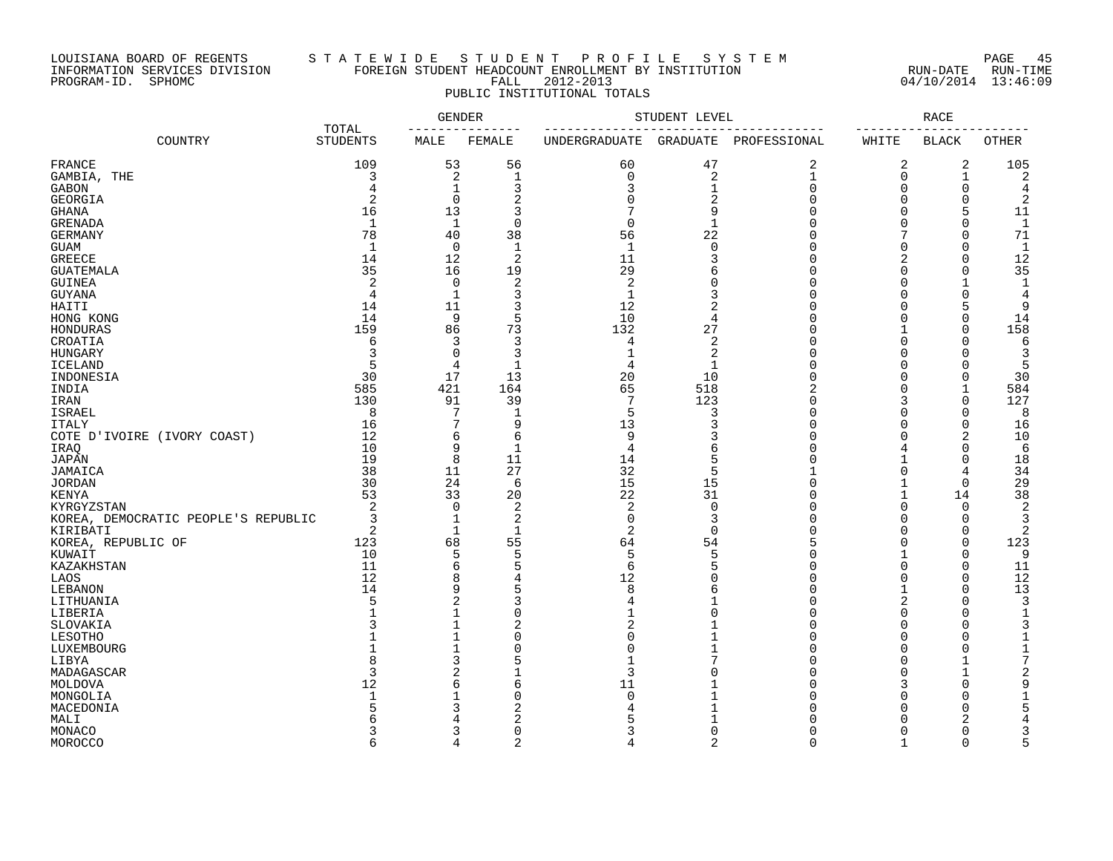### LOUISIANA BOARD OF REGENTS S T A T E W I D E S T U D E N T P R O F I L E S Y S T E M PAGE 45 INFORMATION SERVICES DIVISION FOREIGN STUDENT HEADCOUNT ENROLLMENT BY INSTITUTION RUN-DATE RUN-TIME PROGRAM-ID. SPHOMC FALL 2012-2013 04/10/2014 13:46:09 PUBLIC INSTITUTIONAL TOTALS

|                                     | <b>GENDER</b>            |                | STUDENT LEVEL  | RACE           |                 |              |                |              |                |
|-------------------------------------|--------------------------|----------------|----------------|----------------|-----------------|--------------|----------------|--------------|----------------|
| COUNTRY                             | TOTAL<br><b>STUDENTS</b> | MALE           | FEMALE         | UNDERGRADUATE  | <b>GRADUATE</b> | PROFESSIONAL | WHITE          | <b>BLACK</b> | <b>OTHER</b>   |
| FRANCE                              | 109                      | 53             | 56             | 60             | 47              | 2            | 2              | 2            | 105            |
| GAMBIA, THE                         | 3                        | 2              | $\mathbf 1$    | $\Omega$       | $\overline{2}$  | $\mathbf 1$  | 0              | $\mathbf{1}$ | 2              |
| <b>GABON</b>                        | $\overline{4}$           | 1              | 3              |                | $\mathbf 1$     | $\Omega$     | $\Omega$       | $\Omega$     | $\overline{4}$ |
| <b>GEORGIA</b>                      | $\overline{c}$           | $\Omega$       | $\overline{2}$ | ∩              | $\overline{2}$  | $\cap$       | $\Omega$       | $\Omega$     | 2              |
| GHANA                               | 16                       | 13             | 3              |                | 9               | $\sqrt{ }$   | $\Omega$       | 5            | 11             |
| <b>GRENADA</b>                      | 1                        | 1              | $\Omega$       | $\Omega$       | $\mathbf 1$     | C            | $\Omega$       | $\Omega$     | 1              |
| <b>GERMANY</b>                      | 78                       | 40             | 38             | 56             | 22              |              |                | $\Omega$     | 71             |
| <b>GUAM</b>                         | $\mathbf{1}$             | $\Omega$       | $\mathbf{1}$   | $\mathbf{1}$   | $\mathbf 0$     | C            | $\Omega$       | $\Omega$     | -1             |
| <b>GREECE</b>                       | 14                       | 12             | $\overline{2}$ | 11             | 3               | $\Omega$     | $\overline{2}$ | $\Omega$     | 12             |
| <b>GUATEMALA</b>                    | 35                       | 16             | 19             | 29             | 6               | C            | $\Omega$       | $\Omega$     | 35             |
| GUINEA                              | 2                        | $\mathbf 0$    | $\overline{2}$ | 2              | $\Omega$        | $\cap$       | $\Omega$       | 1            | -1             |
| <b>GUYANA</b>                       | $\overline{4}$           | $\mathbf{1}$   | 3              | $\mathbf 1$    | 3               | C            | $\Omega$       | $\Omega$     | $\overline{4}$ |
| HAITI                               | 14                       | 11             | 3              | 12             | $\sqrt{2}$      | $\Omega$     | $\Omega$       | 5            | 9              |
| HONG KONG                           | 14                       | 9              | 5              | 10             | $\overline{4}$  | O            | $\Omega$       | $\Omega$     | 14             |
| HONDURAS                            | 159                      | 86             | 73             | 132            | 27              | C            |                | $\Omega$     | 158            |
| CROATIA                             | 6                        | 3              | 3              | 4              | 2               | $\Omega$     | $\Omega$       | $\Omega$     | 6              |
| <b>HUNGARY</b>                      | 3                        | $\mathbf 0$    | 3              | 1              | 2               | $\cap$       | $\Omega$       | $\Omega$     | 3              |
| <b>ICELAND</b>                      | 5                        | 4              | $\mathbf{1}$   | 4              | $\mathbf{1}$    | $\Omega$     | $\Omega$       | U            | 5              |
| INDONESIA                           | 30                       | 17             | 13             | 20             | 10              | $\Omega$     | $\Omega$       | 0            | 30             |
| INDIA                               | 585                      | 421            | 164            | 65             | 518             |              | $\Omega$       | $\mathbf{1}$ | 584            |
| IRAN                                | 130                      | 91             | 39             | 7              | 123             | $\Omega$     | 3              | $\Omega$     | 127            |
| ISRAEL                              | 8                        | 7              | 1              | 5              | 3               | $\Omega$     | $\Omega$       | $\Omega$     | 8              |
| <b>ITALY</b>                        | 16                       | 7              | 9              | 13             | 3               | C            | $\Omega$       | $\Omega$     | 16             |
| COTE D'IVOIRE (IVORY COAST)         | 12                       | 6              | 6              | 9              | 3               | $\cap$       | $\Omega$       | 2            | 10             |
| IRAQ                                | 10                       | 9              | $\mathbf{1}$   | 4              | 6               |              |                | $\Omega$     | 6              |
| <b>JAPAN</b>                        | 19                       | 8              | 11             | 14             | 5               | C            | $\mathbf{1}$   | 0            | 18             |
| JAMAICA                             | 38                       | 11             | 27             | 32             | 5               |              | $\Omega$       | 4            | 34             |
| <b>JORDAN</b>                       | 30                       | 24             | 6              | 15             | 15              | $\sqrt{ }$   | $\mathbf{1}$   | $\Omega$     | 29             |
| KENYA                               | 53                       | 33             | 20             | 22             | 31              | $\cap$       |                | 14           | 38             |
| KYRGYZSTAN                          |                          | $\mathbf 0$    | $\overline{2}$ | 2              | $\mathbf 0$     | C            | $\Omega$       | $\Omega$     | $\overline{c}$ |
| KOREA, DEMOCRATIC PEOPLE'S REPUBLIC | 3                        | $\mathbf 1$    | 2              | $\Omega$       | 3               |              | ∩              | $\Omega$     | 3              |
| KIRIBATI                            | 2                        | 1              | $\mathbf{1}$   | 2              | $\Omega$        | C            | $\Omega$       | 0            | 2              |
| KOREA, REPUBLIC OF                  | 123                      | 68             | 55             | 64             | 54              |              | $\Omega$       | $\Omega$     | 123            |
| KUWAIT                              | 10                       | 5              | 5              | 5              | 5               | C            |                | $\Omega$     | 9              |
| KAZAKHSTAN                          | 11                       | 6              | 5              | 6              | 5               | C            | $\Omega$       | $\Omega$     | 11             |
| LAOS                                | 12                       | 8              | 4              | 12             | $\Omega$        | C            | $\Omega$       | $\Omega$     | 12             |
| LEBANON                             | 14                       | 9              | 5              | 8              | 6               | $\cap$       | $\mathbf{1}$   | $\Omega$     | 13             |
| LITHUANIA                           | 5                        | $\overline{2}$ |                |                |                 | $\sqrt{ }$   | $\overline{2}$ | $\Omega$     | 3              |
| LIBERIA                             |                          | 1              | $\Omega$       |                | $\Omega$        | C            | $\Omega$       | $\Omega$     | 1              |
| SLOVAKIA                            |                          | $\mathbf{1}$   | 2              | $\overline{2}$ |                 | O            | $\Omega$       | $\Omega$     | 3              |
| LESOTHO                             |                          | $\mathbf{1}$   | $\Omega$       | ∩              |                 | C            | $\Omega$       | 0            |                |
| LUXEMBOURG                          |                          | $\mathbf 1$    | $\Omega$       | $\Omega$       |                 | $\cap$       | $\Omega$       | $\Omega$     |                |
| LIBYA                               | 8                        | 3              | 5              |                |                 | C            | $\Omega$       | -1           |                |
| MADAGASCAR                          | 3                        | 2              |                | 3              | $\cap$          | $\Omega$     | $\Omega$       | $\mathbf{1}$ |                |
| MOLDOVA                             | 12                       | 6              | 6              | 11             |                 | O            | 3              | $\Omega$     |                |
| MONGOLIA                            |                          | 1              | $\Omega$       | $\Omega$       |                 | $\cap$       | $\Omega$       | $\Omega$     |                |
| MACEDONIA                           |                          | 3              | 2              |                |                 | C            | $\Omega$       | 0            |                |
| MALI                                |                          | 4              | 2              |                |                 |              | ∩              | 2            |                |
| MONACO                              | 3                        | 3              | $\Omega$       |                | $\Omega$        | O            | $\Omega$       | $\Omega$     |                |
| MOROCCO                             | $\sqrt{2}$               | 4              | $\mathcal{D}$  | Δ              | $\overline{2}$  | $\Omega$     | $\mathbf{1}$   | $\Omega$     | 5              |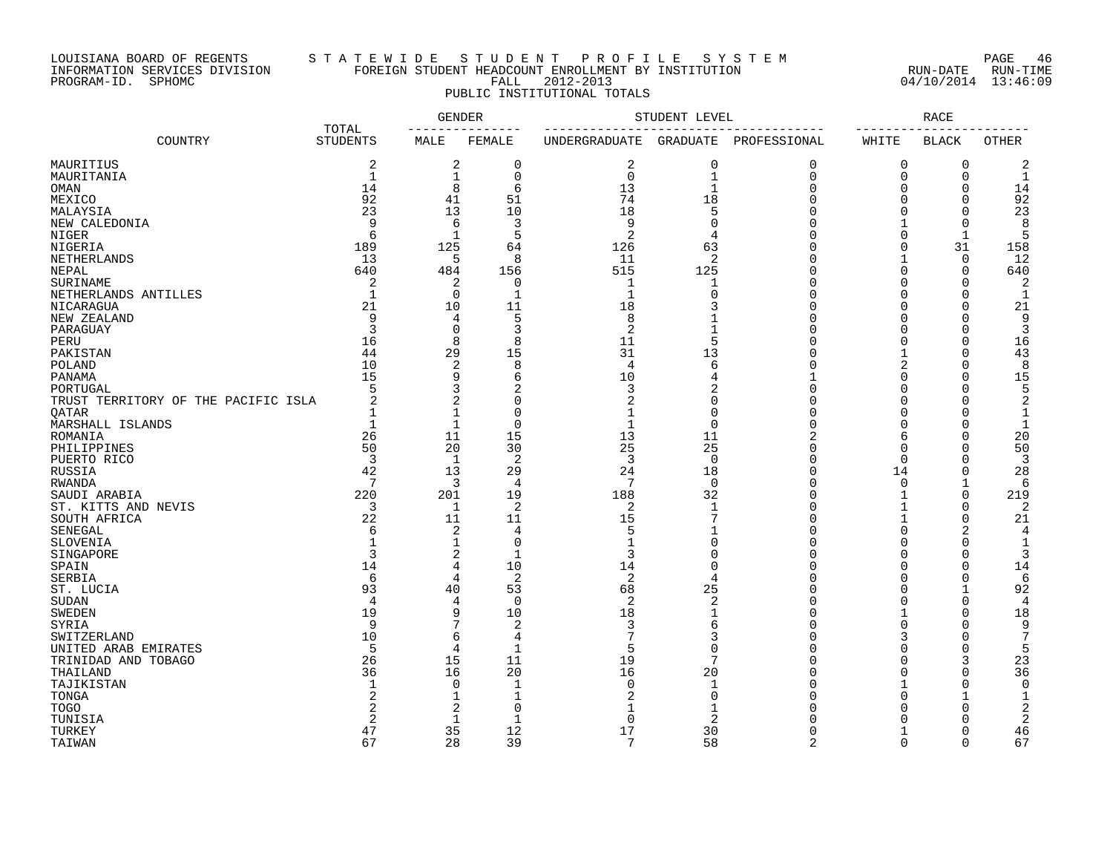### LOUISIANA BOARD OF REGENTS S T A T E W I D E S T U D E N T P R O F I L E S Y S T E M PAGE 46 INFORMATION SERVICES DIVISION FOREIGN STUDENT HEADCOUNT ENROLLMENT BY INSTITUTION RUN-DATE RUN-TIME PROGRAM-ID. SPHOMC FALL 2012-2013 04/10/2014 13:46:09 PUBLIC INSTITUTIONAL TOTALS

|                                     |                          | <b>GENDER</b> |                | STUDENT LEVEL  |                |                      | <b>RACE</b>    |                        |                |
|-------------------------------------|--------------------------|---------------|----------------|----------------|----------------|----------------------|----------------|------------------------|----------------|
| COUNTRY                             | TOTAL<br><b>STUDENTS</b> | MALE          | FEMALE         | UNDERGRADUATE  | GRADUATE       | PROFESSIONAL         | WHITE          | <b>BLACK</b>           | OTHER          |
| MAURITIUS                           | 2                        | 2             | $\mathbf 0$    | 2              | 0              | 0                    | 0              | 0                      | $\overline{2}$ |
| MAURITANIA                          | $\mathbf{1}$             | 1             | $\mathbf 0$    | $\mathbf 0$    | $\mathbf 1$    | $\mathbf 0$          | 0              | $\mathbf 0$            | $\mathbf{1}$   |
| OMAN                                | 14                       | 8             | 6              | 13             | $\mathbf{1}$   | $\Omega$             | 0              | $\Omega$               | 14             |
| MEXICO                              | 92                       | 41            | 51             | 74             | 18             | $\Omega$             | 0              | $\Omega$               | 92             |
| MALAYSIA                            | 23                       | 13            | 10             | 18             | 5              | $\Omega$             | 0              | $\cap$                 | 23             |
| NEW CALEDONIA                       | 9                        | 6             | 3              | 9              | $\mathbf 0$    | $\Omega$             | 1              | $\Omega$               | 8              |
| NIGER                               | 6                        | 1             | 5              | 2              | 4              | $\Omega$             | 0              |                        | 5              |
| NIGERIA                             | 189                      | 125           | 64             | 126            | 63             | ∩                    | 0              | 31                     | 158            |
| NETHERLANDS                         | 13                       | 5             | 8              | 11             | $\overline{c}$ | $\Omega$             | $\mathbf{1}$   | $\Omega$               | 12             |
| NEPAL                               | 640                      | 484           | 156            | 515            | 125            | $\Omega$             | 0              | $\Omega$               | 640            |
| SURINAME                            | $\overline{2}$           | 2             | 0              | 1              | 1              | $\Omega$             | O              | $\Omega$               | 2              |
| NETHERLANDS ANTILLES                | $\mathbf{1}$             | 0             | 1              | $\mathbf{1}$   | $\Omega$       | $\Omega$             | O              | $\Omega$               | 1              |
| NICARAGUA                           | 21                       | 10            | 11             | 18             | 3              | $\cap$               | 0              | $\Omega$               | 21             |
| NEW ZEALAND                         | 9                        | 4             | 5              | 8              |                | $\Omega$             | 0              | $\cap$                 | 9              |
| PARAGUAY                            | 3                        | $\mathbf 0$   | 3              | $\overline{2}$ |                |                      | 0              | $\mathcal{C}$          | 3              |
| PERU                                | 16                       | 8             | 8              | 11             | 5              | $\Omega$             | 0              | $\Omega$               | 16             |
| PAKISTAN                            | 44                       | 29            | 15             | 31             | 13             | ∩                    | $\mathbf{1}$   | $\Omega$               | 43             |
| POLAND                              | 10                       | 2             | 8              | $\overline{4}$ | 6              | $\Omega$             | $\overline{2}$ | $\cap$                 | 8              |
| PANAMA                              | 15                       | 9             | 6              | 10             |                |                      | 0              | $\Omega$               | 15             |
| PORTUGAL                            |                          | 3             | 2              | 3              | 2              |                      | 0              | $\Omega$               | 5              |
| TRUST TERRITORY OF THE PACIFIC ISLA |                          | 2             | $\Omega$       | $\overline{a}$ | $\Omega$       | ∩                    | 0              | $\cap$                 | 2              |
| QATAR                               |                          | $\mathbf{1}$  | $\Omega$       | -1             | $\Omega$       | $\Omega$             | U              | $\sqrt{ }$             | $\mathbf 1$    |
| MARSHALL ISLANDS                    | $\mathbf{1}$             | $\mathbf{1}$  | $\Omega$       | $\mathbf{1}$   | $\Omega$       | $\Omega$             | 0              | $\sqrt{ }$             | $\mathbf{1}$   |
| ROMANIA                             | 26                       | 11            | 15             | 13             | 11             | 2                    | 6              | $\Omega$               | 20             |
| PHILIPPINES                         | 50                       | 20            | 30             | 25             | 25             | $\Omega$             | $\Omega$       | $\Omega$               | 50             |
| PUERTO RICO                         | 3                        | 1             | $\overline{2}$ | $\overline{3}$ | $\Omega$       | $\Omega$             | $\Omega$       | $\cap$                 | 3              |
| RUSSIA                              | 42                       | 13            | 29             | 24             | 18             | $\Omega$             | 14             | $\Omega$               | 28             |
| RWANDA                              | 7                        | 3             | $\overline{4}$ | 7              | $\mathbf 0$    | $\Omega$             | 0              |                        | 6              |
| SAUDI ARABIA                        | 220                      | 201           | 19             | 188            | 32             | $\Omega$             | 1              | $\mathbf 0$            | 219            |
| ST. KITTS AND NEVIS                 | 3                        | 1             | $\overline{2}$ | 2              | 1              | ∩                    | 1              | $\mathbf 0$            | 2              |
| SOUTH AFRICA                        | 22                       | 11            | 11             | 15             | 7              | $\Omega$             | $\mathbf{1}$   | $\Omega$               | 21             |
| SENEGAL                             | 6                        | 2             | 4              | 5              |                | $\Omega$             | $\Omega$       | 2                      | 4              |
| SLOVENIA                            |                          | 1             | $\Omega$       | $\mathbf 1$    | $\Omega$       |                      | 0              | $\Omega$               | 1              |
| SINGAPORE                           | 3                        | 2             | 1              | 3              | $\Omega$       | $\Omega$             | 0              | $\Omega$               | 3              |
| SPAIN                               | 14                       | 4             | 10             | 14             | $\Omega$       | $\Omega$             | U              | $\Omega$               | 14             |
| SERBIA                              | 6                        | 4             | 2              | 2              | 4              | $\Omega$             | 0              | $\Omega$               | 6              |
| ST. LUCIA                           | 93                       | 40            | 53             | 68             | 25             | $\Omega$             | 0              | $\mathbf{1}$           | 92             |
| SUDAN                               | 4                        | 4             | $\Omega$       | 2              | 2              | $\Omega$             | 0              | $\Omega$               | 4              |
| <b>SWEDEN</b>                       | 19                       | 9             | 10             | 18             | 1              | $\Omega$             | $\mathbf{1}$   | $\Omega$               | 18             |
| SYRIA                               | 9                        | 7             | 2              | 3              | 6              | $\Omega$             | $\Omega$       | $\Omega$               | 9              |
| SWITZERLAND                         | 10                       | 6             | 4              | 7              | 3              | $\Omega$             | 3              | $\sqrt{ }$             | 7              |
| UNITED ARAB EMIRATES                | 5                        | 4             | 1              | 5              | $\Omega$       | $\Omega$             | 0              | $\Omega$               | 5              |
| TRINIDAD AND TOBAGO                 | 26                       | 15            | 11             | 19             | 7              | $\Omega$             | 0              | 3                      | 23             |
| THAILAND                            | 36                       | 16            | 20             | 16             | 20             | $\Omega$             | $\Omega$       | $\Omega$               | 36             |
| TAJIKISTAN                          | -1                       | $\Omega$      | $\mathbf{1}$   | $\Omega$       | $\mathbf{1}$   | $\Omega$             | $\mathbf{1}$   | $\Omega$               | $\Omega$       |
| TONGA                               | 2                        | 1             | $\mathbf{1}$   | 2              | $\Omega$       | $\Omega$<br>$\Omega$ | 0              |                        | $\mathbf{1}$   |
| TOGO                                | $\overline{c}$           | 2             | $\Omega$       | $\mathbf 1$    | 1              |                      | 0              | $\Omega$               | $\overline{2}$ |
| TUNISIA                             | $\overline{c}$           | 1             | $\mathbf{1}$   | $\Omega$       | $\overline{c}$ | $\Omega$             | U              | $\sqrt{ }$<br>$\Omega$ | 2              |
| TURKEY                              | 47                       | 35            | 12             | 17<br>7        | 30             | $\overline{a}$       | 1<br>$\Omega$  | $\cap$                 | 46             |
| TAIWAN                              | 67                       | 28            | 39             |                | 58             |                      |                |                        | 67             |